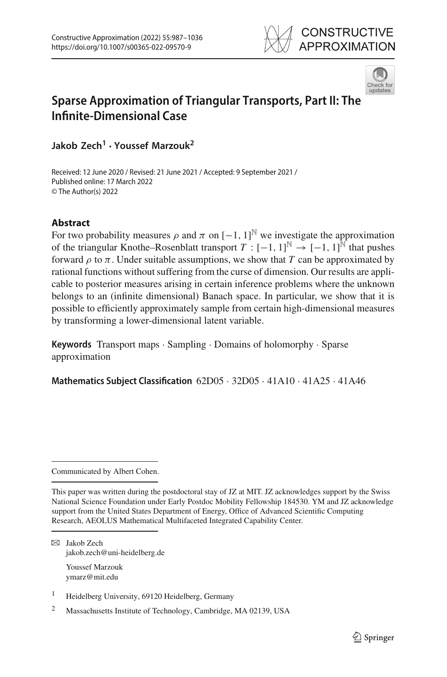



# **Sparse Approximation of Triangular Transports, Part II: The Infinite-Dimensional Case**

**Jakob Zech1 · Youssef Marzouk2**

Received: 12 June 2020 / Revised: 21 June 2021 / Accepted: 9 September 2021 / Published online: 17 March 2022 © The Author(s) 2022

# **Abstract**

For two probability measures  $\rho$  and  $\pi$  on  $[-1, 1]^{\mathbb{N}}$  we investigate the approximation of the triangular Knothe–Rosenblatt transport  $T: [-1, 1]^{\mathbb{N}} \to [-1, 1]^{\mathbb{N}}$  that pushes forward  $\rho$  to  $\pi$ . Under suitable assumptions, we show that *T* can be approximated by rational functions without suffering from the curse of dimension. Our results are applicable to posterior measures arising in certain inference problems where the unknown belongs to an (infinite dimensional) Banach space. In particular, we show that it is possible to efficiently approximately sample from certain high-dimensional measures by transforming a lower-dimensional latent variable.

**Keywords** Transport maps · Sampling · Domains of holomorphy · Sparse approximation

**Mathematics Subject Classification** 62D05 · 32D05 · 41A10 · 41A25 · 41A46

Communicated by Albert Cohen.

B Jakob Zech jakob.zech@uni-heidelberg.de

> Youssef Marzouk ymarz@mit.edu

<sup>1</sup> Heidelberg University, 69120 Heidelberg, Germany

<sup>2</sup> Massachusetts Institute of Technology, Cambridge, MA 02139, USA

This paper was written during the postdoctoral stay of JZ at MIT. JZ acknowledges support by the Swiss National Science Foundation under Early Postdoc Mobility Fellowship 184530. YM and JZ acknowledge support from the United States Department of Energy, Office of Advanced Scientific Computing Research, AEOLUS Mathematical Multifaceted Integrated Capability Center.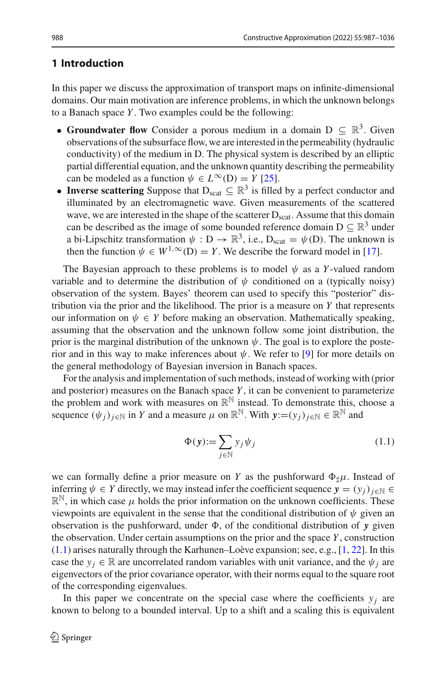# **1 Introduction**

In this paper we discuss the approximation of transport maps on infinite-dimensional domains. Our main motivation are inference problems, in which the unknown belongs to a Banach space *Y* . Two examples could be the following:

- **Groundwater flow** Consider a porous medium in a domain  $D \subseteq \mathbb{R}^3$ . Given observations of the subsurface flow, we are interested in the permeability (hydraulic conductivity) of the medium in D. The physical system is described by an elliptic partial differential equation, and the unknown quantity describing the permeability can be modeled as a function  $\psi \in L^{\infty}(D) = Y$  [\[25\]](#page-48-0).
- **Inverse scattering** Suppose that  $D_{scat} \nsubseteq \mathbb{R}^3$  is filled by a perfect conductor and illuminated by an electromagnetic wave. Given measurements of the scattered wave, we are interested in the shape of the scatterer  $D_{scat}$ . Assume that this domain can be described as the image of some bounded reference domain  $D \subseteq \mathbb{R}^3$  under a bi-Lipschitz transformation  $\psi : D \to \mathbb{R}^3$ , i.e.,  $D_{scat} = \psi(D)$ . The unknown is then the function  $\psi \in W^{1,\infty}(\mathbb{D}) = Y$ . We describe the forward model in [\[17](#page-48-1)].

The Bayesian approach to these problems is to model  $\psi$  as a *Y*-valued random variable and to determine the distribution of  $\psi$  conditioned on a (typically noisy) observation of the system. Bayes' theorem can used to specify this "posterior" distribution via the prior and the likelihood. The prior is a measure on *Y* that represents our information on  $\psi \in Y$  before making an observation. Mathematically speaking, assuming that the observation and the unknown follow some joint distribution, the prior is the marginal distribution of the unknown  $\psi$ . The goal is to explore the posterior and in this way to make inferences about  $\psi$ . We refer to [\[9](#page-47-0)] for more details on the general methodology of Bayesian inversion in Banach spaces.

For the analysis and implementation of such methods, instead of working with (prior and posterior) measures on the Banach space *Y* , it can be convenient to parameterize the problem and work with measures on  $\mathbb{R}^{\mathbb{N}}$  instead. To demonstrate this, choose a sequence  $(\psi_i)_{i \in \mathbb{N}}$  in *Y* and a measure  $\mu$  on  $\mathbb{R}^{\mathbb{N}}$ . With  $y:=(y_i)_{i \in \mathbb{N}} \in \mathbb{R}^{\mathbb{N}}$  and

<span id="page-1-0"></span>
$$
\Phi(\mathbf{y}) := \sum_{j \in \mathbb{N}} y_j \psi_j \tag{1.1}
$$

we can formally define a prior measure on *Y* as the pushforward  $\Phi_{\dagger}\mu$ . Instead of inferring  $\psi \in Y$  directly, we may instead infer the coefficient sequence  $y = (y_i)_{i \in \mathbb{N}} \in Y$  $\mathbb{R}^{\mathbb{N}}$ , in which case  $\mu$  holds the prior information on the unknown coefficients. These viewpoints are equivalent in the sense that the conditional distribution of  $\psi$  given an observation is the pushforward, under  $\Phi$ , of the conditional distribution of *y* given the observation. Under certain assumptions on the prior and the space *Y* , construction [\(1.1\)](#page-1-0) arises naturally through the Karhunen–Loève expansion; see, e.g., [\[1](#page-47-1), [22\]](#page-48-2). In this case the  $y_i \in \mathbb{R}$  are uncorrelated random variables with unit variance, and the  $\psi_i$  are eigenvectors of the prior covariance operator, with their norms equal to the square root of the corresponding eigenvalues.

In this paper we concentrate on the special case where the coefficients  $y_i$  are known to belong to a bounded interval. Up to a shift and a scaling this is equivalent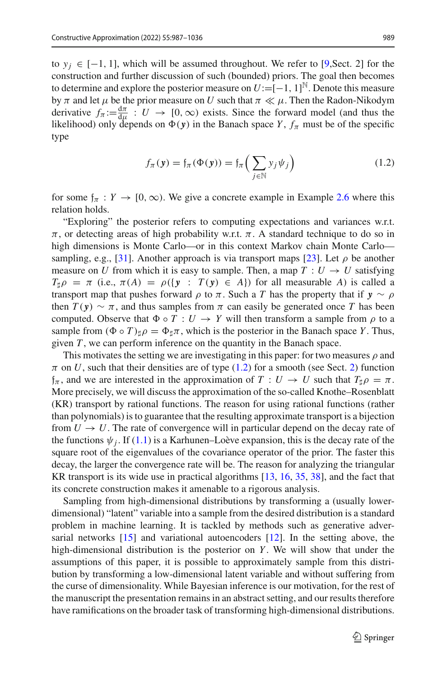to *y<sub>i</sub>* ∈ [−1, 1], which will be assumed throughout. We refer to [\[9](#page-47-0),Sect. 2] for the construction and further discussion of such (bounded) priors. The goal then becomes to determine and explore the posterior measure on  $U := [-1, 1]^{\mathbb{N}}$ . Denote this measure by  $\pi$  and let  $\mu$  be the prior measure on *U* such that  $\pi \ll \mu$ . Then the Radon-Nikodym derivative  $f_{\pi} := \frac{d\pi}{d\mu} : U \to [0, \infty)$  exists. Since the forward model (and thus the likelihood) only depends on  $\Phi(y)$  in the Banach space *Y*,  $f_{\pi}$  must be of the specific type

<span id="page-2-0"></span>
$$
f_{\pi}(\mathbf{y}) = f_{\pi}(\Phi(\mathbf{y})) = f_{\pi}\left(\sum_{j \in \mathbb{N}} y_j \psi_j\right)
$$
 (1.2)

for some  $f_{\pi}: Y \to [0, \infty)$ . We give a concrete example in Example [2.6](#page-6-0) where this relation holds.

"Exploring" the posterior refers to computing expectations and variances w.r.t.  $\pi$ , or detecting areas of high probability w.r.t.  $\pi$ . A standard technique to do so in high dimensions is Monte Carlo—or in this context Markov chain Monte Carlo— sampling, e.g., [\[31](#page-48-3)]. Another approach is via transport maps [\[23](#page-48-4)]. Let  $\rho$  be another measure on *U* from which it is easy to sample. Then, a map  $T: U \rightarrow U$  satisfying  $T_{\sharp}\rho = \pi$  (i.e.,  $\pi(A) = \rho({\bf y} : T({\bf y}) \in A)$ ) for all measurable *A*) is called a transport map that pushes forward  $\rho$  to  $\pi$ . Such a *T* has the property that if  $y \sim \rho$ then  $T(y) \sim \pi$ , and thus samples from  $\pi$  can easily be generated once *T* has been computed. Observe that  $\Phi \circ T : U \to Y$  will then transform a sample from  $\rho$  to a sample from  $(\Phi \circ T)_{\sharp} \rho = \Phi_{\sharp} \pi$ , which is the posterior in the Banach space *Y*. Thus, given *T* , we can perform inference on the quantity in the Banach space.

This motivates the setting we are investigating in this paper: for two measures  $\rho$  and  $\pi$  on *U*, such that their densities are of type [\(1.2\)](#page-2-0) for a smooth (see Sect. [2\)](#page-3-0) function  $f_{\pi}$ , and we are interested in the approximation of  $T: U \to U$  such that  $T_{\sharp}\rho = \pi$ . More precisely, we will discuss the approximation of the so-called Knothe–Rosenblatt (KR) transport by rational functions. The reason for using rational functions (rather than polynomials) is to guarantee that the resulting approximate transport is a bijection from  $U \rightarrow U$ . The rate of convergence will in particular depend on the decay rate of the functions  $\psi_j$ . If [\(1.1\)](#page-1-0) is a Karhunen–Loève expansion, this is the decay rate of the square root of the eigenvalues of the covariance operator of the prior. The faster this decay, the larger the convergence rate will be. The reason for analyzing the triangular KR transport is its wide use in practical algorithms  $[13, 16, 35, 38]$  $[13, 16, 35, 38]$  $[13, 16, 35, 38]$  $[13, 16, 35, 38]$  $[13, 16, 35, 38]$  $[13, 16, 35, 38]$  $[13, 16, 35, 38]$  $[13, 16, 35, 38]$ , and the fact that its concrete construction makes it amenable to a rigorous analysis.

Sampling from high-dimensional distributions by transforming a (usually lowerdimensional) "latent" variable into a sample from the desired distribution is a standard problem in machine learning. It is tackled by methods such as generative adversarial networks  $[15]$  and variational autoencoders  $[12]$ . In the setting above, the high-dimensional distribution is the posterior on *Y*. We will show that under the assumptions of this paper, it is possible to approximately sample from this distribution by transforming a low-dimensional latent variable and without suffering from the curse of dimensionality. While Bayesian inference is our motivation, for the rest of the manuscript the presentation remains in an abstract setting, and our results therefore have ramifications on the broader task of transforming high-dimensional distributions.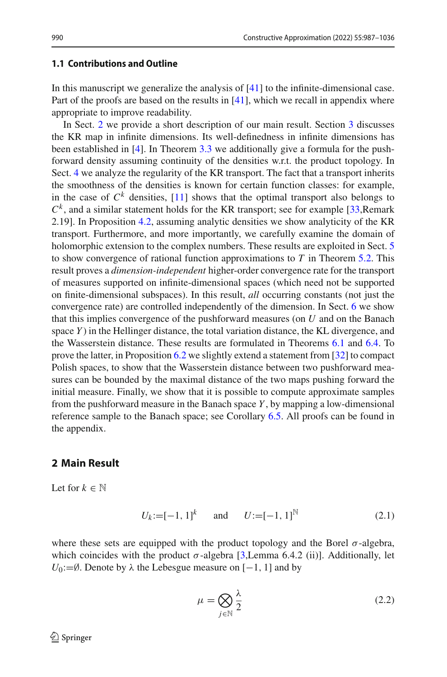# **1.1 Contributions and Outline**

In this manuscript we generalize the analysis of [\[41](#page-49-1)] to the infinite-dimensional case. Part of the proofs are based on the results in  $[41]$ , which we recall in appendix where appropriate to improve readability.

In Sect. [2](#page-3-0) we provide a short description of our main result. Section [3](#page-7-0) discusses the KR map in infinite dimensions. Its well-definedness in infinite dimensions has been established in [\[4\]](#page-47-2). In Theorem [3.3](#page-9-0) we additionally give a formula for the pushforward density assuming continuity of the densities w.r.t. the product topology. In Sect. [4](#page-9-1) we analyze the regularity of the KR transport. The fact that a transport inherits the smoothness of the densities is known for certain function classes: for example, in the case of  $C^k$  densities, [\[11\]](#page-48-10) shows that the optimal transport also belongs to  $C<sup>k</sup>$ , and a similar statement holds for the KR transport; see for example [\[33](#page-48-11),Remark] 2.19]. In Proposition [4.2,](#page-10-0) assuming analytic densities we show analyticity of the KR transport. Furthermore, and more importantly, we carefully examine the domain of holomorphic extension to the complex numbers. These results are exploited in Sect. [5](#page-12-0) to show convergence of rational function approximations to *T* in Theorem [5.2.](#page-13-0) This result proves a *dimension-independent* higher-order convergence rate for the transport of measures supported on infinite-dimensional spaces (which need not be supported on finite-dimensional subspaces). In this result, *all* occurring constants (not just the convergence rate) are controlled independently of the dimension. In Sect. [6](#page-14-0) we show that this implies convergence of the pushforward measures (on *U* and on the Banach space *Y* ) in the Hellinger distance, the total variation distance, the KL divergence, and the Wasserstein distance. These results are formulated in Theorems [6.1](#page-14-1) and [6.4.](#page-16-0) To prove the latter, in Proposition [6.2](#page-15-0) we slightly extend a statement from [\[32\]](#page-48-12) to compact Polish spaces, to show that the Wasserstein distance between two pushforward measures can be bounded by the maximal distance of the two maps pushing forward the initial measure. Finally, we show that it is possible to compute approximate samples from the pushforward measure in the Banach space *Y* , by mapping a low-dimensional reference sample to the Banach space; see Corollary [6.5.](#page-17-0) All proofs can be found in the appendix.

### <span id="page-3-0"></span>**2 Main Result**

Let for  $k \in \mathbb{N}$ 

<span id="page-3-1"></span>
$$
U_k := [-1, 1]^k \quad \text{and} \quad U := [-1, 1]^N \tag{2.1}
$$

where these sets are equipped with the product topology and the Borel  $\sigma$ -algebra, which coincides with the product  $\sigma$ -algebra [\[3](#page-47-3), Lemma 6.4.2 (ii)]. Additionally, let *U*<sub>0</sub>:=∅. Denote by  $\lambda$  the Lebesgue measure on [−1, 1] and by

<span id="page-3-2"></span>
$$
\mu = \bigotimes_{j \in \mathbb{N}} \frac{\lambda}{2} \tag{2.2}
$$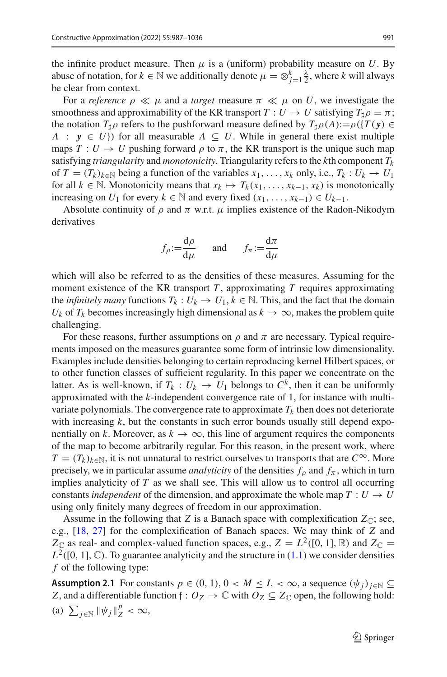the infinite product measure. Then  $\mu$  is a (uniform) probability measure on *U*. By abuse of notation, for  $k \in \mathbb{N}$  we additionally denote  $\mu = \otimes_{j=1}^k \frac{\lambda}{2}$ , where *k* will always be clear from context.

For a *reference*  $\rho \ll \mu$  and a *target* measure  $\pi \ll \mu$  on *U*, we investigate the smoothness and approximability of the KR transport  $T: U \to U$  satisfying  $T_{\sharp}\rho = \pi$ ; the notation  $T_{\sharp}\rho$  refers to the pushforward measure defined by  $T_{\sharp}\rho(A) := \rho(\{T(y) \in$ *A* :  $y \in U$ }) for all measurable  $A \subseteq U$ . While in general there exist multiple maps  $T: U \to U$  pushing forward  $\rho$  to  $\pi$ , the KR transport is the unique such map satisfying *triangularity* and *monotonicity*. Triangularity refers to the *k*th component *Tk* of  $T = (T_k)_{k \in \mathbb{N}}$  being a function of the variables  $x_1, \ldots, x_k$  only, i.e.,  $T_k : U_k \to U_1$ for all  $k \in \mathbb{N}$ . Monotonicity means that  $x_k \mapsto T_k(x_1, \ldots, x_{k-1}, x_k)$  is monotonically increasing on *<sup>U</sup>*<sup>1</sup> for every *<sup>k</sup>* <sup>∈</sup> <sup>N</sup> and every fixed (*x*1,..., *xk*−1) <sup>∈</sup> *Uk*−1.

Absolute continuity of  $\rho$  and  $\pi$  w.r.t.  $\mu$  implies existence of the Radon-Nikodym derivatives

$$
f_{\rho} := \frac{d\rho}{d\mu}
$$
 and  $f_{\pi} := \frac{d\pi}{d\mu}$ 

which will also be referred to as the densities of these measures. Assuming for the moment existence of the KR transport *T* , approximating *T* requires approximating the *infinitely many* functions  $T_k: U_k \to U_1, k \in \mathbb{N}$ . This, and the fact that the domain *U<sub>k</sub>* of  $T_k$  becomes increasingly high dimensional as  $k \to \infty$ , makes the problem quite challenging.

For these reasons, further assumptions on  $\rho$  and  $\pi$  are necessary. Typical requirements imposed on the measures guarantee some form of intrinsic low dimensionality. Examples include densities belonging to certain reproducing kernel Hilbert spaces, or to other function classes of sufficient regularity. In this paper we concentrate on the latter. As is well-known, if  $T_k: U_k \to U_1$  belongs to  $C^k$ , then it can be uniformly approximated with the *k*-independent convergence rate of 1, for instance with multivariate polynomials. The convergence rate to approximate  $T_k$  then does not deteriorate with increasing *k*, but the constants in such error bounds usually still depend exponentially on *k*. Moreover, as  $k \to \infty$ , this line of argument requires the components of the map to become arbitrarily regular. For this reason, in the present work, where  $T = (T_k)_{k \in \mathbb{N}}$ , it is not unnatural to restrict ourselves to transports that are  $C^{\infty}$ . More precisely, we in particular assume *analyticity* of the densities  $f_\rho$  and  $f_\pi$ , which in turn implies analyticity of *T* as we shall see. This will allow us to control all occurring constants *independent* of the dimension, and approximate the whole map  $T: U \rightarrow U$ using only finitely many degrees of freedom in our approximation.

Assume in the following that *Z* is a Banach space with complexification  $Z_{\mathbb{C}}$ ; see, e.g., [\[18,](#page-48-13) [27\]](#page-48-14) for the complexification of Banach spaces. We may think of *Z* and  $Z_{\mathbb{C}}$  as real- and complex-valued function spaces, e.g.,  $Z = L^2([0, 1], \mathbb{R})$  and  $Z_{\mathbb{C}} =$  $L^2([0, 1], \mathbb{C})$ . To guarantee analyticity and the structure in  $(1.1)$  we consider densities *f* of the following type:

<span id="page-4-0"></span>**Assumption 2.1** For constants  $p \in (0, 1), 0 < M \leq L < \infty$ , a sequence  $(\psi_i)_{i \in \mathbb{N}} \subseteq$ *Z*, and a differentiable function  $f: O_Z \to \mathbb{C}$  with  $O_Z \subseteq Z_{\mathbb{C}}$  open, the following hold: (a)  $\sum_{j \in \mathbb{N}} \|\psi_j\|_Z^p < \infty$ ,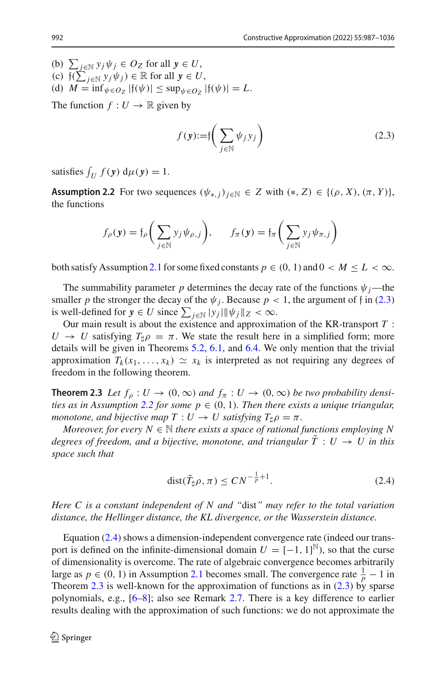(b)  $\sum_{j \in \mathbb{N}} y_j \psi_j \in O_Z$  for all  $y \in U$ ,<br>
(c)  $\{(\sum_{j \in \mathbb{N}} y_j \psi_j) \in \mathbb{R} \text{ for all } y \in U$ , (d)  $M = \inf_{\psi \in O_Z} |f(\psi)| \leq \sup_{\psi \in O_Z} |f(\psi)| = L.$ 

The function  $f: U \to \mathbb{R}$  given by

<span id="page-5-0"></span>
$$
f(\mathbf{y}) := \int \left( \sum_{j \in \mathbb{N}} \psi_j y_j \right) \tag{2.3}
$$

<span id="page-5-1"></span>satisfies  $\int_U f(y) d\mu(y) = 1$ .

**Assumption 2.2** For two sequences  $(\psi_{*,j})_{j \in \mathbb{N}} \in Z$  with  $(*, Z) \in \{(\rho, X), (\pi, Y)\},$ the functions

$$
f_{\rho}(\mathbf{y}) = f_{\rho}\bigg(\sum_{j \in \mathbb{N}} y_j \psi_{\rho,j}\bigg), \qquad f_{\pi}(\mathbf{y}) = f_{\pi}\bigg(\sum_{j \in \mathbb{N}} y_j \psi_{\pi,j}\bigg)
$$

both satisfy Assumption [2.1](#page-4-0) for some fixed constants  $p \in (0, 1)$  and  $0 \lt M \leq L \lt \infty$ .

The summability parameter *p* determines the decay rate of the functions  $\psi_j$ —the smaller *p* the stronger the decay of the  $\psi_j$ . Because  $p < 1$ , the argument of f in [\(2.3\)](#page-5-0) is well-defined for  $y \in U$  since  $\sum_{j \in \mathbb{N}} |y_j| \|\psi_j\|_Z < \infty$ .

Our main result is about the existence and approximation of the KR-transport *T* :  $U \rightarrow U$  satisfying  $T_{\mu} \rho = \pi$ . We state the result here in a simplified form; more details will be given in Theorems [5.2,](#page-13-0) [6.1,](#page-14-1) and [6.4.](#page-16-0) We only mention that the trivial approximation  $T_k(x_1,...,x_k) \simeq x_k$  is interpreted as not requiring any degrees of freedom in the following theorem.

<span id="page-5-3"></span>**Theorem 2.3** *Let*  $f_{\rho}: U \to (0, \infty)$  *and*  $f_{\pi}: U \to (0, \infty)$  *be two probability densities as in Assumption* [2.2](#page-5-1) *for some*  $p \in (0, 1)$ *. Then there exists a unique triangular, monotone, and bijective map*  $T: U \to U$  *satisfying*  $T_{\uparrow}\rho = \pi$ .

*Moreover, for every*  $N \in \mathbb{N}$  *there exists a space of rational functions employing* N *degrees of freedom, and a bijective, monotone, and triangular*  $\overline{T}$  :  $U \rightarrow U$  in this *space such that*

<span id="page-5-2"></span>
$$
dist(\tilde{T}_{\sharp}\rho,\pi) \leq CN^{-\frac{1}{p}+1}.
$$
\n(2.4)

*Here C is a constant independent of N and "*dist*" may refer to the total variation distance, the Hellinger distance, the KL divergence, or the Wasserstein distance.*

Equation [\(2.4\)](#page-5-2) shows a dimension-independent convergence rate (indeed our transport is defined on the infinite-dimensional domain  $U = [-1, 1]^N$ ), so that the curse of dimensionality is overcome. The rate of algebraic convergence becomes arbitrarily large as *p* ∈ (0, 1) in Assumption [2.1](#page-4-0) becomes small. The convergence rate  $\frac{1}{p} - 1$  in Theorem [2.3](#page-5-3) is well-known for the approximation of functions as in [\(2.3\)](#page-5-0) by sparse polynomials, e.g., [\[6](#page-47-4)[–8\]](#page-47-5); also see Remark [2.7.](#page-7-1) There is a key difference to earlier results dealing with the approximation of such functions: we do not approximate the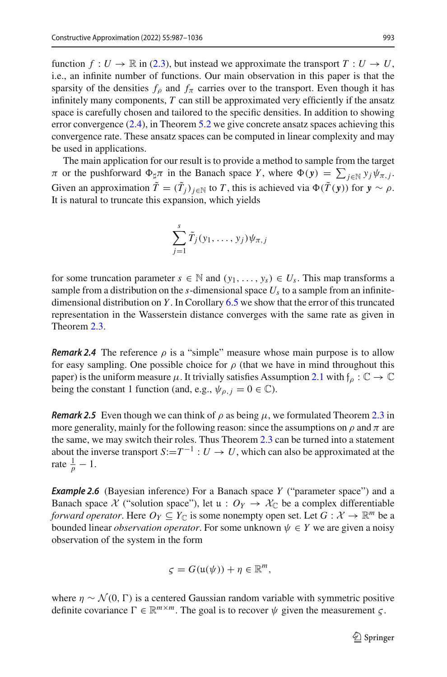function  $f: U \to \mathbb{R}$  in [\(2.3\)](#page-5-0), but instead we approximate the transport  $T: U \to U$ , i.e., an infinite number of functions. Our main observation in this paper is that the sparsity of the densities  $f_\rho$  and  $f_\pi$  carries over to the transport. Even though it has infinitely many components, *T* can still be approximated very efficiently if the ansatz space is carefully chosen and tailored to the specific densities. In addition to showing error convergence [\(2.4\)](#page-5-2), in Theorem [5.2](#page-13-0) we give concrete ansatz spaces achieving this convergence rate. These ansatz spaces can be computed in linear complexity and may be used in applications.

The main application for our result is to provide a method to sample from the target  $π$  or the pushforward  $Φ_{\sharp}π$  in the Banach space *Y*, where  $Φ(y) = \sum_{j \in \mathbb{N}} y_j ψ_{π,j}$ . Given an approximation  $\tilde{T} = (\tilde{T}_i)_{i \in \mathbb{N}}$  to *T*, this is achieved via  $\Phi(\tilde{T}(y))$  for  $y \sim \rho$ . It is natural to truncate this expansion, which yields

$$
\sum_{j=1}^s \tilde{T}_j(y_1,\ldots,y_j)\psi_{\pi,j}
$$

for some truncation parameter  $s \in \mathbb{N}$  and  $(y_1, \ldots, y_s) \in U_s$ . This map transforms a sample from a distribution on the  $s$ -dimensional space  $U_s$  to a sample from an infinitedimensional distribution on *Y* . In Corollary [6.5](#page-17-0) we show that the error of this truncated representation in the Wasserstein distance converges with the same rate as given in Theorem [2.3.](#page-5-3)

*Remark 2.4* The reference  $\rho$  is a "simple" measure whose main purpose is to allow for easy sampling. One possible choice for  $\rho$  (that we have in mind throughout this paper) is the uniform measure  $\mu$ . It trivially satisfies Assumption [2.1](#page-4-0) with  $f_\rho : \mathbb{C} \to \mathbb{C}$ being the constant 1 function (and, e.g.,  $\psi_{\rho, j} = 0 \in \mathbb{C}$ ).

*Remark 2.5* Even though we can think of  $\rho$  as being  $\mu$ , we formulated Theorem [2.3](#page-5-3) in more generality, mainly for the following reason: since the assumptions on  $\rho$  and  $\pi$  are the same, we may switch their roles. Thus Theorem [2.3](#page-5-3) can be turned into a statement about the inverse transport  $S:=T^{-1}: U \to U$ , which can also be approximated at the rate  $\frac{1}{p} - 1$ .

<span id="page-6-0"></span>*Example 2.6* (Bayesian inference) For a Banach space *Y* ("parameter space") and a Banach space *X* ("solution space"), let  $u : O_Y \to \mathcal{X}_{\mathbb{C}}$  be a complex differentiable *forward operator*. Here  $O_Y \subseteq Y_{\mathbb{C}}$  is some nonempty open set. Let  $G : \mathcal{X} \to \mathbb{R}^m$  be a bounded linear *observation operator*. For some unknown  $\psi \in Y$  we are given a noisy observation of the system in the form

$$
\varsigma = G(\mathfrak{u}(\psi)) + \eta \in \mathbb{R}^m,
$$

where  $\eta \sim \mathcal{N}(0, \Gamma)$  is a centered Gaussian random variable with symmetric positive definite covariance  $\Gamma \in \mathbb{R}^{m \times m}$ . The goal is to recover  $\psi$  given the measurement  $\zeta$ .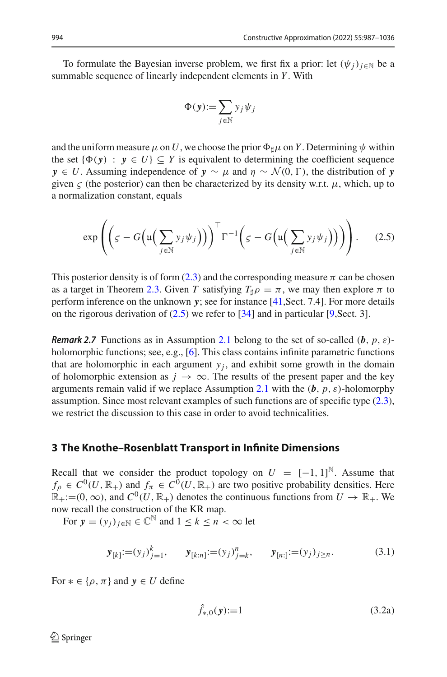To formulate the Bayesian inverse problem, we first fix a prior: let  $(\psi_i)_{i \in \mathbb{N}}$  be a summable sequence of linearly independent elements in *Y* . With

$$
\Phi(\mathbf{y}) := \sum_{j \in \mathbb{N}} y_j \psi_j
$$

and the uniform measure  $\mu$  on U, we choose the prior  $\Phi_{\sharp}\mu$  on Y. Determining  $\psi$  within the set  $\{\Phi(\mathbf{v}) : \mathbf{v} \in U\} \subseteq Y$  is equivalent to determining the coefficient sequence *y* ∈ *U*. Assuming independence of *y* ∼  $\mu$  and  $\eta$  ∼  $\mathcal{N}(0, \Gamma)$ , the distribution of *y* given  $\zeta$  (the posterior) can then be characterized by its density w.r.t.  $\mu$ , which, up to a normalization constant, equals

<span id="page-7-2"></span>
$$
\exp\left(\left(\varsigma - G\Big(\mathfrak{u}\Big(\sum_{j\in\mathbb{N}}y_j\psi_j\Big)\Big)\right)^{\top}\Gamma^{-1}\Big(\varsigma - G\Big(\mathfrak{u}\Big(\sum_{j\in\mathbb{N}}y_j\psi_j\Big)\Big)\Big)\right).
$$
 (2.5)

This posterior density is of form [\(2.3\)](#page-5-0) and the corresponding measure  $\pi$  can be chosen as a target in Theorem [2.3.](#page-5-3) Given *T* satisfying  $T_{\sharp}\rho = \pi$ , we may then explore  $\pi$  to perform inference on the unknown *y*; see for instance [\[41](#page-49-1),Sect. 7.4]. For more details on the rigorous derivation of  $(2.5)$  we refer to  $[34]$  $[34]$  and in particular  $[9, \text{Sect.} 3]$  $[9, \text{Sect.} 3]$ .

<span id="page-7-1"></span>*Remark 2.7* Functions as in Assumption [2.1](#page-4-0) belong to the set of so-called (*b*, *p*, ε)- holomorphic functions; see, e.g., [\[6\]](#page-47-4). This class contains infinite parametric functions that are holomorphic in each argument  $y_i$ , and exhibit some growth in the domain of holomorphic extension as  $j \to \infty$ . The results of the present paper and the key arguments remain valid if we replace Assumption [2.1](#page-4-0) with the  $(b, p, \varepsilon)$ -holomorphy assumption. Since most relevant examples of such functions are of specific type [\(2.3\)](#page-5-0), we restrict the discussion to this case in order to avoid technicalities.

### <span id="page-7-0"></span>**3 The Knothe–Rosenblatt Transport in Infinite Dimensions**

Recall that we consider the product topology on  $U = [-1, 1]^{\mathbb{N}}$ . Assume that  $f_{\rho} \in C^0(U, \mathbb{R}_+)$  and  $f_{\pi} \in C^0(U, \mathbb{R}_+)$  are two positive probability densities. Here  $\mathbb{R}_+:=$ (0,  $\infty$ ), and  $C^0(U, \mathbb{R}_+)$  denotes the continuous functions from  $U \to \mathbb{R}_+$ . We now recall the construction of the KR map.

For  $y = (y_i)_{i \in \mathbb{N}} \in \mathbb{C}^{\mathbb{N}}$  and  $1 \leq k \leq n < \infty$  let

<span id="page-7-3"></span>
$$
\mathbf{y}_{[k]} := (y_j)_{j=1}^k, \qquad \mathbf{y}_{[k:n]} := (y_j)_{j=k}^n, \qquad \mathbf{y}_{[n:]} := (y_j)_{j \ge n}.
$$
 (3.1)

For  $* \in \{\rho, \pi\}$  and  $\mathbf{v} \in U$  define

<span id="page-7-4"></span>
$$
\hat{f}_{*,0}(\mathbf{y}) := 1\tag{3.2a}
$$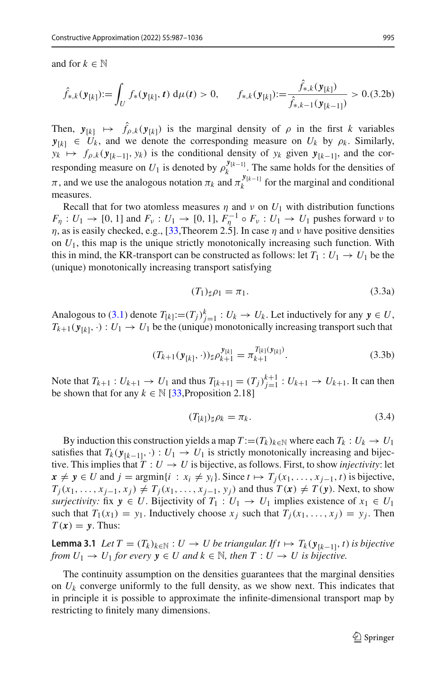and for  $k \in \mathbb{N}$ 

$$
\hat{f}_{*,k}(\mathbf{y}_{[k]}) := \int_U f_*(\mathbf{y}_{[k]}, t) \, d\mu(t) > 0, \qquad f_{*,k}(\mathbf{y}_{[k]}) := \frac{\hat{f}_{*,k}(\mathbf{y}_{[k]})}{\hat{f}_{*,k-1}(\mathbf{y}_{[k-1]})} > 0.3.2b
$$

Then,  $y_{[k]} \mapsto \hat{f}_{\rho,k}(y_{[k]})$  is the marginal density of  $\rho$  in the first *k* variables  $y_{[k]} \in U_k$ , and we denote the corresponding measure on  $U_k$  by  $\rho_k$ . Similarly,  $y_k \mapsto f_{\rho,k}(\mathbf{y}_{[k-1]}, \mathbf{y}_k)$  is the conditional density of  $y_k$  given  $\mathbf{y}_{[k-1]}$ , and the corresponding measure on  $U_1$  is denoted by  $\rho_k^{\mathbf{y}_{[k-1]}}$ . The same holds for the densities of  $\pi$ , and we use the analogous notation  $\pi_k$  and  $\pi_k^{\mathcal{Y}_{[k-1]}}$  for the marginal and conditional measures.

Recall that for two atomless measures  $\eta$  and  $\nu$  on  $U_1$  with distribution functions *F*<sub>η</sub> :  $U_1 \rightarrow [0, 1]$  and  $F_\nu : U_1 \rightarrow [0, 1]$ ,  $F_\eta^{-1} \circ F_\nu : U_1 \rightarrow U_1$  pushes forward  $\nu$  to  $\eta$ , as is easily checked, e.g., [\[33,](#page-48-11)Theorem 2.5]. In case  $\eta$  and  $\nu$  have positive densities on  $U_1$ , this map is the unique strictly monotonically increasing such function. With this in mind, the KR-transport can be constructed as follows: let  $T_1 : U_1 \to U_1$  be the (unique) monotonically increasing transport satisfying

<span id="page-8-0"></span>
$$
(T_1)_{\sharp}\rho_1 = \pi_1. \tag{3.3a}
$$

Analogous to [\(3.1\)](#page-7-3) denote  $T_{[k]} := (T_j)_{j=1}^k : U_k \to U_k$ . Let inductively for any  $y \in U$ ,  $T_{k+1}(\mathbf{y}_{[k]},\cdot): U_1 \to U_1$  be the (unique) monotonically increasing transport such that

$$
(T_{k+1}(\mathbf{y}_{[k]},\cdot))_{\sharp}\rho_{k+1}^{\mathbf{y}_{[k]}} = \pi_{k+1}^{T_{[k]}(\mathbf{y}_{[k]})}.
$$
\n(3.3b)

Note that  $T_{k+1} : U_{k+1} \to U_1$  and thus  $T_{[k+1]} = (T_j)^{k+1} : U_{k+1} \to U_{k+1}$ . It can then be shown that for any  $k \in \mathbb{N}$  [\[33,](#page-48-11) Proposition 2.18]

<span id="page-8-3"></span>
$$
(T_{[k]})_{\sharp}\rho_k = \pi_k. \tag{3.4}
$$

By induction this construction yields a map  $T := (T_k)_{k \in \mathbb{N}}$  where each  $T_k : U_k \to U_1$ satisfies that  $T_k(y_{[k-1]}, \cdot) : U_1 \to U_1$  is strictly monotonically increasing and bijective. This implies that  $T: U \to U$  is bijective, as follows. First, to show *injectivity*: let  $x \neq y \in U$  and  $j = \text{argmin}\{i : x_i \neq y_i\}$ . Since  $t \mapsto T_j(x_1, \ldots, x_{j-1}, t)$  is bijective,  $T_j(x_1,\ldots,x_{j-1},x_j) \neq T_j(x_1,\ldots,x_{j-1},y_j)$  and thus  $T(x) \neq T(y)$ . Next, to show *surjectivity:* fix  $y \in U$ . Bijectivity of  $T_1 : U_1 \to U_1$  implies existence of  $x_1 \in U_1$ such that  $T_1(x_1) = y_1$ . Inductively choose  $x_i$  such that  $T_i(x_1, \ldots, x_i) = y_i$ . Then  $T(x) = y$ . Thus:

<span id="page-8-2"></span>**Lemma 3.1** *Let*  $T = (T_k)_{k \in \mathbb{N}}$  :  $U$  →  $U$  *be triangular. If t*  $\mapsto T_k(y_{k-1}, t)$  *is bijective from*  $U_1 \rightarrow U_1$  *for every*  $y \in U$  *and*  $k \in \mathbb{N}$ *, then*  $T : U \rightarrow U$  *is bijective.* 

<span id="page-8-1"></span>The continuity assumption on the densities guarantees that the marginal densities on  $U_k$  converge uniformly to the full density, as we show next. This indicates that in principle it is possible to approximate the infinite-dimensional transport map by restricting to finitely many dimensions.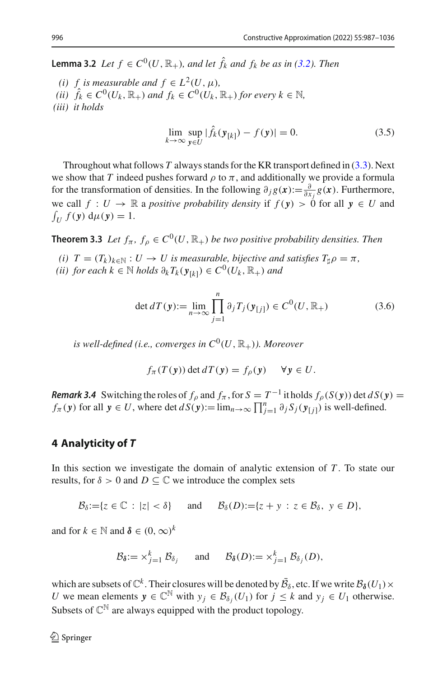**Lemma 3.2** *Let*  $f \in C^0(U, \mathbb{R}_+)$ *, and let*  $\hat{f}_k$  *and*  $f_k$  *be as in [\(3.2\)](#page-7-4). Then* 

*(i) f is measurable and*  $f \in L^2(U, \mu)$ , *(ii)*  $\hat{f}_k \in C^0(U_k, \mathbb{R}_+)$  *and*  $f_k \in C^0(U_k, \mathbb{R}_+)$  *for every*  $k \in \mathbb{N}$ , *(iii) it holds*

<span id="page-9-3"></span>
$$
\lim_{k \to \infty} \sup_{\mathbf{y} \in U} |\hat{f}_k(\mathbf{y}_{[k]}) - f(\mathbf{y})| = 0.
$$
\n(3.5)

Throughout what follows *T* always stands for the KR transport defined in [\(3.3\)](#page-8-0). Next we show that *T* indeed pushes forward  $\rho$  to  $\pi$ , and additionally we provide a formula for the transformation of densities. In the following  $\partial_j g(x) := \frac{\partial}{\partial x_j} g(x)$ . Furthermore, we call  $f: U \to \mathbb{R}$  a *positive probability density* if  $f(y) > 0$  for all  $y \in U$  and  $\int_U f(\mathbf{y}) d\mu(\mathbf{y}) = 1.$ 

<span id="page-9-0"></span>**Theorem 3.3** *Let*  $f_{\pi}, f_{\rho} \in C^0(U, \mathbb{R}_+)$  *be two positive probability densities. Then* 

- *(i)*  $T = (T_k)_{k \in \mathbb{N}} : U \to U$  is measurable, bijective and satisfies  $T_{\sharp} \rho = \pi$ ,
- *(ii)* for each  $k \in \mathbb{N}$  *holds*  $\partial_k T_k(\mathbf{y}_{[k]}) \in C^0(U_k, \mathbb{R}_+)$  *and*

<span id="page-9-2"></span>
$$
\det dT(\mathbf{y}) := \lim_{n \to \infty} \prod_{j=1}^{n} \partial_j T_j(\mathbf{y}_{[j]}) \in C^0(U, \mathbb{R}_+) \tag{3.6}
$$

*is well-defined (i.e., converges in*  $C^0(U, \mathbb{R}_+)$ ). Moreover

$$
f_{\pi}(T(\mathbf{y})) \det dT(\mathbf{y}) = f_{\rho}(\mathbf{y}) \quad \forall \mathbf{y} \in U.
$$

<span id="page-9-4"></span>*Remark 3.4* Switching the roles of  $f_\rho$  and  $f_\pi$ , for  $S = T^{-1}$  it holds  $f_\rho(S(y))$  det  $dS(y)$ *f*<sub>π</sub> (*y*) for all  $y \in U$ , where det  $dS(y) := \lim_{n \to \infty} \prod_{j=1}^{n} \partial_j S_j(y_{[j]})$  is well-defined.

# <span id="page-9-1"></span>**4 Analyticity of** *T*

In this section we investigate the domain of analytic extension of  $T$ . To state our results, for  $\delta > 0$  and  $D \subseteq \mathbb{C}$  we introduce the complex sets

$$
\mathcal{B}_{\delta}:=\{z\in\mathbb{C}: |z|<\delta\} \text{ and } \mathcal{B}_{\delta}(D):=\{z+y\,:\,z\in\mathcal{B}_{\delta},\ y\in D\},\
$$

and for  $k \in \mathbb{N}$  and  $\delta \in (0, \infty)^k$ 

$$
\mathcal{B}_{\delta} := \times_{j=1}^{k} \mathcal{B}_{\delta_{j}} \quad \text{and} \quad \mathcal{B}_{\delta}(D) := \times_{j=1}^{k} \mathcal{B}_{\delta_{j}}(D),
$$

which are subsets of  $\mathbb{C}^k$ . Their closures will be denoted by  $\bar{\mathcal{B}}_{\delta}$ , etc. If we write  $\mathcal{B}_{\delta}(U_1) \times$ *U* we mean elements  $y \in \mathbb{C}^{\mathbb{N}}$  with  $y_j \in \mathcal{B}_{\delta_j}(U_1)$  for  $j \leq k$  and  $y_j \in U_1$  otherwise. Subsets of  $\mathbb{C}^{\mathbb{N}}$  are always equipped with the product topology.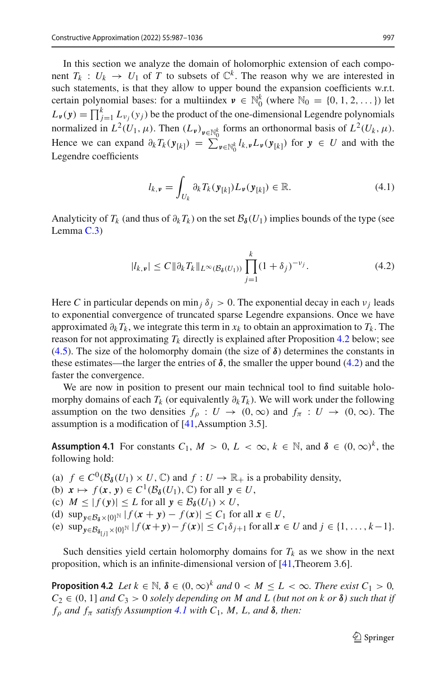In this section we analyze the domain of holomorphic extension of each component  $T_k$  :  $U_k \rightarrow U_1$  of *T* to subsets of  $\mathbb{C}^k$ . The reason why we are interested in such statements, is that they allow to upper bound the expansion coefficients w.r.t. certain polynomial bases: for a multiindex  $v \in \mathbb{N}_0^k$  (where  $\mathbb{N}_0 = \{0, 1, 2, \dots\}$ ) let  $L_{\nu}(\mathbf{y}) = \prod_{j=1}^{k} L_{\nu_j}(y_j)$  be the product of the one-dimensional Legendre polynomials normalized in  $L^2(U_1, \mu)$ . Then  $(L_\nu)_{\nu \in \mathbb{N}_0^k}$  forms an orthonormal basis of  $L^2(U_k, \mu)$ . Hence we can expand  $\partial_k T_k(\mathbf{y}_{[k]}) = \sum_{\mathbf{v} \in \mathbb{N}_0^k} l_{k,\mathbf{v}} L_{\mathbf{v}}(\mathbf{y}_{[k]})$  for  $\mathbf{y} \in U$  and with the Legendre coefficients

<span id="page-10-3"></span>
$$
l_{k,\nu} = \int_{U_k} \partial_k T_k(\mathbf{y}_{[k]}) L_{\nu}(\mathbf{y}_{[k]}) \in \mathbb{R}.
$$
 (4.1)

Analyticity of  $T_k$  (and thus of  $\partial_k T_k$ ) on the set  $\mathcal{B}_\delta(U_1)$  implies bounds of the type (see Lemma [C.3\)](#page-23-0)

<span id="page-10-1"></span>
$$
|l_{k,\nu}| \le C \|\partial_k T_k\|_{L^\infty(\mathcal{B}_{\delta}(U_1))} \prod_{j=1}^k (1+\delta_j)^{-\nu_j}.
$$
 (4.2)

Here *C* in particular depends on min *j*  $\delta$  *j* > 0. The exponential decay in each  $\nu$  *j* leads to exponential convergence of truncated sparse Legendre expansions. Once we have approximated  $\partial_k T_k$ , we integrate this term in  $x_k$  to obtain an approximation to  $T_k$ . The reason for not approximating  $T_k$  directly is explained after Proposition [4.2](#page-10-0) below; see [\(4.5\)](#page-12-1). The size of the holomorphy domain (the size of  $\delta$ ) determines the constants in these estimates—the larger the entries of  $\delta$ , the smaller the upper bound [\(4.2\)](#page-10-1) and the faster the convergence.

We are now in position to present our main technical tool to find suitable holomorphy domains of each  $T_k$  (or equivalently  $\partial_k T_k$ ). We will work under the following assumption on the two densities  $f_{\rho}: U \to (0,\infty)$  and  $f_{\pi}: U \to (0,\infty)$ . The assumption is a modification of [\[41,](#page-49-1)Assumption 3.5].

<span id="page-10-2"></span>**Assumption 4.1** For constants  $C_1$ ,  $M > 0$ ,  $L < \infty$ ,  $k \in \mathbb{N}$ , and  $\delta \in (0, \infty)^k$ , the following hold:

- (a)  $f \in C^0(\mathcal{B}_{\delta}(U_1) \times U, \mathbb{C})$  and  $f: U \to \mathbb{R}_+$  is a probability density,
- (b)  $x \mapsto f(x, y) \in C^1(\mathcal{B}_{\delta}(U_1), \mathbb{C})$  for all  $y \in U$ ,
- (c)  $M \leq |f(y)| \leq L$  for all  $y \in \mathcal{B}_{\delta}(U_1) \times U$ ,
- (d)  $\sup_{y \in \mathcal{B}_{\delta} \times \{0\}^{\mathbb{N}}} |f(x + y) f(x)| \leq C_1$  for all  $x \in U$ ,
- $f(x) = C_1 \delta_{j+1}$  for all  $x \in U$  and  $j \in \{1, ..., k-1\}$ .

<span id="page-10-0"></span>Such densities yield certain holomorphy domains for  $T_k$  as we show in the next proposition, which is an infinite-dimensional version of [\[41](#page-49-1),Theorem 3.6].

**Proposition 4.2** *Let*  $k \in \mathbb{N}$ ,  $\delta \in (0, \infty)^k$  *and*  $0 < M \leq L < \infty$ *. There exist*  $C_1 > 0$ ,  $C_2 \in (0, 1]$  *and*  $C_3 > 0$  *solely depending on M and L* (*but not on k or* **δ**) *such that if*  $f_{\rho}$  *and*  $f_{\pi}$  *satisfy Assumption [4.1](#page-10-2) with*  $C_1$ *, M, L, and*  $\delta$ *, then:*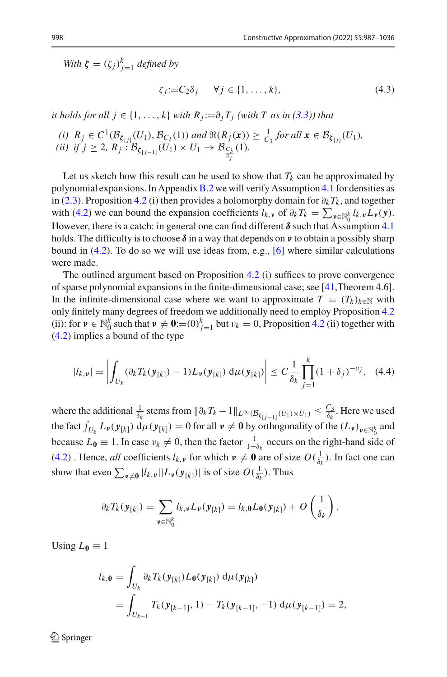*With*  $\zeta = (\zeta_j)_{j=1}^k$  *defined by* 

<span id="page-11-1"></span>
$$
\zeta_j := C_2 \delta_j \qquad \forall j \in \{1, \dots, k\},\tag{4.3}
$$

*it holds for all*  $j \in \{1, \ldots, k\}$  *with*  $R_j := \partial_j T_j$  *(with T as in [\(3.3\)](#page-8-0)) that* 

*(i)*  $R_j \in C^1(\mathcal{B}_{\xi_{[j]}}(U_1), \mathcal{B}_{C_3}(1))$  and  $\Re(R_j(x)) \geq \frac{1}{C_3}$  for all  $x \in \mathcal{B}_{\xi_{[j]}}(U_1)$ *,* (*ii*) *if*  $j \ge 2$ ,  $R_j : B_{\zeta_{[j-1]}}(U_1) \times U_1 \to B_{\frac{C_3}{\delta_j}}(1)$ *.* 

Let us sketch how this result can be used to show that  $T_k$  can be approximated by polynomial expansions. In Appendix  $B.2$  we will verify Assumption [4.1](#page-10-2) for densities as in [\(2.3\)](#page-5-0). Proposition [4.2](#page-10-0) (i) then provides a holomorphy domain for  $\partial_k T_k$ , and together with [\(4.2\)](#page-10-1) we can bound the expansion coefficients  $l_{k,\nu}$  of  $\partial_k T_k = \sum_{\nu \in \mathbb{N}_0^k} l_{k,\nu} L_{\nu}(\nu)$ . However, there is a catch: in general one can find different  $\delta$  such that Assumption [4.1](#page-10-2) holds. The difficulty is to choose *δ* in a way that depends on *ν* to obtain a possibly sharp bound in [\(4.2\)](#page-10-1). To do so we will use ideas from, e.g., [\[6\]](#page-47-4) where similar calculations were made.

The outlined argument based on Proposition [4.2](#page-10-0) (i) suffices to prove convergence of sparse polynomial expansions in the finite-dimensional case; see [\[41](#page-49-1),Theorem 4.6]. In the infinite-dimensional case where we want to approximate  $T = (T_k)_{k \in \mathbb{N}}$  with only finitely many degrees of freedom we additionally need to employ Proposition [4.2](#page-10-0) (ii): for  $v \in \mathbb{N}_0^k$  such that  $v \neq 0$ :=(0)<sup> $k$ </sup><sub>j=1</sub> but  $v_k = 0$ , Proposition [4.2](#page-10-0) (ii) together with [\(4.2\)](#page-10-1) implies a bound of the type

<span id="page-11-0"></span>
$$
|l_{k,\nu}| = \left| \int_{U_k} (\partial_k T_k(\mathbf{y}_{[k]}) - 1) L_{\nu}(\mathbf{y}_{[k]}) \, d\mu(\mathbf{y}_{[k]}) \right| \leq C \frac{1}{\delta_k} \prod_{j=1}^k (1 + \delta_j)^{-\nu_j}, \quad (4.4)
$$

where the additional  $\frac{1}{\delta_k}$  stems from  $\|\partial_k T_k - \mathbb{1}\|_{L^\infty(\mathcal{B}_{\zeta_{[j-1]}}(U_1) \times U_1)} \leq \frac{C_3}{\delta_k}$ . Here we used the fact  $\int_{U_k} L_\nu(\mathbf{y}_{[k]}) d\mu(\mathbf{y}_{[k]}) = 0$  for all  $\nu \neq \mathbf{0}$  by orthogonality of the  $(L_\nu)_{\nu \in \mathbb{N}_0^k}$  and because  $L_0 \equiv 1$ . In case  $v_k \neq 0$ , then the factor  $\frac{1}{1+\delta_k}$  occurs on the right-hand side of [\(4.2\)](#page-10-1) . Hence, *all* coefficients  $l_{k,\nu}$  for which  $\nu \neq 0$  are of size  $O(\frac{1}{\delta_k})$ . In fact one can show that even  $\sum_{\nu \neq 0} |l_{k,\nu}| |L_{\nu}(\mathbf{y}_{[k]})|$  is of size  $O(\frac{1}{\delta_k})$ . Thus

$$
\partial_k T_k(\mathbf{y}_{[k]}) = \sum_{\mathbf{v} \in \mathbb{N}_0^k} l_{k,\mathbf{v}} L_{\mathbf{v}}(\mathbf{y}_{[k]}) = l_{k,\mathbf{0}} L_{\mathbf{0}}(\mathbf{y}_{[k]}) + O\left(\frac{1}{\delta_k}\right).
$$

Using  $L_0 \equiv 1$ 

$$
l_{k,0} = \int_{U_k} \partial_k T_k(\mathbf{y}_{[k]}) L_0(\mathbf{y}_{[k]}) d\mu(\mathbf{y}_{[k]})
$$
  
= 
$$
\int_{U_{k-1}} T_k(\mathbf{y}_{[k-1]}, 1) - T_k(\mathbf{y}_{[k-1]}, -1) d\mu(\mathbf{y}_{[k-1]}) = 2,
$$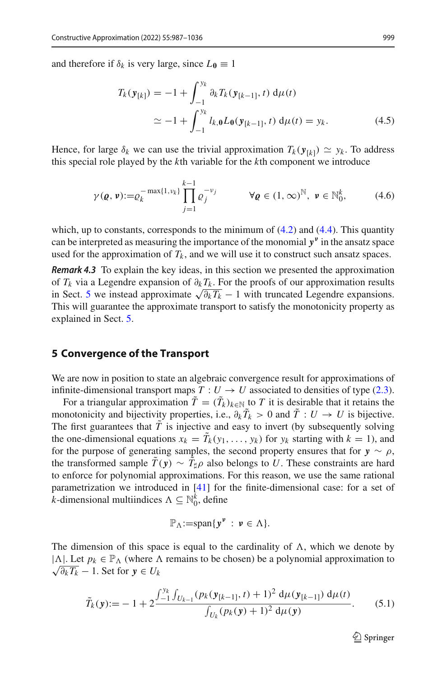and therefore if  $\delta_k$  is very large, since  $L_0 \equiv 1$ 

<span id="page-12-1"></span>
$$
T_k(\mathbf{y}_{[k]}) = -1 + \int_{-1}^{y_k} \partial_k T_k(\mathbf{y}_{[k-1]}, t) \, d\mu(t)
$$
  
\n
$$
\simeq -1 + \int_{-1}^{y_k} l_{k,0} L_0(\mathbf{y}_{[k-1]}, t) \, d\mu(t) = y_k.
$$
\n(4.5)

Hence, for large  $\delta_k$  we can use the trivial approximation  $T_k(\mathbf{y}_{[k]}) \simeq y_k$ . To address this special role played by the *k*th variable for the *k*th component we introduce

<span id="page-12-2"></span>
$$
\gamma(\boldsymbol{\varrho},\boldsymbol{\nu}):=\varrho_k^{-\max\{1,\nu_k\}}\prod_{j=1}^{k-1}\varrho_j^{-\nu_j} \qquad \forall \boldsymbol{\varrho}\in(1,\infty)^{\mathbb{N}},\ \boldsymbol{\nu}\in\mathbb{N}_0^k,\qquad(4.6)
$$

which, up to constants, corresponds to the minimum of  $(4.2)$  and  $(4.4)$ . This quantity can be interpreted as measuring the importance of the monomial *y<sup>ν</sup>* in the ansatz space used for the approximation of  $T_k$ , and we will use it to construct such ansatz spaces.

*Remark 4.3* To explain the key ideas, in this section we presented the approximation of  $T_k$  via a Legendre expansion of  $\partial_k T_k$ . For the proofs of our approximation results in Sect. [5](#page-12-0) we instead approximate  $\sqrt{\partial_k T_k} - 1$  with truncated Legendre expansions. This will guarantee the approximate transport to satisfy the monotonicity property as explained in Sect. [5.](#page-12-0)

#### <span id="page-12-0"></span>**5 Convergence of the Transport**

We are now in position to state an algebraic convergence result for approximations of infinite-dimensional transport maps  $T: U \to U$  associated to densities of type [\(2.3\)](#page-5-0).

For a triangular approximation  $T = (T_k)_{k \in \mathbb{N}}$  to  $T$  it is desirable that it retains the monotonicity and bijectivity properties, i.e.,  $\partial_k T_k > 0$  and  $T : U \to U$  is bijective. The first guarantees that  $\overline{T}$  is injective and easy to invert (by subsequently solving the one-dimensional equations  $x_k = T_k(y_1, \ldots, y_k)$  for  $y_k$  starting with  $k = 1$ ), and for the purpose of generating samples, the second property ensures that for  $y \sim \rho$ , the transformed sample  $T(y) \sim T_{\sharp} \rho$  also belongs to *U*. These constraints are hard to enforce for polynomial approximations. For this reason, we use the same rational parametrization we introduced in [\[41](#page-49-1)] for the finite-dimensional case: for a set of *k*-dimensional multiindices  $\Lambda \subseteq \mathbb{N}_0^k$ , define

$$
\mathbb{P}_{\Lambda}:=\mathrm{span}\{\mathbf{y}^{\nu}:\ \mathbf{v}\in\Lambda\}.
$$

The dimension of this space is equal to the cardinality of  $\Lambda$ , which we denote by | $\Lambda$ |. Let  $p_k \in \mathbb{P}_{\Lambda}$  (where  $\Lambda$  remains to be chosen) be a polynomial approximation to  $\sqrt{\partial_k T_k}$  − 1. Set for  $y \in U_k$ 

<span id="page-12-3"></span>
$$
\tilde{T}_k(\mathbf{y}) := -1 + 2 \frac{\int_{-1}^{y_k} \int_{U_{k-1}} (p_k(\mathbf{y}_{[k-1]}, t) + 1)^2 \, \mathrm{d}\mu(\mathbf{y}_{[k-1]}) \, \mathrm{d}\mu(t)}{\int_{U_k} (p_k(\mathbf{y}) + 1)^2 \, \mathrm{d}\mu(\mathbf{y})}.
$$
 (5.1)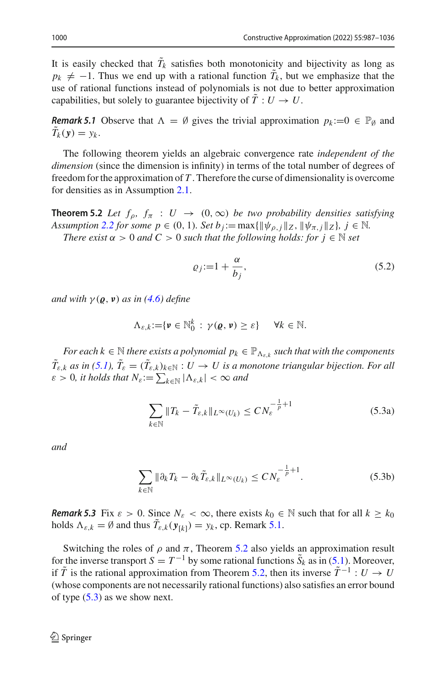It is easily checked that  $T_k$  satisfies both monotonicity and bijectivity as long as  $p_k \neq -1$ . Thus we end up with a rational function  $T_k$ , but we emphasize that the use of rational functions instead of polynomials is not due to better approximation capabilities, but solely to guarantee bijectivity of  $\tilde{T}: U \to U$ .

*Remark 5.1* Observe that  $\Lambda = \emptyset$  gives the trivial approximation  $p_k := 0 \in \mathbb{P}_{\emptyset}$  and  $T_k(\mathbf{y}) = y_k.$ 

The following theorem yields an algebraic convergence rate *independent of the dimension* (since the dimension is infinity) in terms of the total number of degrees of freedom for the approximation of *T* . Therefore the curse of dimensionality is overcome for densities as in Assumption [2.1.](#page-4-0)

<span id="page-13-0"></span>**Theorem 5.2** *Let*  $f_{\rho}$ ,  $f_{\pi}$  :  $U \rightarrow (0, \infty)$  *be two probability densities satisfying Assumption* [2.2](#page-5-1) *for some*  $p \in (0, 1)$ *. Set*  $b_j := \max{\{\|\psi_{p,j}\|_Z, \|\psi_{\pi,j}\|_Z\}}, j \in \mathbb{N}$ *.* 

*There exist*  $\alpha > 0$  *and*  $C > 0$  *such that the following holds: for*  $j \in \mathbb{N}$  *set* 

<span id="page-13-1"></span>
$$
\varrho_j := 1 + \frac{\alpha}{b_j},\tag{5.2}
$$

*and with*  $\gamma(\varrho, \nu)$  *as in* [\(4.6\)](#page-12-2) *define* 

$$
\Lambda_{\varepsilon,k}:=\{\mathbf{v}\in\mathbb{N}_0^k\,:\,\gamma(\mathbf{\varrho},\mathbf{\nu})\geq\varepsilon\}\qquad\forall k\in\mathbb{N}.
$$

*For each k*  $\in$  N *there exists a polynomial*  $p_k \in \mathbb{P}_{\Lambda_{\varepsilon,k}}$  *such that with the components*  $T_{\varepsilon,k}$  *as in* 5.1),  $T_{\varepsilon} = (T_{\varepsilon,k})_{k \in \mathbb{N}} : U \to U$  is a monotone triangular bijection. For all  $\varepsilon > 0$ , it holds that  $N_{\varepsilon} := \sum_{k \in \mathbb{N}} |\Lambda_{\varepsilon,k}| < \infty$  and

<span id="page-13-5"></span><span id="page-13-2"></span>
$$
\sum_{k \in \mathbb{N}} \|T_k - \tilde{T}_{\varepsilon,k}\|_{L^\infty(U_k)} \le C N_{\varepsilon}^{-\frac{1}{p}+1}
$$
\n(5.3a)

*and*

<span id="page-13-6"></span>
$$
\sum_{k \in \mathbb{N}} \|\partial_k T_k - \partial_k \tilde{T}_{\varepsilon,k}\|_{L^\infty(U_k)} \le C N_{\varepsilon}^{-\frac{1}{p}+1}.
$$
 (5.3b)

<span id="page-13-4"></span>*Remark 5.3* Fix  $\varepsilon > 0$ . Since  $N_{\varepsilon} < \infty$ , there exists  $k_0 \in \mathbb{N}$  such that for all  $k \geq k_0$ holds  $\Lambda_{\varepsilon,k} = \emptyset$  and thus  $T_{\varepsilon,k}(\mathbf{y}_{[k]}) = y_k$ , cp. Remark [5.1.](#page-13-1)

<span id="page-13-3"></span>Switching the roles of  $\rho$  and  $\pi$ , Theorem [5.2](#page-13-0) also yields an approximation result for the inverse transport  $S = T^{-1}$  by some rational functions  $\tilde{S}_k$  as in [\(5.1\)](#page-12-3). Moreover, if  $\tilde{T}$  is the rational approximation from Theorem [5.2,](#page-13-0) then its inverse  $\tilde{T}^{-1}$  :  $U \to U$ (whose components are not necessarily rational functions) also satisfies an error bound of type  $(5.3)$  as we show next.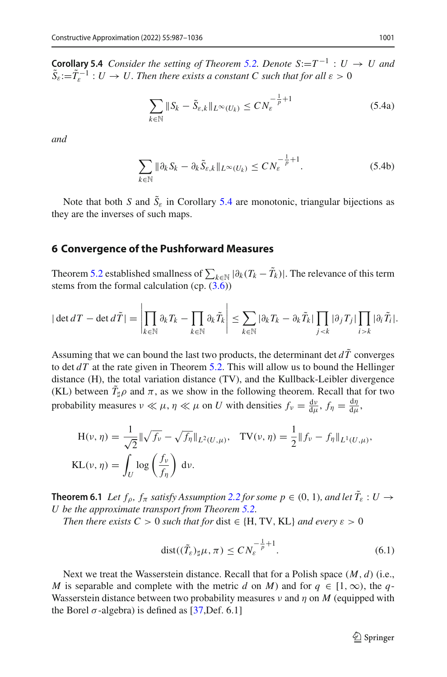**Corollary 5.4** *Consider the setting of Theorem [5.2.](#page-13-0) Denote*  $S:=T^{-1}: U \rightarrow U$  *and*  $\tilde{S}_\varepsilon$ := $\tilde{T}_\varepsilon^{-1}$  : *U*  $\rightarrow U$ . Then there exists a constant C such that for all  $\varepsilon > 0$ 

<span id="page-14-2"></span>
$$
\sum_{k \in \mathbb{N}} \|S_k - \tilde{S}_{\varepsilon,k}\|_{L^\infty(U_k)} \le C N_{\varepsilon}^{-\frac{1}{p}+1}
$$
\n(5.4a)

*and*

<span id="page-14-3"></span>
$$
\sum_{k \in \mathbb{N}} \|\partial_k S_k - \partial_k \tilde{S}_{\varepsilon,k}\|_{L^\infty(U_k)} \le C N_{\varepsilon}^{-\frac{1}{p}+1}.
$$
 (5.4b)

Note that both *S* and  $S_{\varepsilon}$  in Corollary [5.4](#page-13-3) are monotonic, triangular bijections as they are the inverses of such maps.

#### <span id="page-14-0"></span>**6 Convergence of the Pushforward Measures**

Theorem [5.2](#page-13-0) established smallness of  $\sum_{k \in \mathbb{N}} |\partial_k (T_k - T_k)|$ . The relevance of this term stems from the formal calculation (cp.  $(3.6)$ )

$$
|\det dT - \det d\tilde{T}| = \left|\prod_{k \in \mathbb{N}} \partial_k T_k - \prod_{k \in \mathbb{N}} \partial_k \tilde{T}_k\right| \leq \sum_{k \in \mathbb{N}} |\partial_k T_k - \partial_k \tilde{T}_k| \prod_{j < k} |\partial_j T_j| \prod_{i > k} |\partial_i \tilde{T}_i|.
$$

Assuming that we can bound the last two products, the determinant det  $d\tilde{T}$  converges to det *dT* at the rate given in Theorem [5.2.](#page-13-0) This will allow us to bound the Hellinger distance (H), the total variation distance (TV), and the Kullback-Leibler divergence (KL) between  $T_{\sharp}\rho$  and  $\pi$ , as we show in the following theorem. Recall that for two probability measures  $\nu \ll \mu$ ,  $\eta \ll \mu$  on *U* with densities  $f_{\nu} = \frac{dv}{d\mu}$ ,  $f_{\eta} = \frac{d\eta}{d\mu}$ ,

$$
H(\nu, \eta) = \frac{1}{\sqrt{2}} \|\sqrt{f_{\nu}} - \sqrt{f_{\eta}}\|_{L^{2}(U, \mu)}, \quad TV(\nu, \eta) = \frac{1}{2} \|f_{\nu} - f_{\eta}\|_{L^{1}(U, \mu)},
$$
  

$$
KL(\nu, \eta) = \int_{U} \log \left(\frac{f_{\nu}}{f_{\eta}}\right) d\nu.
$$

<span id="page-14-1"></span>**Theorem 6.1** *Let*  $f_\rho$ *,*  $f_\pi$  *satisfy Assumption* [2.2](#page-5-1) *for some*  $p \in (0, 1)$ *, and let*  $T_\varepsilon$  :  $U \to$ *U be the approximate transport from Theorem [5.2.](#page-13-0)*

*Then there exists*  $C > 0$  *such that for dist*  $\in \{H, TV, KL\}$  *and every*  $\varepsilon > 0$ 

<span id="page-14-4"></span>
$$
dist((\tilde{T}_{\varepsilon})_{\sharp}\mu,\pi) \le CN_{\varepsilon}^{-\frac{1}{p}+1}.
$$
\n(6.1)

Next we treat the Wasserstein distance. Recall that for a Polish space (*M*, *d*) (i.e., *M* is separable and complete with the metric *d* on *M*) and for  $q \in [1, \infty)$ , the *q*-Wasserstein distance between two probability measures  $\nu$  and  $\eta$  on M (equipped with the Borel  $\sigma$ -algebra) is defined as [\[37](#page-48-16), Def. 6.1]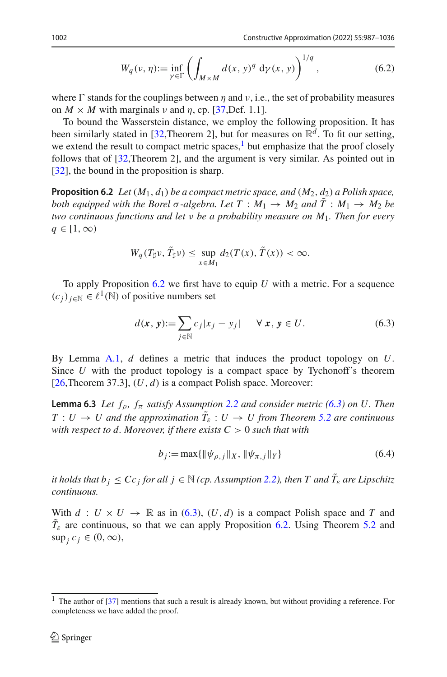<span id="page-15-5"></span>
$$
W_q(\nu, \eta) := \inf_{\gamma \in \Gamma} \left( \int_{M \times M} d(x, y)^q \, d\gamma(x, y) \right)^{1/q}, \tag{6.2}
$$

where  $\Gamma$  stands for the couplings between  $\eta$  and  $\nu$ , i.e., the set of probability measures on  $M \times M$  with marginals v and  $\eta$ , cp. [\[37](#page-48-16), Def. 1.1].

To bound the Wasserstein distance, we employ the following proposition. It has been similarly stated in [\[32,](#page-48-12)Theorem 2], but for measures on  $\mathbb{R}^d$ . To fit our setting, we extend the result to compact metric spaces, $<sup>1</sup>$  $<sup>1</sup>$  $<sup>1</sup>$  but emphasize that the proof closely</sup> follows that of [\[32](#page-48-12),Theorem 2], and the argument is very similar. As pointed out in [\[32](#page-48-12)], the bound in the proposition is sharp.

<span id="page-15-0"></span>**Proposition 6.2** *Let*  $(M_1, d_1)$  *be a compact metric space, and*  $(M_2, d_2)$  *a Polish space, both equipped with the Borel*  $\sigma$ -algebra. Let  $T : M_1 \rightarrow M_2$  and  $\tilde{T} : M_1 \rightarrow M_2$  be *two continuous functions and let* ν *be a probability measure on M*1*. Then for every*  $q \in [1,\infty)$ 

$$
W_q(T_{\sharp}\nu, \tilde{T}_{\sharp}\nu) \leq \sup_{x \in M_1} d_2(T(x), \tilde{T}(x)) < \infty.
$$

To apply Proposition [6.2](#page-15-0) we first have to equip *U* with a metric. For a sequence  $(c_i)_{i \in \mathbb{N}} \in \ell^1(\mathbb{N})$  of positive numbers set

<span id="page-15-2"></span>
$$
d(\mathbf{x}, \mathbf{y}) := \sum_{j \in \mathbb{N}} c_j |x_j - y_j| \quad \forall \mathbf{x}, \mathbf{y} \in U.
$$
 (6.3)

By Lemma [A.1,](#page-18-0) *d* defines a metric that induces the product topology on *U*. Since *U* with the product topology is a compact space by Tychonoff's theorem [ $26$ ,Theorem 37.3],  $(U, d)$  is a compact Polish space. Moreover:

<span id="page-15-4"></span>**Lemma 6.3** *Let*  $f_{\rho}$ *,*  $f_{\pi}$  *satisfy Assumption* [2.2](#page-5-1) *and consider metric* [\(6.3\)](#page-15-2) *on U. Then*  $T: U \to U$  and the approximation  $T_{\varepsilon}: U \to U$  from Theorem [5.2](#page-13-0) are continuous *with respect to d. Moreover, if there exists*  $C > 0$  *such that with* 

<span id="page-15-3"></span>
$$
b_j := \max\{\|\psi_{\rho,j}\|_X, \|\psi_{\pi,j}\|_Y\}
$$
\n(6.4)

*it holds that*  $b_j \leq Cc_j$  *for all*  $j \in \mathbb{N}$  *(cp. Assumption [2.2\)](#page-5-1), then*  $T$  *and*  $\tilde{T}_\varepsilon$  *are Lipschitz continuous.*

With  $d: U \times U \rightarrow \mathbb{R}$  as in [\(6.3\)](#page-15-2),  $(U, d)$  is a compact Polish space and *T* and  $T_{\varepsilon}$  are continuous, so that we can apply Proposition [6.2.](#page-15-0) Using Theorem [5.2](#page-13-0) and  $\sup_i c_i \in (0, \infty),$ 

<span id="page-15-1"></span> $1$  The author of [\[37](#page-48-16)] mentions that such a result is already known, but without providing a reference. For completeness we have added the proof.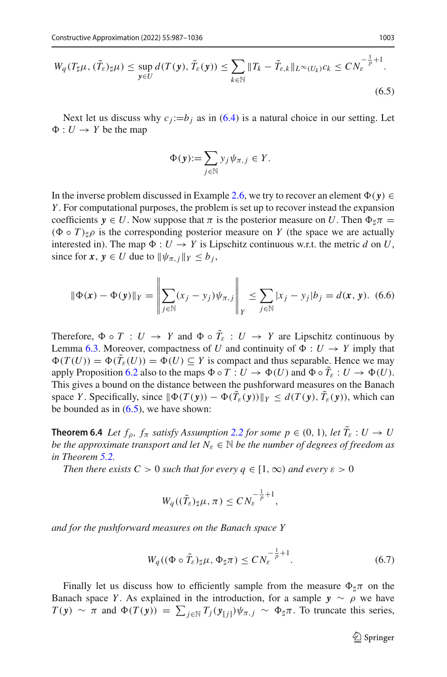<span id="page-16-1"></span>
$$
W_q(T_{\sharp}\mu, (\tilde{T}_{\varepsilon})_{\sharp}\mu) \le \sup_{\mathbf{y} \in U} d(T(\mathbf{y}), \tilde{T}_{\varepsilon}(\mathbf{y})) \le \sum_{k \in \mathbb{N}} \|T_k - \tilde{T}_{\varepsilon,k}\|_{L^{\infty}(U_k)} c_k \le C N_{\varepsilon}^{-\frac{1}{p}+1}.
$$
\n
$$
(6.5)
$$

Next let us discuss why  $c_j := b_j$  as in [\(6.4\)](#page-15-3) is a natural choice in our setting. Let  $\Phi: U \to Y$  be the map

$$
\Phi(\mathbf{y}) := \sum_{j \in \mathbb{N}} y_j \psi_{\pi, j} \in Y.
$$

In the inverse problem discussed in Example [2.6,](#page-6-0) we try to recover an element  $\Phi(\mathbf{v}) \in$ *Y* . For computational purposes, the problem is set up to recover instead the expansion coefficients  $y \in U$ . Now suppose that  $\pi$  is the posterior measure on U. Then  $\Phi_{\sharp} \pi$  =  $(\Phi \circ T)_{\dagger} \rho$  is the corresponding posterior measure on *Y* (the space we are actually interested in). The map  $\Phi : U \to Y$  is Lipschitz continuous w.r.t. the metric *d* on *U*, since for  $x, y \in U$  due to  $\|\psi_{\pi, j}\|_Y \le b_j$ ,

<span id="page-16-3"></span>
$$
\|\Phi(x) - \Phi(y)\|_{Y} = \left\|\sum_{j \in \mathbb{N}} (x_j - y_j)\psi_{\pi,j}\right\|_{Y} \le \sum_{j \in \mathbb{N}} |x_j - y_j| b_j = d(x, y). \tag{6.6}
$$

Therefore,  $\Phi \circ T : U \to Y$  and  $\Phi \circ T_{\varepsilon} : U \to Y$  are Lipschitz continuous by Lemma [6.3.](#page-15-4) Moreover, compactness of *U* and continuity of  $\Phi : U \to Y$  imply that  $\Phi(T(U)) = \Phi(T_{\varepsilon}(U)) = \Phi(U) \subseteq Y$  is compact and thus separable. Hence we may apply Proposition [6.2](#page-15-0) also to the maps  $\Phi \circ T : U \to \Phi(U)$  and  $\Phi \circ T_{\varepsilon} : U \to \Phi(U)$ . This gives a bound on the distance between the pushforward measures on the Banach space *Y*. Specifically, since  $\|\Phi(T(y)) - \Phi(T_{\varepsilon}(y))\|_Y \le d(T(y), T_{\varepsilon}(y))$ , which can be bounded as in  $(6.5)$ , we have shown:

<span id="page-16-0"></span>**Theorem 6.4** *Let*  $f_{\rho}$ *,*  $f_{\pi}$  *satisfy Assumption* [2.2](#page-5-1) *for some*  $p \in (0, 1)$ *, let*  $T_{\varepsilon}: U \to U$ *be the approximate transport and let*  $N_{\varepsilon} \in \mathbb{N}$  *be the number of degrees of freedom as in Theorem [5.2.](#page-13-0)*

*Then there exists*  $C > 0$  *such that for every*  $q \in [1, \infty)$  *and every*  $\varepsilon > 0$ 

$$
W_q((\tilde{T}_{\varepsilon})_{\sharp}\mu,\pi)\leq CN_{\varepsilon}^{-\frac{1}{p}+1},
$$

*and for the pushforward measures on the Banach space Y*

<span id="page-16-2"></span>
$$
W_q((\Phi \circ \tilde{T}_{\varepsilon})_{\sharp}\mu, \Phi_{\sharp}\pi) \leq C N_{\varepsilon}^{-\frac{1}{p}+1}.
$$
 (6.7)

Finally let us discuss how to efficiently sample from the measure  $\Phi_{\sharp}\pi$  on the Banach space *Y*. As explained in the introduction, for a sample  $y \sim \rho$  we have  $T(y) \sim \pi$  and  $\Phi(T(y)) = \sum_{j \in \mathbb{N}} T_j(y_{[j]}) \psi_{\pi, j} \sim \Phi_{\sharp} \pi$ . To truncate this series,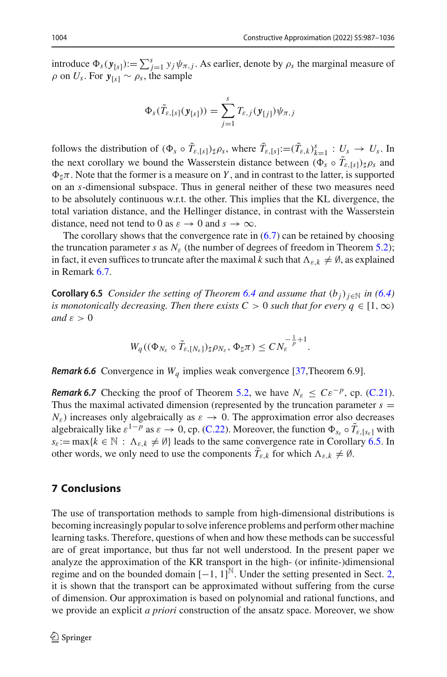introduce  $\Phi_s(\mathbf{y}_{[s]}) := \sum_{j=1}^s y_j \psi_{\pi,j}$ . As earlier, denote by  $\rho_s$  the marginal measure of  $\rho$  on  $U_s$ . For  $y_{[s]} \sim \rho_s$ , the sample

$$
\Phi_s(\tilde{T}_{\varepsilon,[s]}(\mathbf{y}_{[s]})) = \sum_{j=1}^s T_{\varepsilon,j}(\mathbf{y}_{[j]}) \psi_{\pi,j}
$$

follows the distribution of  $(\Phi_s \circ \tilde{T}_{\varepsilon,[s]}) \sharp \rho_s$ , where  $\tilde{T}_{\varepsilon,[s]} := (\tilde{T}_{\varepsilon,k})^s_{k=1} : U_s \to U_s$ . In the next corollary we bound the Wasserstein distance between  $(\Phi_s \circ T_{\varepsilon,[s]}) \sharp \rho_s$  and  $\Phi_{\sharp}\pi$ . Note that the former is a measure on *Y*, and in contrast to the latter, is supported on an *s*-dimensional subspace. Thus in general neither of these two measures need to be absolutely continuous w.r.t. the other. This implies that the KL divergence, the total variation distance, and the Hellinger distance, in contrast with the Wasserstein distance, need not tend to 0 as  $\varepsilon \to 0$  and  $s \to \infty$ .

The corollary shows that the convergence rate in  $(6.7)$  can be retained by choosing the truncation parameter *s* as  $N_{\varepsilon}$  (the number of degrees of freedom in Theorem [5.2\)](#page-13-0); in fact, it even suffices to truncate after the maximal *k* such that  $\Lambda_{\varepsilon,k} \neq \emptyset$ , as explained in Remark [6.7.](#page-17-1)

<span id="page-17-0"></span>**Corollary 6.5** *Consider the setting of Theorem [6.4](#page-16-0) and assume that*  $(b_i)_{i \in \mathbb{N}}$  *in* [\(6.4\)](#page-15-3) *is monotonically decreasing. Then there exists C* > 0 *such that for every*  $q \in [1, \infty)$ *and*  $\varepsilon > 0$ 

$$
W_q((\Phi_{N_{\varepsilon}}\circ \tilde{T}_{\varepsilon,\{N_{\varepsilon}\}})\sharp \rho_{N_{\varepsilon}},\Phi_{\sharp}\pi)\leq CN_{\varepsilon}^{-\frac{1}{p}+1}.
$$

*Remark 6.6* Convergence in  $W_a$  implies weak convergence [\[37,](#page-48-16) Theorem 6.9].

<span id="page-17-1"></span>*Remark 6.7* Checking the proof of Theorem [5.2,](#page-13-0) we have  $N_{\varepsilon} \leq C \varepsilon^{-p}$ , cp. [\(C.21\)](#page-35-0). Thus the maximal activated dimension (represented by the truncation parameter  $s =$  $N_{\epsilon}$ ) increases only algebraically as  $\varepsilon \rightarrow 0$ . The approximation error also decreases algebraically like  $\varepsilon^{1-p}$  as  $\varepsilon \to 0$ , cp. [\(C.22\)](#page-35-1). Moreover, the function  $\Phi_{s_{\varepsilon}} \circ \tilde{T}_{\varepsilon, [s_{\varepsilon}]}$  with  $s_{\varepsilon}:=\max\{k\in\mathbb{N}: \Lambda_{\varepsilon,k}\neq\emptyset\}$  leads to the same convergence rate in Corollary [6.5.](#page-17-0) In other words, we only need to use the components  $T_{\varepsilon,k}$  for which  $\Lambda_{\varepsilon,k} \neq \emptyset$ .

# **7 Conclusions**

The use of transportation methods to sample from high-dimensional distributions is becoming increasingly popular to solve inference problems and perform other machine learning tasks. Therefore, questions of when and how these methods can be successful are of great importance, but thus far not well understood. In the present paper we analyze the approximation of the KR transport in the high- (or infinite-)dimensional regime and on the bounded domain  $[-1, 1]^{\mathbb{N}}$ . Under the setting presented in Sect. [2,](#page-3-0) it is shown that the transport can be approximated without suffering from the curse of dimension. Our approximation is based on polynomial and rational functions, and we provide an explicit *a priori* construction of the ansatz space. Moreover, we show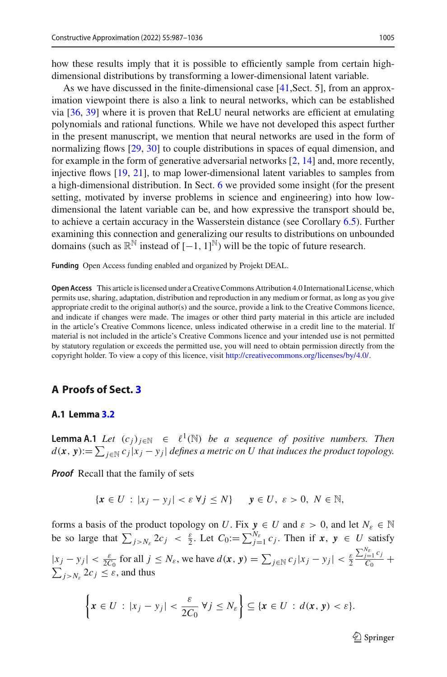how these results imply that it is possible to efficiently sample from certain highdimensional distributions by transforming a lower-dimensional latent variable.

As we have discussed in the finite-dimensional case [\[41](#page-49-1),Sect. 5], from an approximation viewpoint there is also a link to neural networks, which can be established via [\[36](#page-48-18), [39](#page-49-2)] where it is proven that ReLU neural networks are efficient at emulating polynomials and rational functions. While we have not developed this aspect further in the present manuscript, we mention that neural networks are used in the form of normalizing flows [\[29,](#page-48-19) [30](#page-48-20)] to couple distributions in spaces of equal dimension, and for example in the form of generative adversarial networks  $[2, 14]$  $[2, 14]$  $[2, 14]$  and, more recently, injective flows [\[19,](#page-48-22) [21](#page-48-23)], to map lower-dimensional latent variables to samples from a high-dimensional distribution. In Sect. [6](#page-14-0) we provided some insight (for the present setting, motivated by inverse problems in science and engineering) into how lowdimensional the latent variable can be, and how expressive the transport should be, to achieve a certain accuracy in the Wasserstein distance (see Corollary [6.5\)](#page-17-0). Further examining this connection and generalizing our results to distributions on unbounded domains (such as  $\mathbb{R}^{\mathbb{N}}$  instead of  $[-1, 1]^{\mathbb{N}}$ ) will be the topic of future research.

**Funding** Open Access funding enabled and organized by Projekt DEAL.

**Open Access** This article is licensed under a Creative Commons Attribution 4.0 International License, which permits use, sharing, adaptation, distribution and reproduction in any medium or format, as long as you give appropriate credit to the original author(s) and the source, provide a link to the Creative Commons licence, and indicate if changes were made. The images or other third party material in this article are included in the article's Creative Commons licence, unless indicated otherwise in a credit line to the material. If material is not included in the article's Creative Commons licence and your intended use is not permitted by statutory regulation or exceeds the permitted use, you will need to obtain permission directly from the copyright holder. To view a copy of this licence, visit [http://creativecommons.org/licenses/by/4.0/.](http://creativecommons.org/licenses/by/4.0/)

# **A Proofs of Sect. [3](#page-7-0)**

### **A.1 Lemma [3.2](#page-8-1)**

<span id="page-18-0"></span>**Lemma A.1** *Let*  $(c_j)_{j \in \mathbb{N}} \in \ell^1(\mathbb{N})$  *be a sequence of positive numbers. Then*  $d(\mathbf{x}, \mathbf{y}) := \sum_{j \in \mathbb{N}} c_j |x_j - y_j|$  *defines a metric on U that induces the product topology.* 

*Proof* Recall that the family of sets

$$
\{x \in U : |x_j - y_j| < \varepsilon \,\forall j \le N\} \qquad y \in U, \ \varepsilon > 0, \ N \in \mathbb{N},
$$

forms a basis of the product topology on *U*. Fix  $y \in U$  and  $\varepsilon > 0$ , and let  $N_{\varepsilon} \in \mathbb{N}$ be so large that  $\sum_{j>N_{\varepsilon}} 2c_j < \frac{\varepsilon}{2}$ . Let  $C_0 := \sum_{j=1}^{N_{\varepsilon}} c_j$ . Then if  $x, y \in U$  satisfy  $|x_j - y_j| < \frac{\varepsilon}{2C_0}$  for all  $j \leq N_{\varepsilon}$ , we have  $d(x, y) = \sum_{j \in \mathbb{N}} c_j |x_j - y_j| < \frac{\varepsilon}{2}$  $\frac{\sum_{j=1}^{N_{\varepsilon}} c_j}{C_0}$  +  $\sum_{j>N_{\varepsilon}} 2c_j \leq \varepsilon$ , and thus

$$
\left\{x\in U\,:\,|x_j-y_j|<\frac{\varepsilon}{2C_0}\,\forall j\leq N_{\varepsilon}\right\}\subseteq\left\{x\in U\,:\,d(x,\,y)<\varepsilon\right\}.
$$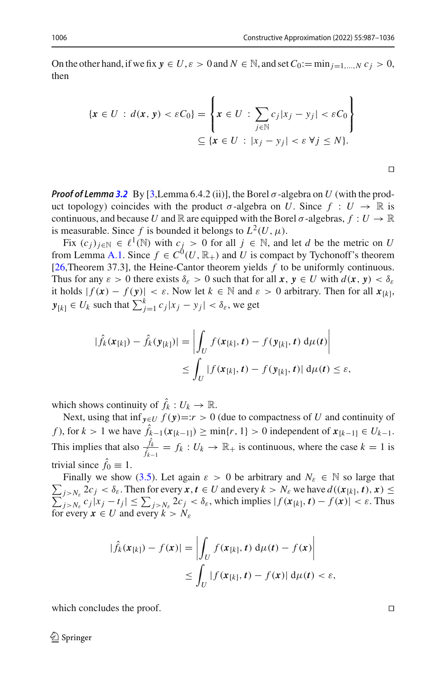On the other hand, if we fix  $y \in U$ ,  $\varepsilon > 0$  and  $N \in \mathbb{N}$ , and set  $C_0 := \min_{i=1,\dots,N} c_i > 0$ , then

$$
\begin{aligned} \{\pmb{x} \in U \,:\, d(\pmb{x},\,\pmb{y}) < \varepsilon C_0\} &= \left\{\pmb{x} \in U \,:\, \sum_{j \in \mathbb{N}} c_j |x_j - y_j| < \varepsilon C_0\right\} \\ &\subseteq \{\pmb{x} \in U \,:\, |x_j - y_j| < \varepsilon \,\forall j \le N\}. \end{aligned}
$$

 $\Box$ 

*Proof of Lemma [3.2](#page-8-1)* By [\[3](#page-47-3),Lemma 6.4.2 (ii)], the Borel σ-algebra on *U* (with the product topology) coincides with the product  $\sigma$ -algebra on *U*. Since  $f: U \to \mathbb{R}$  is continuous, and because *U* and  $\mathbb R$  are equipped with the Borel  $\sigma$ -algebras,  $f: U \to \mathbb R$ is measurable. Since f is bounded it belongs to  $L^2(U, \mu)$ .

Fix  $(c_i)_{i \in \mathbb{N}} \in \ell^1(\mathbb{N})$  with  $c_i > 0$  for all  $j \in \mathbb{N}$ , and let *d* be the metric on *U* from Lemma [A.1.](#page-18-0) Since  $f \in C^0(U, \mathbb{R}_+)$  and *U* is compact by Tychonoff's theorem [\[26](#page-48-17),Theorem 37.3], the Heine-Cantor theorem yields *f* to be uniformly continuous. Thus for any  $\varepsilon > 0$  there exists  $\delta_{\varepsilon} > 0$  such that for all  $x, y \in U$  with  $d(x, y) < \delta_{\varepsilon}$ it holds  $|f(x) - f(y)| < \varepsilon$ . Now let  $k \in \mathbb{N}$  and  $\varepsilon > 0$  arbitrary. Then for all  $x_{[k]}$ ,  $y_{[k]} \in U_k$  such that  $\sum_{j=1}^k c_j |x_j - y_j| < \delta_{\varepsilon}$ , we get

$$
|\hat{f}_k(\boldsymbol{x}_{[k]}) - \hat{f}_k(\boldsymbol{y}_{[k]})| = \left| \int_U f(\boldsymbol{x}_{[k]}, t) - f(\boldsymbol{y}_{[k]}, t) d\mu(t) \right|
$$
  

$$
\leq \int_U |f(\boldsymbol{x}_{[k]}, t) - f(\boldsymbol{y}_{[k]}, t)| d\mu(t) \leq \varepsilon,
$$

which shows continuity of  $\hat{f}_k : U_k \to \mathbb{R}$ .

Next, using that inf  $\mathbf{v} \in U$   $f(\mathbf{y}) =: r > 0$  (due to compactness of *U* and continuity of *f*), for *k* > 1 we have  $\hat{f}_{k-1}(\mathbf{x}_{[k-1]}) \ge \min\{r, 1\} > 0$  independent of  $\mathbf{x}_{[k-1]} \in U_{k-1}$ . This implies that also  $\frac{f_k}{\hat{f}_{k-1}} = f_k : U_k \to \mathbb{R}_+$  is continuous, where the case  $k = 1$  is trivial since  $f_0 \equiv 1$ .

 $\sum_{j>N_{\varepsilon}} 2c_j < \delta_{\varepsilon}$ . Then for every  $x, t \in U$  and every  $k > N_{\varepsilon}$  we have  $d((x_{[k]}, t), x) \le \sum_{i>N_{\varepsilon}} c_j |x_j - t_j| \le \sum_{i>N_{\varepsilon}} 2c_j < \delta_{\varepsilon}$ , which implies  $|f(x_{[k]}, t) - f(x)| < \varepsilon$ . Thus Finally we show [\(3.5\)](#page-9-3). Let again  $\varepsilon > 0$  be arbitrary and  $N_{\varepsilon} \in \mathbb{N}$  so large that  $|f(x_{[k]}, t) - f(x)| \leq \sum_{j > N_{\varepsilon}} 2c_j < \delta_{\varepsilon}$ , which implies  $|f(x_{[k]}, t) - f(x)| < \varepsilon$ . Thus for every  $x \in U$  and every  $k > N_{\varepsilon}$ 

$$
|\hat{f}_k(\mathbf{x}_{[k]}) - f(\mathbf{x})| = \left| \int_U f(\mathbf{x}_{[k]}, t) \, d\mu(t) - f(\mathbf{x}) \right|
$$
  
 
$$
\leq \int_U |f(\mathbf{x}_{[k]}, t) - f(\mathbf{x})| \, d\mu(t) < \varepsilon,
$$

which concludes the proof.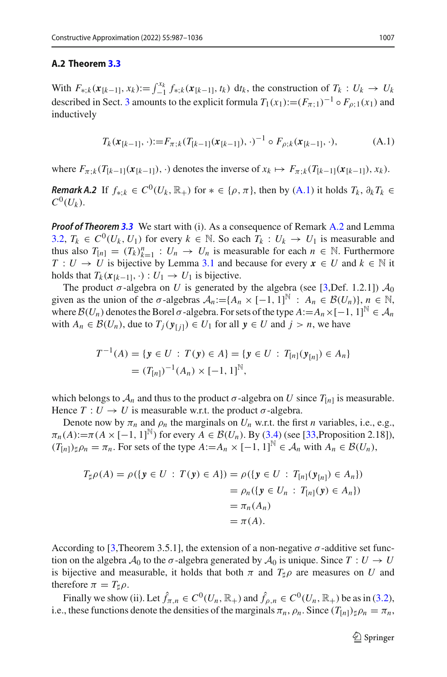#### **A.2 Theorem [3.3](#page-9-0)**

With  $F_{*,k}(\mathbf{x}_{[k-1]}, x_k) := \int_{-1}^{x_k} f_{*,k}(\mathbf{x}_{[k-1]}, t_k) \, dt_k$ , the construction of  $T_k : U_k \to U_k$ described in Sect. [3](#page-7-0) amounts to the explicit formula  $T_1(x_1):=(F_{\pi,1})^{-1} \circ F_{\rho,1}(x_1)$  and inductively

<span id="page-20-0"></span>
$$
T_k(\mathbf{x}_{[k-1]},\cdot):=F_{\pi;k}(T_{[k-1]}(\mathbf{x}_{[k-1]}),\cdot)^{-1}\circ F_{\rho;k}(\mathbf{x}_{[k-1]},\cdot),\tag{A.1}
$$

where  $F_{\pi,k}(T_{[k-1]}(x_{[k-1]}), \cdot)$  denotes the inverse of  $x_k \mapsto F_{\pi,k}(T_{[k-1]}(x_{[k-1]}), x_k)$ .

*Remark A.2* If  $f_{\ast k} \in C^0(U_k, \mathbb{R}_+)$  for  $\ast \in \{\rho, \pi\}$ , then by  $(A,1)$  it holds  $T_k$ ,  $\partial_k T_k \in$  $C^{0}(U_{k}).$ 

*Proof of Theorem [3.3](#page-9-0)* We start with (i). As a consequence of Remark [A.2](#page-20-0) and Lemma [3.2,](#page-8-1)  $T_k \in C^0(U_k, U_1)$  for every  $k \in \mathbb{N}$ . So each  $T_k : U_k \to U_1$  is measurable and thus also  $T_{[n]} = (T_k)_{k=1}^n : U_n \to U_n$  is measurable for each  $n \in \mathbb{N}$ . Furthermore *T* : *U*  $\rightarrow$  *U* is bijective by Lemma [3.1](#page-8-2) and because for every  $x \in U$  and  $k \in \mathbb{N}$  it holds that  $T_k$ ( $\mathbf{x}_{[k-1]}, \cdot$ ) :  $U_1 \rightarrow U_1$  is bijective.

The product  $\sigma$ -algebra on *U* is generated by the algebra (see [\[3,](#page-47-3)Def. 1.2.1])  $\mathcal{A}_0$ given as the union of the  $\sigma$ -algebras  $\mathcal{A}_n := \{A_n \times [-1, 1]^{\mathbb{N}} : A_n \in \mathcal{B}(U_n)\}, n \in \mathbb{N},$ where  $B(U_n)$  denotes the Borel  $\sigma$ -algebra. For sets of the type  $A := A_n \times [-1, 1]^{\mathbb{N}} \in \mathcal{A}_n$ with  $A_n \in \mathcal{B}(U_n)$ , due to  $T_j(\mathbf{y}_{[j]}) \in U_1$  for all  $\mathbf{y} \in U$  and  $j > n$ , we have

$$
T^{-1}(A) = \{ \mathbf{y} \in U : T(\mathbf{y}) \in A \} = \{ \mathbf{y} \in U : T_{[n]}(\mathbf{y}_{[n]}) \in A_n \}
$$
  
=  $(T_{[n]})^{-1}(A_n) \times [-1, 1]^{\mathbb{N}},$ 

which belongs to  $A_n$  and thus to the product  $\sigma$ -algebra on *U* since  $T_{[n]}$  is measurable. Hence  $T: U \to U$  is measurable w.r.t. the product  $\sigma$ -algebra.

Denote now by  $\pi_n$  and  $\rho_n$  the marginals on  $U_n$  w.r.t. the first *n* variables, i.e., e.g.,  $\pi_n(A) := \pi(A \times [-1, 1]^{\mathbb{N}})$  for every  $A \in \mathcal{B}(U_n)$ . By [\(3.4\)](#page-8-3) (see [\[33,](#page-48-11) Proposition 2.18]),  $(T_{[n]})\sharp \rho_n = \pi_n$ . For sets of the type  $A := A_n \times [-1, 1]^{\mathbb{N}} \in \mathcal{A}_n$  with  $A_n \in \mathcal{B}(U_n)$ ,

$$
T_{\sharp}\rho(A) = \rho(\{y \in U : T(y) \in A\}) = \rho(\{y \in U : T_{[n]}(y_{[n]}) \in A_n\})
$$
  
=  $\rho_n(\{y \in U_n : T_{[n]}(y) \in A_n\})$   
=  $\pi_n(A_n)$   
=  $\pi(A)$ .

According to [\[3,](#page-47-3)Theorem 3.5.1], the extension of a non-negative  $\sigma$ -additive set function on the algebra  $A_0$  to the  $\sigma$ -algebra generated by  $A_0$  is unique. Since  $T: U \to U$ is bijective and measurable, it holds that both  $\pi$  and  $T_{\sharp}\rho$  are measures on *U* and therefore  $\pi = T_{\sharp}\rho$ .

Finally we show (ii). Let  $\hat{f}_{\pi,n} \in C^0(U_n, \mathbb{R}_+)$  and  $\hat{f}_{\rho,n} \in C^0(U_n, \mathbb{R}_+)$  be as in [\(3.2\)](#page-7-4), i.e., these functions denote the densities of the marginals  $\pi_n$ ,  $\rho_n$ . Since  $(T_{[n]})\n\downarrow\rho_n = \pi_n$ ,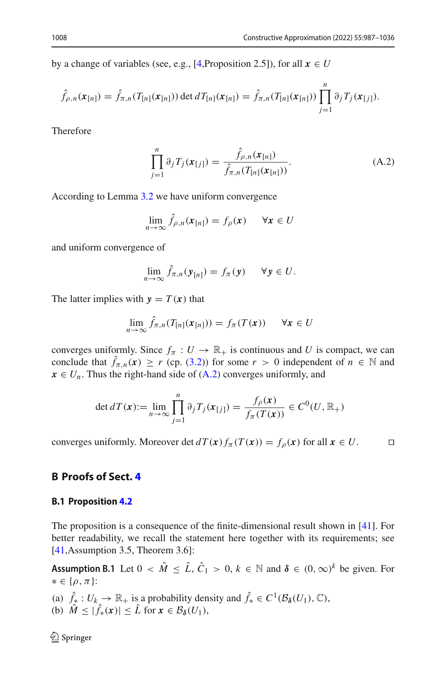by a change of variables (see, e.g., [\[4](#page-47-2),Proposition 2.5]), for all  $x \in U$ 

$$
\hat{f}_{\rho,n}(\mathbf{x}_{[n]}) = \hat{f}_{\pi,n}(T_{[n]}(\mathbf{x}_{[n]})) \det dT_{[n]}(\mathbf{x}_{[n]}) = \hat{f}_{\pi,n}(T_{[n]}(\mathbf{x}_{[n]})) \prod_{j=1}^n \partial_j T_j(\mathbf{x}_{[j]}).
$$

Therefore

$$
\prod_{j=1}^{n} \partial_{j} T_{j}(\mathbf{x}_{[j]}) = \frac{\hat{f}_{\rho,n}(\mathbf{x}_{[n]})}{\hat{f}_{\pi,n}(T_{[n]}(\mathbf{x}_{[n]}))}.
$$
\n(A.2)

According to Lemma [3.2](#page-8-1) we have uniform convergence

$$
\lim_{n\to\infty}\hat{f}_{\rho,n}(\mathbf{x}_{[n]})=f_{\rho}(\mathbf{x}) \qquad \forall \mathbf{x}\in U
$$

and uniform convergence of

$$
\lim_{n\to\infty}\hat{f}_{\pi,n}(\mathbf{y}_{[n]})=f_{\pi}(\mathbf{y})\qquad\forall\mathbf{y}\in U.
$$

The latter implies with  $y = T(x)$  that

$$
\lim_{n \to \infty} \hat{f}_{\pi,n}(T_{[n]}(x_{[n]})) = f_{\pi}(T(x)) \quad \forall x \in U
$$

converges uniformly. Since  $f_{\pi}: U \to \mathbb{R}_+$  is continuous and *U* is compact, we can conclude that  $\hat{f}_{\pi,n}(x) \ge r$  (cp. [\(3.2\)](#page-7-4)) for some  $r > 0$  independent of  $n \in \mathbb{N}$  and  $x \in U_n$ . Thus the right-hand side of  $(A.2)$  converges uniformly, and

$$
\det dT(\mathbf{x}) := \lim_{n \to \infty} \prod_{j=1}^{n} \partial_j T_j(\mathbf{x}_{[j]}) = \frac{f_\rho(\mathbf{x})}{f_\pi(T(\mathbf{x}))} \in C^0(U, \mathbb{R}_+)
$$

converges uniformly. Moreover det  $dT(\mathbf{x}) f_\pi(T(\mathbf{x})) = f_\rho(\mathbf{x})$  for all  $\mathbf{x} \in U$ .

# **B Proofs of Sect. [4](#page-9-1)**

#### **B.1 Proposition [4.2](#page-10-0)**

<span id="page-21-0"></span>The proposition is a consequence of the finite-dimensional result shown in [\[41\]](#page-49-1). For better readability, we recall the statement here together with its requirements; see [\[41](#page-49-1),Assumption 3.5, Theorem 3.6]:

**Assumption B.1** Let  $0 < \hat{M} \leq \hat{L}$ ,  $\hat{C}_1 > 0$ ,  $k \in \mathbb{N}$  and  $\delta \in (0, \infty)^k$  be given. For ∗∈{ρ,π}:

(a)  $\hat{f}_* : U_k \to \mathbb{R}_+$  is a probability density and  $\hat{f}_* \in C^1(\mathcal{B}_{\delta}(U_1), \mathbb{C}),$ (b)  $\hat{M} \leq |\hat{f}_*(x)| \leq \hat{L}$  for  $x \in \mathcal{B}_{\delta}(U_1)$ ,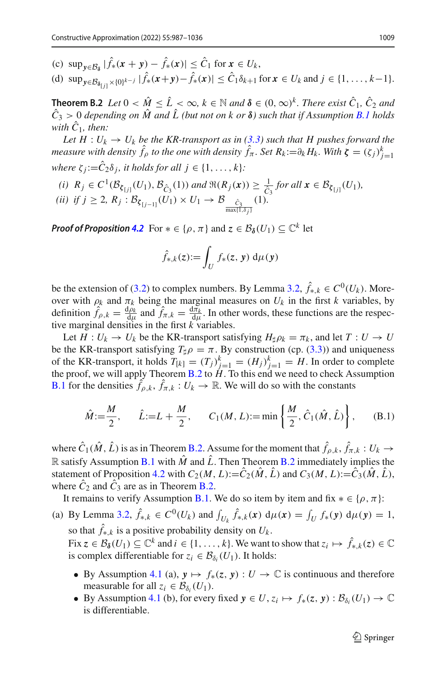- (c)  $\sup_{y \in \mathcal{B}_s} |\hat{f}_*(x + y) \hat{f}_*(x)| \leq \hat{C}_1$  for  $x \in U_k$ ,
- $f_*(d)$  sup<sub>*y*∈ $B_{\delta_{[j]}} \times \{0\}^{k-j}$ </sub>  $|f_*(x+y) f_*(x)| \le C_1 \delta_{k+1}$  for  $x \in U_k$  and  $j \in \{1, ..., k-1\}.$

<span id="page-22-0"></span>**Theorem B.2** *Let*  $0 < \hat{M} \leq \hat{L} < \infty$ ,  $k \in \mathbb{N}$  *and*  $\delta \in (0, \infty)^k$ . *There exist*  $\hat{C}_1$ *,*  $\hat{C}_2$  *and*  $\hat{C}_3 > 0$  *depending on*  $\hat{M}$  *and*  $\hat{L}$  *(but not on k or*  $\delta$ *) such that if Assumption [B.1](#page-21-0) holds with*  $\hat{C}_1$ *, then:* 

*Let H* :  $U_k \rightarrow U_k$  *be the KR-transport as in* [\(3.3\)](#page-8-0) *such that H pushes forward the measure with density*  $\hat{f}_{\rho}$  *to the one with density*  $\hat{f}_{\pi}$ *. Set*  $R_k := \partial_k H_k$ *. With*  $\zeta = (\zeta_j)_{j=1}^k$ *where*  $\zeta_i := \hat{C}_2 \delta_i$ *, it holds for all*  $j \in \{1, \ldots, k\}$ *:* 

 $(i)$   $R_j \in C^1(\mathcal{B}_{\xi_{[j]}}(U_1), \mathcal{B}_{\hat{C}_3}(1))$  *and*  $\Re(R_j(x)) \geq \frac{1}{\hat{C}_3}$  *for all*  $x \in \mathcal{B}_{\xi_{[j]}}(U_1)$ *, (ii) if j*  $\geq$  2*,*  $R_j$  :  $B_{\zeta_{[j-1]}}(U_1) \times U_1 \to B_{\frac{\hat{C}_3}{\max\{1,\delta_j\}}}(1)$ .

*Proof of Proposition* [4.2](#page-10-0) For  $* \in \{\rho, \pi\}$  and  $z \in \mathcal{B}_{\delta}(U_1) \subseteq \mathbb{C}^k$  let

$$
\hat{f}_{*,k}(z) := \int_U f_*(z, y) \, \mathrm{d}\mu(y)
$$

be the extension of [\(3.2\)](#page-7-4) to complex numbers. By Lemma [3.2,](#page-8-1)  $\hat{f}_{k,k} \in C^0(U_k)$ . Moreover with  $\rho_k$  and  $\pi_k$  being the marginal measures on  $U_k$  in the first *k* variables, by definition  $\hat{f}_{\rho,k} = \frac{d\rho_k}{d\mu}$  and  $\hat{f}_{\pi,k} = \frac{d\pi_k}{d\mu}$ . In other words, these functions are the respective marginal densities in the first *k* variables.

Let  $H: U_k \to U_k$  be the KR-transport satisfying  $H_{\dagger} \rho_k = \pi_k$ , and let  $T: U \to U$ be the KR-transport satisfying  $T_{\sharp}\rho = \pi$ . By construction (cp. [\(3.3\)](#page-8-0)) and uniqueness of the KR-transport, it holds  $T_{[k]} = (T_j)_{j=1}^k = (H_j)_{j=1}^k = H$ . In order to complete the proof, we will apply Theorem [B.2](#page-22-0) to  $H$ . To this end we need to check Assumption **[B.1](#page-21-0)** for the densities  $f_{\rho,k}, f_{\pi,k}: U_k \to \mathbb{R}$ . We will do so with the constants

$$
\hat{M} := \frac{M}{2}, \quad \hat{L} := L + \frac{M}{2}, \quad C_1(M, L) := \min\left\{\frac{M}{2}, \hat{C}_1(\hat{M}, \hat{L})\right\}, \quad (B.1)
$$

where  $\hat{C}_1(\hat{M}, \hat{L})$  is as in Theorem [B.2.](#page-22-0) Assume for the moment that  $\hat{f}_{\rho,k}, \hat{f}_{\pi,k}: U_k \to$ R satisfy Assumption [B.1](#page-21-0) with  $\hat{M}$  and  $\hat{L}$ . Then Theorem [B.2](#page-22-0) immediately implies the statement of Proposition [4.2](#page-10-0) with  $C_2(M, L) := \hat{C}_2(\hat{M}, \hat{L})$  and  $C_3(M, L) := \hat{C}_3(\hat{M}, \hat{L})$ , where  $\tilde{C}_2$  and  $\tilde{C}_3$  are as in Theorem [B.2.](#page-22-0)

It remains to verify Assumption [B.1.](#page-21-0) We do so item by item and fix  $* \in \{\rho, \pi\}$ :

(a) By Lemma [3.2,](#page-8-1)  $\hat{f}_{*,k} \in C^0(U_k)$  and  $\int_{U_k} \hat{f}_{*,k}(x) d\mu(x) = \int_U f_*(y) d\mu(y) = 1$ , so that  $\hat{f}_{*,k}$  is a positive probability density on  $U_k$ .

Fix  $z \in \mathcal{B}_{\delta}(U_1) \subseteq \mathbb{C}^k$  and  $i \in \{1, ..., k\}$ . We want to show that  $z_i \mapsto \hat{f}_{*,k}(z) \in \mathbb{C}$ is complex differentiable for  $z_i \in \mathcal{B}_{\delta_i}(U_1)$ . It holds:

- By Assumption [4.1](#page-10-2) (a),  $y \mapsto f_*(z, y) : U \to \mathbb{C}$  is continuous and therefore measurable for all  $z_i \in \mathcal{B}_{\delta_i}(U_1)$ .
- By Assumption [4.1](#page-10-2) (b), for every fixed  $y \in U$ ,  $z_i \mapsto f_*(z, y) : B_{\delta_i}(U_1) \to \mathbb{C}$ is differentiable.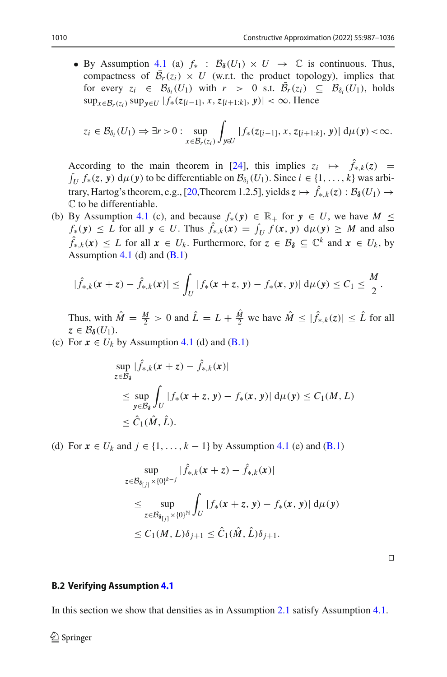• By Assumption [4.1](#page-10-2) (a)  $f_*$  :  $\mathcal{B}_{\delta}(U_1) \times U \to \mathbb{C}$  is continuous. Thus, compactness of  $\mathcal{B}_r(z_i) \times U$  (w.r.t. the product topology), implies that for every  $z_i \in \mathcal{B}_{\delta_i}(U_1)$  with  $r > 0$  s.t.  $\mathcal{B}_r(z_i) \subseteq \mathcal{B}_{\delta_i}(U_1)$ , holds sup<sub>*x*∈*B*<sup>*r*</sup>( $z_i$ )</sub> sup<sub>*γ*∈*U*</sub> |  $f_*(z_{[i-1]}, x, z_{[i+1:k]}, y)$ | < ∞. Hence

$$
z_i \in \mathcal{B}_{\delta_i}(U_1) \Rightarrow \exists r > 0 : \sup_{x \in \mathcal{B}_r(z_i)} \int_{y \in U} |f_*(z_{[i-1]}, x, z_{[i+1:k]}, y)| d\mu(y) < \infty.
$$

According to the main theorem in [\[24\]](#page-48-24), this implies  $z_i \mapsto f_{*,k}(z) = \int_U f_*(z, y) d\mu(y)$  to be differentiable on  $\mathcal{B}_{\delta_i}(U_1)$ . Since  $i \in \{1, ..., k\}$  was arbi-trary, Hartog's theorem, e.g., [\[20,](#page-48-25)Theorem 1.2.5], yields  $z \mapsto \hat{f}_{*,k}(z) : \mathcal{B}_{\delta}(U_1) \rightarrow$ C to be differentiable.

(b) By Assumption [4.1](#page-10-2) (c), and because  $f_*(y) \in \mathbb{R}_+$  for  $y \in U$ , we have  $M \leq$  $f_*(y) \leq L$  for all  $y \in U$ . Thus  $f_{*,k}(x) = \int_U f(x, y) \ d\mu(y) \geq M$  and also  $\hat{f}_{\hat{x},k}(\boldsymbol{x})$  ≤ *L* for all  $\boldsymbol{x} \in U_k$ . Furthermore, for  $z \in \mathcal{B}_\delta \subseteq \mathbb{C}^k$  and  $\boldsymbol{x} \in U_k$ , by Assumption [4.1](#page-10-2) (d) and  $(B.1)$ 

$$
|\hat{f}_{*,k}(x+z)-\hat{f}_{*,k}(x)|\leq \int_U |f_*(x+z,y)-f_*(x,y)|\,d\mu(y)\leq C_1\leq \frac{M}{2}.
$$

Thus, with  $\hat{M} = \frac{M}{2} > 0$  and  $\hat{L} = L + \frac{M}{2}$  we have  $\hat{M} \leq |\hat{f}_{*,k}(z)| \leq \hat{L}$  for all  $z \in \mathcal{B}_{\delta}(U_1).$ 

(c) For  $x \in U_k$  by Assumption [4.1](#page-10-2) (d) and [\(B.1\)](#page-3-1)

$$
\sup_{z \in \mathcal{B}_{\delta}} |\hat{f}_{*,k}(x+z) - \hat{f}_{*,k}(x)|
$$
\n
$$
\leq \sup_{y \in \mathcal{B}_{\delta}} \int_{U} |f_{*}(x+z, y) - f_{*}(x, y)| d\mu(y) \leq C_{1}(M, L)
$$
\n
$$
\leq \hat{C}_{1}(\hat{M}, \hat{L}).
$$

(d) For  $x \in U_k$  and  $j \in \{1, \ldots, k-1\}$  by Assumption [4.1](#page-10-2) (e) and [\(B.1\)](#page-3-1)

$$
\sup_{z \in \mathcal{B}_{\delta_{[j]}} \times \{0\}^{k-j}} |\hat{f}_{*,k}(x+z) - \hat{f}_{*,k}(x)|
$$
\n
$$
\leq \sup_{z \in \mathcal{B}_{\delta_{[j]}} \times \{0\}^{\mathbb{N}}} \int_{U} |f_{*}(x+z, y) - f_{*}(x, y)| d\mu(y)
$$
\n
$$
\leq C_{1}(M, L)\delta_{j+1} \leq \hat{C}_{1}(\hat{M}, \hat{L})\delta_{j+1}.
$$

<span id="page-23-0"></span> $\Box$ 

#### <span id="page-23-1"></span>**B.2 Verifying Assumption [4.1](#page-10-2)**

In this section we show that densities as in Assumption [2.1](#page-4-0) satisfy Assumption [4.1.](#page-10-2)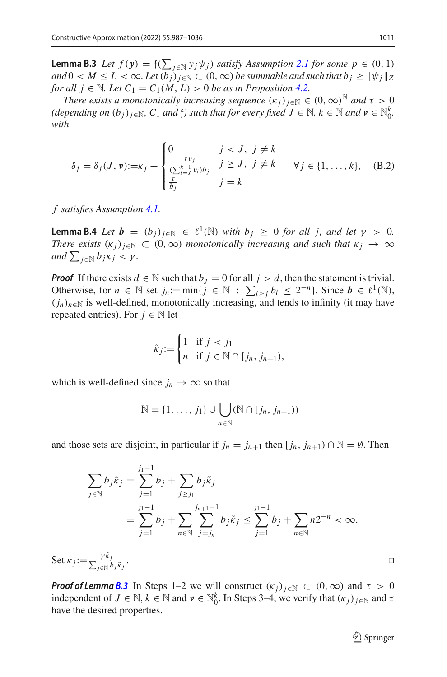**Lemma B.3** *Let*  $f(y) = \frac{f(\sum_{j \in \mathbb{N}} y_j \psi_j)$  *satisfy Assumption [2.1](#page-4-0) for some p* ∈ (0, 1)  $\alpha$  *and*  $0 < M \leq L < \infty$ . Let  $(b_i)_{i \in \mathbb{N}} \subset (0, \infty)$  *be summable and such that*  $b_i \geq ||\psi_i||_Z$ *for all*  $j \in \mathbb{N}$ *. Let*  $C_1 = C_1(M, L) > 0$  *be as in Proposition [4.2.](#page-10-0)* 

*There exists a monotonically increasing sequence*  $(\kappa_i)_{i \in \mathbb{N}} \in (0, \infty)^\mathbb{N}$  *and*  $\tau > 0$  $(depending on (b_j)_{j\in\mathbb{N}}, C_1 \text{ and } f)$  such that for every fixed  $J \in \mathbb{N}, k \in \mathbb{N}$  and  $v \in \mathbb{N}_0^k$ , *with*

$$
\delta_j = \delta_j(J, \mathbf{v}) := \kappa_j + \begin{cases} 0 & j < J, j \neq k \\ \frac{\tau v_j}{(\sum_{i=1}^{k-1} v_i)b_j} & j \geq J, j \neq k \\ \frac{\tau}{b_j} & j = k \end{cases} \quad \forall j \in \{1, \dots, k\}, \quad (B.2)
$$

<span id="page-24-0"></span>*f satisfies Assumption [4.1.](#page-10-2)*

**Lemma B.4** *Let*  $\mathbf{b} = (b_i)_{i \in \mathbb{N}} \in \ell^1(\mathbb{N})$  *with*  $b_i \geq 0$  *for all j, and let*  $\gamma > 0$ *. There exists*  $(\kappa_i)_{i\in\mathbb{N}} \subset (0,\infty)$  *monotonically increasing and such that*  $\kappa_i \to \infty$  $and \sum_{j \in \mathbb{N}} b_j \kappa_j < \gamma.$ 

*Proof* If there exists  $d \in \mathbb{N}$  such that  $b_j = 0$  for all  $j > d$ , then the statement is trivial. Otherwise, for  $n \in \mathbb{N}$  set  $j_n := \min\{j \in \mathbb{N} : \sum_{i \ge j} b_i \le 2^{-n}\}\)$ . Since  $b \in \ell^1(\mathbb{N})$ ,  $(j_n)_{n \in \mathbb{N}}$  is well-defined, monotonically increasing, and tends to infinity (it may have repeated entries). For  $j \in \mathbb{N}$  let

$$
\tilde{\kappa}_j := \begin{cases} 1 & \text{if } j < j_1 \\ n & \text{if } j \in \mathbb{N} \cap [j_n, j_{n+1}), \end{cases}
$$

which is well-defined since  $j_n \to \infty$  so that

$$
\mathbb{N} = \{1, \ldots, j_1\} \cup \bigcup_{n \in \mathbb{N}} (\mathbb{N} \cap [j_n, j_{n+1}))
$$

and those sets are disjoint, in particular if  $j_n = j_{n+1}$  then  $[j_n, j_{n+1}) \cap \mathbb{N} = \emptyset$ . Then

$$
\sum_{j \in \mathbb{N}} b_j \tilde{\kappa}_j = \sum_{j=1}^{j_1 - 1} b_j + \sum_{j \ge j_1} b_j \tilde{\kappa}_j
$$
  
= 
$$
\sum_{j=1}^{j_1 - 1} b_j + \sum_{n \in \mathbb{N}} \sum_{j=j_n}^{j_{n+1} - 1} b_j \tilde{\kappa}_j \le \sum_{j=1}^{j_1 - 1} b_j + \sum_{n \in \mathbb{N}} n 2^{-n} < \infty.
$$

Set  $\kappa_j := \frac{\gamma \tilde{\kappa}_j}{\sum_{i \in \mathbb{N}} l}$  $j ∈ ℕ$   $b_j$  $\tilde{κ}_j$ . The contract of the contract of the contract of the contract of the contract of the contract of the contract<br>The contract of the contract of the contract of the contract of the contract of the contract of the contract o

*Proof of Lemma [B.3](#page-23-0)* In Steps 1–2 we will construct  $(\kappa_j)_{j \in \mathbb{N}} \subset (0,\infty)$  and  $\tau > 0$ independent of  $J \in \mathbb{N}$ ,  $k \in \mathbb{N}$  and  $v \in \mathbb{N}_0^k$ . In Steps 3–4, we verify that  $(\kappa_j)_{j \in \mathbb{N}}$  and  $\tau$ have the desired properties.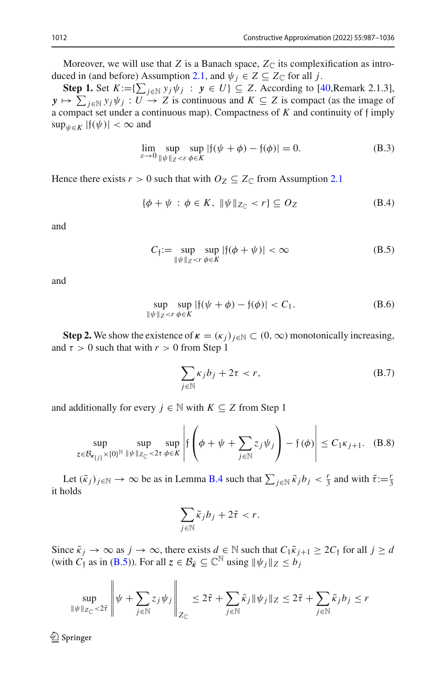Moreover, we will use that *Z* is a Banach space,  $Z_{\mathbb{C}}$  its complexification as intro-duced in (and before) Assumption [2.1,](#page-4-0) and  $\psi_j \in Z \subseteq Z_{\mathbb{C}}$  for all *j*.

**Step 1.** Set  $K := \{ \sum_{j \in \mathbb{N}} y_j \psi_j : y \in U \} \subseteq Z$ . According to [\[40](#page-49-3),Remark 2.1.3],  $y \mapsto \sum_{j \in \mathbb{N}} y_j \psi_j : U \to Z$  is continuous and  $K \subseteq Z$  is compact (as the image of a compact set under a continuous map). Compactness of *K* and continuity of f imply  $\sup_{\psi \in K} |f(\psi)| < \infty$  and

$$
\lim_{\varepsilon \to 0} \sup_{\|\psi\|_Z < \varepsilon} \sup_{\phi \in K} |f(\psi + \phi) - f(\phi)| = 0. \tag{B.3}
$$

Hence there exists  $r > 0$  such that with  $O_Z \subseteq Z_{\mathbb{C}}$  from Assumption [2.1](#page-4-0)

$$
\{\phi + \psi \, : \, \phi \in K, \ \|\psi\|_{Z_{\mathbb{C}}} < r\} \subseteq O_Z \tag{B.4}
$$

and

$$
C_f := \sup_{\|\psi\|_Z < r} \sup_{\phi \in K} |f(\phi + \psi)| < \infty \tag{B.5}
$$

and

<span id="page-25-2"></span>
$$
\sup_{\|\psi\|_Z < r} \sup_{\phi \in K} |f(\psi + \phi) - f(\phi)| < C_1. \tag{B.6}
$$

**Step 2.** We show the existence of  $\kappa = (\kappa_i)_{i \in \mathbb{N}} \subset (0, \infty)$  monotonically increasing, and  $\tau > 0$  such that with  $r > 0$  from Step 1

<span id="page-25-1"></span>
$$
\sum_{j \in \mathbb{N}} \kappa_j b_j + 2\tau < r,\tag{B.7}
$$

and additionally for every  $j \in \mathbb{N}$  with  $K \subseteq Z$  from Step 1

<span id="page-25-0"></span>
$$
\sup_{z \in \mathcal{B}_{\kappa_{[j]}} \times \{0\}^{\mathbb{N}}} \sup_{\|\psi\|_{Z_{\mathbb{C}}} < 2\tau} \sup_{\phi \in K} \left| f\left(\phi + \psi + \sum_{j \in \mathbb{N}} z_j \psi_j \right) - f(\phi) \right| \le C_1 \kappa_{j+1}. \quad (B.8)
$$

Let  $(\tilde{\kappa}_j)_{j \in \mathbb{N}} \to \infty$  be as in Lemma [B.4](#page-24-0) such that  $\sum_{j \in \mathbb{N}} \tilde{\kappa}_j b_j < \frac{r}{3}$  and with  $\tilde{\tau} := \frac{r}{3}$ it holds

$$
\sum_{j\in\mathbb{N}}\tilde{\kappa}_j b_j + 2\tilde{\tau} < r.
$$

Since  $\tilde{\kappa}_j \to \infty$  as  $j \to \infty$ , there exists  $d \in \mathbb{N}$  such that  $C_1 \tilde{\kappa}_{j+1} \geq 2C_f$  for all  $j \geq d$ (with  $C_f$  as in [\(B.5\)](#page-7-2)). For all  $z \in \mathcal{B}_{\tilde{k}} \subseteq \mathbb{C}^{\mathbb{N}}$  using  $\|\psi_j\|_Z \leq b_j$ 

$$
\sup_{\|\psi\|_{Z_{\mathbb{C}}}<2\tilde{\tau}}\left\|\psi+\sum_{j\in\mathbb{N}}z_j\psi_j\right\|_{Z_{\mathbb{C}}}\leq 2\tilde{\tau}+\sum_{j\in\mathbb{N}}\tilde{\kappa}_j\|\psi_j\|_Z\leq 2\tilde{\tau}+\sum_{j\in\mathbb{N}}\tilde{\kappa}_jb_j\leq r
$$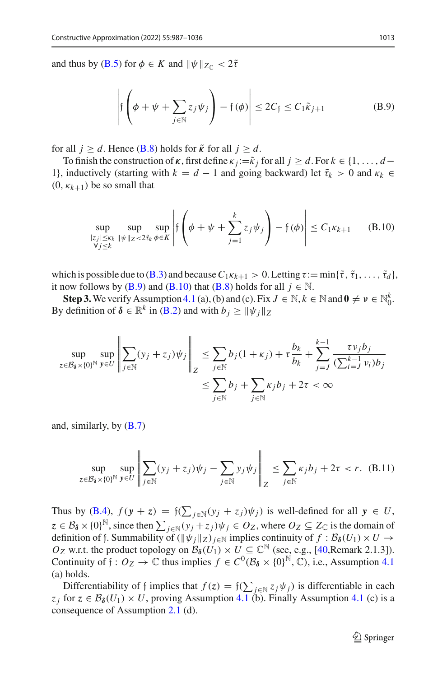and thus by (**B.5**) for  $\phi \in K$  and  $\|\psi\|_{Z_{\mathbb{C}}} < 2\tilde{\tau}$ 

<span id="page-26-0"></span>
$$
\left| \mathfrak{f}\left(\phi + \psi + \sum_{j \in \mathbb{N}} z_j \psi_j \right) - \mathfrak{f}(\phi) \right| \le 2C_{\mathfrak{f}} \le C_1 \tilde{\kappa}_{j+1}
$$
 (B.9)

for all  $j \ge d$ . Hence [\(B.8\)](#page-25-0) holds for  $\tilde{\kappa}$  for all  $j \ge d$ .

To finish the construction of  $\kappa$ , first define  $\kappa_j := \tilde{\kappa}_j$  for all  $j \geq d$ . For  $k \in \{1, \ldots, d-1\}$ 1}, inductively (starting with  $k = d - 1$  and going backward) let  $\tilde{\tau}_k > 0$  and  $\kappa_k \in$  $(0, \kappa_{k+1})$  be so small that

<span id="page-26-1"></span>
$$
\sup_{\substack{|z_j| \le \kappa_k \ \|\psi\|_Z < 2\tilde{\tau}_k \ \phi \in K}} \sup_{\phi \in K} \left| \mathfrak{f}\left(\phi + \psi + \sum_{j=1}^k z_j \psi_j\right) - \mathfrak{f}(\phi) \right| \le C_1 \kappa_{k+1} \qquad (B.10)
$$

which is possible due to [\(B.3\)](#page-5-0) and because  $C_1 \kappa_{k+1} > 0$ . Letting  $\tau := \min{\{\tilde{\tau}, \tilde{\tau}_1, \ldots, \tilde{\tau}_d\}}$ , it now follows by [\(B.9\)](#page-26-0) and [\(B.10\)](#page-26-1) that [\(B.8\)](#page-25-0) holds for all  $j \in \mathbb{N}$ .

**Step 3.** We verify Assumption [4.1](#page-10-2) (a), (b) and (c). Fix  $J \in \mathbb{N}$ ,  $k \in \mathbb{N}$  and  $0 \neq \nu \in \mathbb{N}_0^k$ . By definition of  $\delta \in \mathbb{R}^k$  in [\(B.2\)](#page-3-2) and with  $b_i \geq ||\psi_i||_Z$ 

$$
\sup_{z \in \mathcal{B}_{\delta} \times \{0\}^{\mathbb{N}}} \sup_{y \in U} \left\| \sum_{j \in \mathbb{N}} (y_j + z_j) \psi_j \right\|_Z \le \sum_{j \in \mathbb{N}} b_j (1 + \kappa_j) + \tau \frac{b_k}{b_k} + \sum_{j=J}^{k-1} \frac{\tau v_j b_j}{(\sum_{i=J}^{k-1} v_i) b_j} \le \sum_{j \in \mathbb{N}} b_j + \sum_{j \in \mathbb{N}} \kappa_j b_j + 2\tau < \infty
$$

and, similarly, by  $(B.7)$ 

<span id="page-26-2"></span>
$$
\sup_{z \in \mathcal{B}_{\delta} \times \{0\}^{\mathbb{N}}} \sup_{y \in U} \left\| \sum_{j \in \mathbb{N}} (y_j + z_j) \psi_j - \sum_{j \in \mathbb{N}} y_j \psi_j \right\|_Z \le \sum_{j \in \mathbb{N}} \kappa_j b_j + 2\tau < r. \tag{B.11}
$$

Thus by [\(B.4\)](#page-5-2),  $f(y + z) = \frac{f(\sum_{j \in \mathbb{N}} (y_j + z_j) \psi_j)}{y}$  is well-defined for all  $y \in U$ ,  $z \in B_0 \times \{0\}^{\mathbb{N}}$ , since then  $\sum_{j \in \mathbb{N}} (y_j + z_j) \psi_j \in O_Z$ , where  $O_Z \subseteq Z_{\mathbb{C}}$  is the domain of definition of f. Summability of  $(\|\psi_j\|_Z)_{j\in\mathbb{N}}$  implies continuity of  $f : \mathcal{B}_{\delta}(U_1) \times U \rightarrow$ *Oz* w.r.t. the product topology on  $B_\delta(U_1) \times U \subseteq \mathbb{C}^{\mathbb{N}}$  (see, e.g., [\[40](#page-49-3),Remark 2.1.3]). Continuity of  $f: O_Z \to \mathbb{C}$  thus implies  $f \in C^0(\mathcal{B}_\delta \times \{0\}^{\mathbb{N}}, \mathbb{C})$ , i.e., Assumption [4.1](#page-10-2) (a) holds.

Differentiability of f implies that  $f(z) = \int (\sum_{j \in \mathbb{N}} z_j \psi_j)$  is differentiable in each *z<sub>i</sub>* for  $z \in B_\delta(U_1) \times U$ , proving Assumption [4.1](#page-10-2) (b). Finally Assumption 4.1 (c) is a consequence of Assumption [2.1](#page-4-0) (d).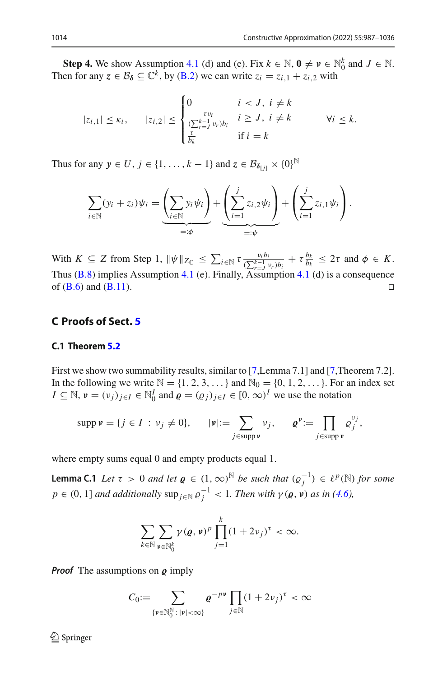**Step 4.** We show Assumption [4.1](#page-10-2) (d) and (e). Fix  $k \in \mathbb{N}$ ,  $\mathbf{0} \neq \mathbf{v} \in \mathbb{N}_0^k$  and  $J \in \mathbb{N}$ . Then for any  $z \in B_\delta \subseteq \mathbb{C}^k$ , by [\(B.2\)](#page-3-2) we can write  $z_i = z_{i,1} + z_{i,2}$  with

$$
|z_{i,1}| \leq \kappa_i, \qquad |z_{i,2}| \leq \begin{cases} 0 & i < J, i \neq k \\ \frac{\tau v_i}{(\sum_{r=J}^{k-1} v_r)b_i} & i \geq J, i \neq k \\ \frac{\tau}{b_k} & \text{if } i = k \end{cases} \qquad \forall i \leq k.
$$

Thus for any  $y \in U$ ,  $j \in \{1, ..., k-1\}$  and  $z \in \mathcal{B}_{\delta[j]} \times \{0\}^{\mathbb{N}}$ 

$$
\sum_{i \in \mathbb{N}} (y_i + z_i) \psi_i = \underbrace{\left(\sum_{i \in \mathbb{N}} y_i \psi_i\right)}_{=: \phi} + \underbrace{\left(\sum_{i=1}^j z_{i,2} \psi_i\right)}_{=: \psi} + \left(\sum_{i=1}^j z_{i,1} \psi_i\right).
$$

With  $K \subseteq Z$  from Step 1,  $\|\psi\|_{Z_{\mathbb{C}}} \le \sum_{i \in \mathbb{N}} \tau \frac{v_i b_i}{(\sum_{i=1}^{k-1} v_i) b_i} + \tau \frac{b_k}{b_k} \le 2\tau$  and  $\phi \in K$ . Thus  $(B.8)$  implies Assumption [4.1](#page-10-2) (e). Finally, Assumption 4.1 (d) is a consequence of  $(B.6)$  and  $(B.11)$ .

# **C Proofs of Sect. [5](#page-12-0)**

# **C.1 Theorem [5.2](#page-13-0)**

First we show two summability results, similar to [\[7,](#page-47-7)Lemma 7.1] and [\[7,](#page-47-7)Theorem 7.2]. In the following we write  $\mathbb{N} = \{1, 2, 3, \dots\}$  and  $\mathbb{N}_0 = \{0, 1, 2, \dots\}$ . For an index set  $I \subseteq \mathbb{N}, v = (v_j)_{j \in I} \in \mathbb{N}_0^I$  and  $\varrho = (\varrho_j)_{j \in I} \in [0, \infty)^I$  we use the notation

$$
\operatorname{supp} \mathbf{v} = \{j \in I : v_j \neq 0\}, \qquad |\mathbf{v}| := \sum_{j \in \operatorname{supp} \mathbf{v}} v_j, \qquad \mathbf{e}^{\mathbf{v}} := \prod_{j \in \operatorname{supp} \mathbf{v}} \mathbf{e}_j^{v_j},
$$

where empty sums equal 0 and empty products equal 1.

**Lemma C.1** *Let*  $\tau > 0$  *and let*  $\varrho \in (1, \infty)^{\mathbb{N}}$  *be such that*  $(\varrho_j^{-1}) \in \ell^p(\mathbb{N})$  *for some*  $p \in (0, 1]$  *and additionally*  $\sup_{j \in \mathbb{N}} \varrho_j^{-1} < 1$ *. Then with*  $\gamma(\varrho, \nu)$  *as in* [\(4.6\)](#page-12-2)*,* 

$$
\sum_{k\in\mathbb{N}}\sum_{\mathbf{\nu}\in\mathbb{N}_0^k}\gamma(\varrho,\mathbf{\nu})^p\prod_{j=1}^k(1+2\nu_j)^\tau<\infty.
$$

*Proof* The assumptions on  $\rho$  imply

$$
C_0 := \sum_{\{\mathbf{v} \in \mathbb{N}_0^{\mathbb{N}} : |\mathbf{v}| < \infty\}} \mathbf{e}^{-p\mathbf{v}} \prod_{j \in \mathbb{N}} (1 + 2v_j)^{\tau} < \infty
$$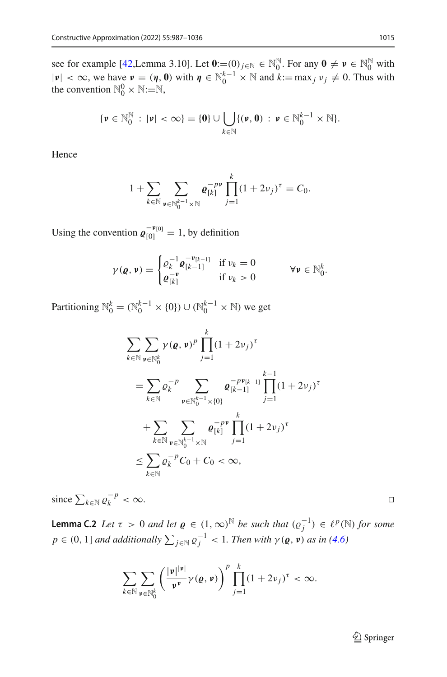see for example [\[42](#page-49-4),Lemma 3.10]. Let  $\mathbf{0} := (0)_{j \in \mathbb{N}} \in \mathbb{N}_{0}^{\mathbb{N}}$ . For any  $\mathbf{0} \neq \mathbf{v} \in \mathbb{N}_{0}^{\mathbb{N}}$  with  $|\mathbf{v}| < \infty$ , we have  $\mathbf{v} = (\mathbf{\eta}, \mathbf{0})$  with  $\mathbf{\eta} \in \mathbb{N}_0^{k-1} \times \mathbb{N}$  and  $k := \max_j v_j \neq 0$ . Thus with the convention  $\mathbb{N}_0^0 \times \mathbb{N}$ := $\mathbb{N}$ ,

$$
\{\nu \in \mathbb{N}_0^{\mathbb{N}} : |\nu| < \infty\} = \{\mathbf{0}\} \cup \bigcup_{k \in \mathbb{N}} \{(\nu, \mathbf{0}) : \nu \in \mathbb{N}_0^{k-1} \times \mathbb{N}\}.
$$

Hence

$$
1 + \sum_{k \in \mathbb{N}} \sum_{\nu \in \mathbb{N}_0^{k-1} \times \mathbb{N}} \mathbf{e}_{[k]}^{-p \nu} \prod_{j=1}^k (1 + 2\nu_j)^{\tau} = C_0.
$$

Using the convention  $\varrho_{[0]}^{-\nu_{[0]}} = 1$ , by definition

$$
\gamma(\varrho, \nu) = \begin{cases} \varrho_k^{-1} \varrho_{[k-1]}^{-\nu_{[k-1]}} & \text{if } \nu_k = 0 \\ \varrho_{[k]}^{-\nu} & \text{if } \nu_k > 0 \end{cases} \qquad \forall \nu \in \mathbb{N}_0^k.
$$

Partitioning  $\mathbb{N}_0^k = (\mathbb{N}_0^{k-1} \times \{0\}) \cup (\mathbb{N}_0^{k-1} \times \mathbb{N})$  we get

$$
\sum_{k \in \mathbb{N}} \sum_{\mathbf{\nu} \in \mathbb{N}_0^k} \gamma(\mathbf{\varrho}, \mathbf{\nu})^p \prod_{j=1}^k (1 + 2\nu_j)^{\tau}
$$
\n
$$
= \sum_{k \in \mathbb{N}} \varrho_k^{-p} \sum_{\mathbf{\nu} \in \mathbb{N}_0^{k-1} \times \{0\}} \mathbf{\varrho}_{[k-1]}^{-p \mathbf{\nu}_{[k-1]}} \prod_{j=1}^{k-1} (1 + 2\nu_j)^{\tau}
$$
\n
$$
+ \sum_{k \in \mathbb{N}} \sum_{\mathbf{\nu} \in \mathbb{N}_0^{k-1} \times \mathbb{N}} \mathbf{\varrho}_{[k]}^{-p \mathbf{\nu}} \prod_{j=1}^k (1 + 2\nu_j)^{\tau}
$$
\n
$$
\leq \sum_{k \in \mathbb{N}} \varrho_k^{-p} C_0 + C_0 < \infty,
$$

since  $\sum_{k \in \mathbb{N}} \varrho_k^{-p} < \infty$ . □

<span id="page-28-0"></span>**Lemma C.2** *Let*  $\tau > 0$  *and let*  $\varrho \in (1, \infty)^{\mathbb{N}}$  *be such that*  $(\varrho_j^{-1}) \in \ell^p(\mathbb{N})$  *for some*  $p \in (0, 1]$  *and additionally*  $\sum_{j \in \mathbb{N}} \varrho_j^{-1} < 1$ *. Then with*  $\gamma(\varrho, \nu)$  *as in* [\(4.6\)](#page-12-2)

$$
\sum_{k\in\mathbb{N}}\sum_{\mathbf{\nu}\in\mathbb{N}_0^k}\left(\frac{|\mathbf{\nu}|^{|\mathbf{\nu}|}}{\mathbf{\nu}^{\mathbf{\nu}}}\gamma(\varrho,\mathbf{\nu})\right)^p\prod_{j=1}^k(1+2\nu_j)^{\tau}<\infty.
$$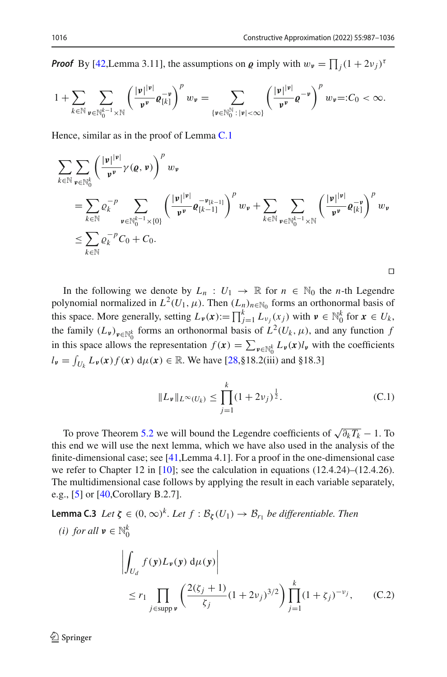*Proof* By [\[42](#page-49-4), Lemma 3.11], the assumptions on  $\varrho$  imply with  $w_{\nu} = \prod_j (1 + 2\nu_j)^T$ 

$$
1+\sum_{k\in\mathbb{N}}\sum_{\mathbf{v}\in\mathbb{N}_{0}^{k-1}\times\mathbb{N}}\left(\frac{|\mathbf{v}|^{|\mathbf{v}|}}{\mathbf{v}^{\mathbf{v}}}\varrho_{[k]}^{-\mathbf{v}}\right)^{p}w_{\mathbf{v}}=\sum_{\{\mathbf{v}\in\mathbb{N}_{0}^{\mathbb{N}}\colon|\mathbf{v}|<\infty\}}\left(\frac{|\mathbf{v}|^{|\mathbf{v}|}}{\mathbf{v}^{\mathbf{v}}}\varrho^{-\mathbf{v}}\right)^{p}w_{\mathbf{v}}=:C_{0}<\infty.
$$

Hence, similar as in the proof of Lemma [C.1](#page-18-0)

$$
\sum_{k \in \mathbb{N}} \sum_{\mathbf{v} \in \mathbb{N}_0^k} \left( \frac{|\mathbf{v}|^{|\mathbf{v}|}}{\mathbf{v}^{\mathbf{v}}} \gamma(\mathbf{Q}, \mathbf{v}) \right)^p w_{\mathbf{v}}
$$
\n
$$
= \sum_{k \in \mathbb{N}} \varrho_k^{-p} \sum_{\mathbf{v} \in \mathbb{N}_0^{k-1} \times \{0\}} \left( \frac{|\mathbf{v}|^{|\mathbf{v}|}}{\mathbf{v}^{\mathbf{v}}} \varrho_{[k-1]}^{-\mathbf{v}_{[k-1]}} \right)^p w_{\mathbf{v}} + \sum_{k \in \mathbb{N}} \sum_{\mathbf{v} \in \mathbb{N}_0^{k-1} \times \mathbb{N}} \left( \frac{|\mathbf{v}|^{|\mathbf{v}|}}{\mathbf{v}^{\mathbf{v}}} \varrho_{[k]}^{-\mathbf{v}} \right)^p w_{\mathbf{v}}
$$
\n
$$
\leq \sum_{k \in \mathbb{N}} \varrho_k^{-p} C_0 + C_0.
$$

In the following we denote by  $L_n: U_1 \to \mathbb{R}$  for  $n \in \mathbb{N}_0$  the *n*-th Legendre polynomial normalized in  $L^2(U_1, \mu)$ . Then  $(L_n)_{n \in \mathbb{N}_0}$  forms an orthonormal basis of this space. More generally, setting  $L_{\nu}(x) := \prod_{j=1}^{k} L_{\nu_j}(x_j)$  with  $\nu \in \mathbb{N}_0^k$  for  $x \in U_k$ , the family  $(L_{\nu})_{\nu \in \mathbb{N}_0^k}$  forms an orthonormal basis of  $L^2(U_k, \mu)$ , and any function *f* in this space allows the representation  $f(x) = \sum_{\nu \in \mathbb{N}_0^k} L_{\nu}(x) l_{\nu}$  with the coefficients  $l_{\nu} = \int_{U_k} L_{\nu}(x) f(x) d\mu(x) \in \mathbb{R}$ . We have [\[28](#page-48-26),§18.2(iii) and §18.3]

$$
||L_{\nu}||_{L^{\infty}(U_k)} \le \prod_{j=1}^{k} (1 + 2\nu_j)^{\frac{1}{2}}.
$$
 (C.1)

To prove Theorem [5.2](#page-13-0) we will bound the Legendre coefficients of  $\sqrt{\partial_k T_k} - 1$ . To this end we will use the next lemma, which we have also used in the analysis of the finite-dimensional case; see [\[41,](#page-49-1)Lemma 4.1]. For a proof in the one-dimensional case we refer to Chapter 12 in [\[10](#page-48-27)]; see the calculation in equations (12.4.24)–(12.4.26). The multidimensional case follows by applying the result in each variable separately, e.g., [\[5](#page-47-8)] or [\[40](#page-49-3),Corollary B.2.7].

**Lemma C.3** *Let*  $\zeta \in (0,\infty)^k$ *. Let*  $f : B_{\zeta}(U_1) \to B_{r_1}$  *be differentiable. Then* 

(i) for all 
$$
\mathbf{v} \in \mathbb{N}_0^k
$$
  
\n
$$
\left| \int_{U_d} f(\mathbf{y}) L_{\mathbf{v}}(\mathbf{y}) d\mu(\mathbf{y}) \right|
$$
\n
$$
\leq r_1 \prod_{j \in \text{supp } \mathbf{v}} \left( \frac{2(\zeta_j + 1)}{\zeta_j} (1 + 2\nu_j)^{3/2} \right) \prod_{j=1}^k (1 + \zeta_j)^{-\nu_j}, \qquad (C.2)
$$

 $\textcircled{2}$  Springer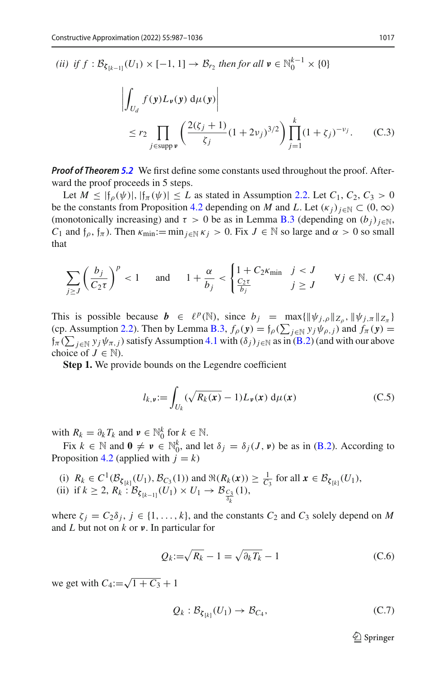*(ii) if*  $f : \mathcal{B}_{\zeta_{[k-1]}}(U_1) \times [-1, 1] \to \mathcal{B}_{r_2}$  *then for all*  $\mathbf{v} \in \mathbb{N}_0^{k-1} \times \{0\}$ 

$$
\left| \int_{U_d} f(y) L_{\nu}(y) d\mu(y) \right|
$$
  
\n
$$
\leq r_2 \prod_{j \in \text{supp }\nu} \left( \frac{2(\zeta_j + 1)}{\zeta_j} (1 + 2\nu_j)^{3/2} \right) \prod_{j=1}^k (1 + \zeta_j)^{-\nu_j}.
$$
 (C.3)

*Proof of Theorem [5.2](#page-13-0)* We first define some constants used throughout the proof. Afterward the proof proceeds in 5 steps.

Let  $M \leq |f_{\rho}(\psi)|, |f_{\pi}(\psi)| \leq L$  as stated in Assumption [2.2.](#page-5-1) Let  $C_1, C_2, C_3 > 0$ be the constants from Proposition [4.2](#page-10-0) depending on *M* and *L*. Let  $(\kappa_i)_{i\in\mathbb{N}}\subset(0,\infty)$ (monotonically increasing) and  $\tau > 0$  be as in Lemma [B.3](#page-23-0) (depending on  $(b_i)_{i \in \mathbb{N}}$ , *C*<sub>1</sub> and  $f_\rho$ ,  $f_\pi$ ). Then  $\kappa_{\min}:= \min_{j\in\mathbb{N}} \kappa_j > 0$ . Fix  $J \in \mathbb{N}$  so large and  $\alpha > 0$  so small that

$$
\sum_{j\geq J} \left(\frac{b_j}{C_2 \tau}\right)^p < 1 \quad \text{and} \quad 1 + \frac{\alpha}{b_j} < \begin{cases} 1 + C_2 \kappa_{\min} & j < J \\ \frac{C_2 \tau}{b_j} & j \geq J \end{cases} \quad \forall j \in \mathbb{N}. \tag{C.4}
$$

This is possible because  $\mathbf{b} \in \ell^p(\mathbb{N})$ , since  $b_j = \max{\{\|\psi_{j,\rho}\|_{Z_\rho}, \|\psi_{j,\pi}\|_{Z_\pi}\}}$ (cp. Assumption [2.2\)](#page-5-1). Then by Lemma [B.3,](#page-23-0)  $f_{\rho}(\mathbf{y}) = f_{\rho}(\sum_{j \in \mathbb{N}} y_j \psi_{\rho,j})$  and  $f_{\pi}(\mathbf{y}) =$  $\oint_{\pi}$  ( $\sum_{j\in\mathbb{N}}$  *y j*  $\psi_{\pi,j}$ ) satisfy Assumption [4.1](#page-10-2) with  $(\delta_j)_{j\in\mathbb{N}}$  as in [\(B.2\)](#page-3-2) (and with our above choice of  $J \in \mathbb{N}$ ).

**Step 1.** We provide bounds on the Legendre coefficient

$$
l_{k,\nu} := \int_{U_k} (\sqrt{R_k(x)} - 1) L_{\nu}(x) d\mu(x)
$$
 (C.5)

with  $R_k = \partial_k T_k$  and  $v \in \mathbb{N}_0^k$  for  $k \in \mathbb{N}$ .

Fix  $k \in \mathbb{N}$  and  $\mathbf{0} \neq \mathbf{v} \in \mathbb{N}_0^k$ , and let  $\delta_j = \delta_j(J, \mathbf{v})$  be as in [\(B.2\)](#page-3-2). According to Proposition [4.2](#page-10-0) (applied with  $j = k$ )

- (i)  $R_k \in C^1(\mathcal{B}_{\xi_{[k]}}(U_1), \mathcal{B}_{C_3}(1))$  and  $\Re(R_k(x)) \ge \frac{1}{C_3}$  for all  $x \in \mathcal{B}_{\xi_{[k]}}(U_1)$ ,
- (ii) if  $k \ge 2$ ,  $R_k : B_{\zeta_{[k-1]}}(U_1) \times U_1 \to B_{\frac{C_3}{\delta_k}}(1)$ ,

where  $\zeta_i = C_2 \delta_i$ ,  $j \in \{1, ..., k\}$ , and the constants  $C_2$  and  $C_3$  solely depend on M and *L* but not on *k* or *ν*. In particular for

$$
Q_k := \sqrt{R_k} - 1 = \sqrt{\partial_k T_k} - 1
$$
\n(C.6)

we get with  $C_4:=\sqrt{1+C_3}+1$ 

<span id="page-30-0"></span>
$$
Q_k: \mathcal{B}_{\zeta_{[k]}}(U_1) \to \mathcal{B}_{C_4},\tag{C.7}
$$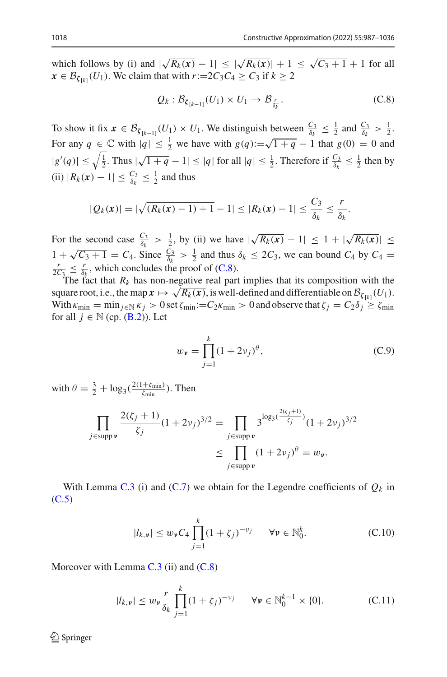which follows by (i) and  $|\sqrt{R_k(x)} - 1| \le |\sqrt{R_k(x)}| + 1 \le \sqrt{C_3 + 1} + 1$  for all  $\mathbf{x} \in \mathcal{B}_{\zeta_{[k]}}(U_1)$ . We claim that with  $r:=2C_3C_4 \geq C_3$  if  $k \geq 2$ 

<span id="page-31-0"></span>
$$
Q_k: \mathcal{B}_{\zeta_{[k-1]}}(U_1) \times U_1 \to \mathcal{B}_{\frac{r}{\delta_k}}.
$$
 (C.8)

To show it fix  $x \in \mathcal{B}_{\xi_{[k-1]}}(U_1) \times U_1$ . We distinguish between  $\frac{C_3}{\delta_k} \leq \frac{1}{2}$  and  $\frac{C_3}{\delta_k} > \frac{1}{2}$ . For any  $q \in \mathbb{C}$  with  $|q| \leq \frac{1}{2}$  we have with  $g(q) := \sqrt{1+q} - 1$  that  $g(0) = 0$  and  $|g'(q)| \leq \sqrt{\frac{1}{2}}$ . Thus  $|\sqrt{1+q}-1| \leq |q|$  for all  $|q| \leq \frac{1}{2}$ . Therefore if  $\frac{C_3}{\delta_k} \leq \frac{1}{2}$  then by (ii)  $|R_k(x) - 1| \leq \frac{C_3}{\delta_k} \leq \frac{1}{2}$  and thus

$$
|Q_k(x)| = |\sqrt{(R_k(x) - 1) + 1} - 1| \le |R_k(x) - 1| \le \frac{C_3}{\delta_k} \le \frac{r}{\delta_k}.
$$

For the second case  $\frac{C_3}{\delta_k} > \frac{1}{2}$ , by (ii) we have  $|\sqrt{R_k(x)} - 1| \leq 1 + |\sqrt{R_k(x)}| \leq$  $1 + \sqrt{C_3 + 1} = C_4$ . Since  $\frac{\bar{C_3}}{\delta_k} > \frac{1}{2}$  and thus  $\delta_k \leq 2C_3$ , we can bound  $C_4$  by  $C_4 = \frac{r}{\sqrt{C_3 + 1}} \leq \frac{r}{\sqrt{C_3}}$  which concludes the proof of  $(C, 8)$  $\frac{r}{2C_3} \leq \frac{r}{\delta_k}$ , which concludes the proof of [\(C.8\)](#page-31-0).

The fact that  $R_k$  has non-negative real part implies that its composition with the square root, i.e., the map  $\mathbf{x} \mapsto \sqrt{R_k(\mathbf{x})}$ , is well-defined and differentiable on  $\mathcal{B}_{\zeta[k]}(U_1)$ . With  $\kappa_{\min} = \min_{j \in \mathbb{N}} \kappa_j > 0$  set  $\zeta_{\min} := C_2 \kappa_{\min} > 0$  and observe that  $\zeta_j = C_2 \delta_j \geq \zeta_{\min}$ for all  $j \in \mathbb{N}$  (cp. (**B**.2)). Let

<span id="page-31-3"></span>
$$
w_{\nu} = \prod_{j=1}^{k} (1 + 2\nu_j)^{\theta},
$$
 (C.9)

with  $\theta = \frac{3}{2} + \log_3(\frac{2(1+\zeta_{\min})}{\zeta_{\min}})$ . Then

$$
\prod_{j \in \text{supp } \nu} \frac{2(\zeta_j + 1)}{\zeta_j} (1 + 2\nu_j)^{3/2} = \prod_{j \in \text{supp } \nu} 3^{\log_3(\frac{2(\zeta_j + 1)}{\zeta_j})} (1 + 2\nu_j)^{3/2}
$$

$$
\leq \prod_{j \in \text{supp } \nu} (1 + 2\nu_j)^{\theta} = w_{\nu}.
$$

With Lemma [C.3](#page-23-0) (i) and [\(C.7\)](#page-30-0) we obtain for the Legendre coefficients of  $Q_k$  in [\(C.5\)](#page-9-3)

<span id="page-31-1"></span>
$$
|l_{k,\nu}| \le w_{\nu} C_4 \prod_{j=1}^k (1+\zeta_j)^{-\nu_j} \quad \forall \nu \in \mathbb{N}_0^k.
$$
 (C.10)

Moreover with Lemma  $C.3$  (ii) and  $(C.8)$ 

<span id="page-31-2"></span>
$$
|l_{k,\nu}| \le w_{\nu} \frac{r}{\delta_k} \prod_{j=1}^k (1+\zeta_j)^{-\nu_j} \quad \forall \nu \in \mathbb{N}_0^{k-1} \times \{0\}.
$$
 (C.11)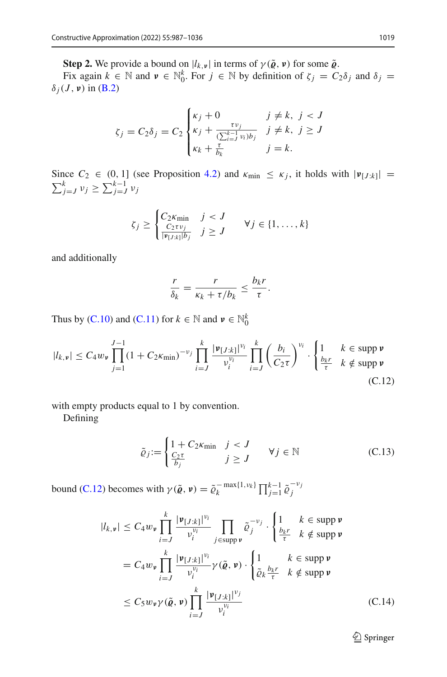**Step 2.** We provide a bound on  $|l_{k, \nu}|$  in terms of  $\gamma(\tilde{\varrho}, \nu)$  for some  $\tilde{\varrho}$ .

Fix again  $k \in \mathbb{N}$  and  $v \in \mathbb{N}_0^k$ . For  $j \in \mathbb{N}$  by definition of  $\zeta_j = C_2 \delta_j$  and  $\delta_j =$  $\delta_i(J, \nu)$  in [\(B.2\)](#page-3-2)

$$
\zeta_j = C_2 \delta_j = C_2 \begin{cases} \kappa_j + 0 & j \neq k, \ j < J \\ \kappa_j + \frac{\tau v_j}{(\sum_{i=J}^{k-1} v_i)b_j} & j \neq k, \ j \geq J \\ \kappa_k + \frac{\tau}{b_k} & j = k. \end{cases}
$$

Since  $C_2 \in (0, 1]$  (see Proposition [4.2\)](#page-10-0) and  $\kappa_{\min} \leq \kappa_j$ , it holds with  $|\mathbf{v}_{[J:k]}|$  =  $\sum_{j=J}^{k} v_j \geq \sum_{j=J}^{k-1} v_j$ 

$$
\zeta_j \geq \begin{cases} C_2 \kappa_{\min} & j < J \\ \frac{C_2 \tau v_j}{|\mathfrak{v}_{[J:k]}| b_j} & j \geq J \end{cases} \quad \forall j \in \{1, \dots, k\}
$$

and additionally

$$
\frac{r}{\delta_k} = \frac{r}{\kappa_k + \tau/b_k} \leq \frac{b_k r}{\tau}.
$$

Thus by [\(C.10\)](#page-31-1) and [\(C.11\)](#page-31-2) for  $k \in \mathbb{N}$  and  $v \in \mathbb{N}_0^k$ 

<span id="page-32-0"></span>
$$
|l_{k,\nu}| \leq C_4 w_{\nu} \prod_{j=1}^{J-1} (1 + C_2 \kappa_{\min})^{-\nu_j} \prod_{i=J}^{k} \frac{|\nu_{[J:k]}|^{\nu_i}}{\nu_i^{\nu_i}} \prod_{i=J}^{k} \left(\frac{b_i}{C_2 \tau}\right)^{\nu_i} \cdot \begin{cases} 1 & k \in \text{supp } \nu \\ \frac{b_k r}{\tau} & k \notin \text{supp } \nu \end{cases}
$$
(C.12)

with empty products equal to 1 by convention.

Defining

<span id="page-32-1"></span>
$$
\tilde{\varrho}_j := \begin{cases} 1 + C_2 \kappa_{\min} & j < J \\ \frac{C_2 \tau}{b_j} & j \ge J \end{cases} \quad \forall j \in \mathbb{N} \tag{C.13}
$$

bound [\(C.12\)](#page-32-0) becomes with  $\gamma(\tilde{\varrho}, \nu) = \tilde{\varrho}_k^{-\max\{1, v_k\}} \prod_{j=1}^{k-1} \tilde{\varrho}_j^{-v_j}$ 

<span id="page-32-2"></span>
$$
|l_{k,\nu}| \leq C_4 w_{\nu} \prod_{i=J}^k \frac{|\nu_{[J:k]}|^{v_i}}{\nu_i^{v_i}} \prod_{j \in \text{supp }\nu} \tilde{\varrho}_j^{-v_j} \cdot \begin{cases} 1 & k \in \text{supp }\nu \\ \frac{b_k r}{\tau} & k \notin \text{supp }\nu \end{cases}
$$
  
=  $C_4 w_{\nu} \prod_{i=J}^k \frac{|\nu_{[J:k]}|^{v_i}}{\nu_i^{v_i}} \gamma(\tilde{\varrho}, \nu) \cdot \begin{cases} 1 & k \in \text{supp }\nu \\ \tilde{\varrho}_k \frac{b_k r}{\tau} & k \notin \text{supp }\nu \end{cases}$   

$$
\leq C_5 w_{\nu} \gamma(\tilde{\varrho}, \nu) \prod_{i=J}^k \frac{|\nu_{[J:k]}|^{v_j}}{\nu_i^{v_i}} \qquad (C.14)
$$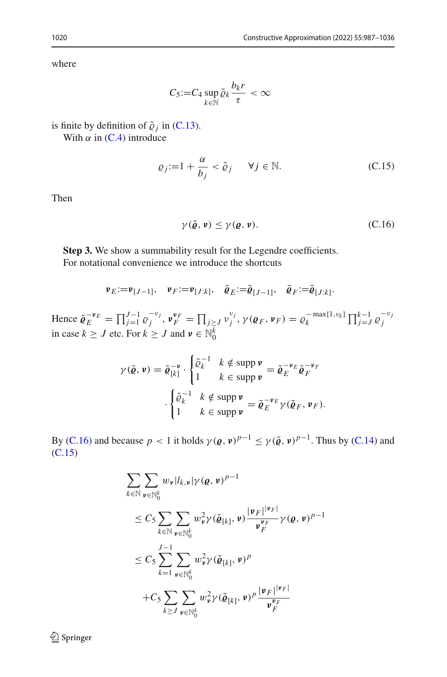where

$$
C_5:=C_4\sup_{k\in\mathbb{N}}\tilde{\varrho}_k\frac{b_kr}{\tau}<\infty
$$

is finite by definition of  $\tilde{\varrho}_i$  in [\(C.13\)](#page-32-1).

With  $\alpha$  in [\(C.4\)](#page-8-3) introduce

<span id="page-33-1"></span>
$$
\varrho_j := 1 + \frac{\alpha}{b_j} < \tilde{\varrho}_j \qquad \forall j \in \mathbb{N}.\tag{C.15}
$$

Then

<span id="page-33-0"></span>
$$
\gamma(\tilde{\varrho}, \nu) \le \gamma(\varrho, \nu). \tag{C.16}
$$

**Step 3.** We show a summability result for the Legendre coefficients. For notational convenience we introduce the shortcuts

$$
\nu_E := \nu_{[J-1]}, \quad \nu_F := \nu_{[J:k]}, \quad \tilde{\varrho}_E := \tilde{\varrho}_{[J-1]}, \quad \tilde{\varrho}_F := \tilde{\varrho}_{[J:k]}.
$$

Hence  $\tilde{\varrho}_E^{-v_E} = \prod_{j=1}^{J-1} \varrho_j^{-v_j}$ ,  $v_F^{v_F} = \prod_{j \ge J} v_j^{v_j}$ ,  $\gamma(\varrho_F, v_F) = \varrho_k^{-\max\{1, v_k\}} \prod_{j=J}^{k-1} \varrho_j^{-v_j}$ <br>in case  $k \ge J$  etc. For  $k \ge J$  and  $v \in \mathbb{N}_0^k$ 

$$
\gamma(\tilde{\varrho}, \nu) = \tilde{\varrho}_{[k]}^{-\nu} \cdot \begin{cases} \tilde{\varrho}_k^{-1} & k \notin \text{supp } \nu \\ 1 & k \in \text{supp } \nu \end{cases} = \tilde{\varrho}_E^{-\nu_E} \tilde{\varrho}_F^{-\nu_F}
$$

$$
\cdot \begin{cases} \tilde{\varrho}_k^{-1} & k \notin \text{supp } \nu \\ 1 & k \in \text{supp } \nu \end{cases} = \tilde{\varrho}_E^{-\nu_E} \gamma(\tilde{\varrho}_F, \nu_F).
$$

By [\(C.16\)](#page-33-0) and because  $p < 1$  it holds  $\gamma(\varrho, \nu)^{p-1} \leq \gamma(\tilde{\varrho}, \nu)^{p-1}$ . Thus by [\(C.14\)](#page-32-2) and [\(C.15\)](#page-33-1)

<span id="page-33-2"></span>
$$
\sum_{k \in \mathbb{N}} \sum_{\mathbf{\nu} \in \mathbb{N}_0^k} w_{\mathbf{\nu}} |l_{k,\mathbf{\nu}}| \gamma(\varrho, \mathbf{\nu})^{p-1}
$$
\n
$$
\leq C_5 \sum_{k \in \mathbb{N}} \sum_{\mathbf{\nu} \in \mathbb{N}_0^k} w_{\mathbf{\nu}}^2 \gamma(\tilde{\varrho}_{[k]}, \mathbf{\nu}) \frac{|\mathbf{\nu}_F|^{|\mathbf{\nu}_F|}}{\mathbf{\nu}_F^{|\mathbf{\nu}_F|}} \gamma(\varrho, \mathbf{\nu})^{p-1}
$$
\n
$$
\leq C_5 \sum_{k=1}^{J-1} \sum_{\mathbf{\nu} \in \mathbb{N}_0^k} w_{\mathbf{\nu}}^2 \gamma(\tilde{\varrho}_{[k]}, \mathbf{\nu})^p
$$
\n
$$
+ C_5 \sum_{k \geq J} \sum_{\mathbf{\nu} \in \mathbb{N}_0^k} w_{\mathbf{\nu}}^2 \gamma(\tilde{\varrho}_{[k]}, \mathbf{\nu})^p \frac{|\mathbf{\nu}_F|^{|\mathbf{\nu}_F|}}{\mathbf{\nu}_F^{|\mathbf{\nu}_F|}}
$$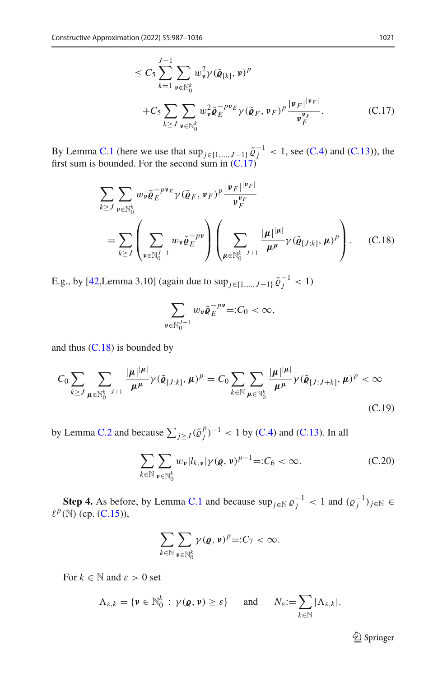$$
\leq C_5 \sum_{k=1}^{J-1} \sum_{\mathbf{v} \in \mathbb{N}_0^k} w_{\mathbf{v}}^2 \gamma (\tilde{\varrho}_{[k]}, \mathbf{v})^p
$$
  
+
$$
C_5 \sum_{k \geq J} \sum_{\mathbf{v} \in \mathbb{N}_0^k} w_{\mathbf{v}}^2 \tilde{\varrho}_E^{-p \mathbf{v}_E} \gamma (\tilde{\varrho}_F, \mathbf{v}_F)^p \frac{|\mathbf{v}_F|^{|\mathbf{v}_F|}}{\mathbf{v}_F^{|\mathbf{v}_F|}}.
$$
 (C.17)

By Lemma [C.1](#page-18-0) (here we use that  $\sup_{j\in\{1,\ldots,J-1\}} \tilde{\varrho}_j^{-1} < 1$ , see [\(C.4\)](#page-8-3) and [\(C.13\)](#page-32-1)), the first sum is bounded. For the second sum in  $(C.17)$ 

<span id="page-34-0"></span>
$$
\sum_{k \ge J} \sum_{\mathbf{v} \in \mathbb{N}_0^k} w_{\mathbf{v}} \tilde{\varrho}_E^{-p \mathbf{v}_E} \gamma (\tilde{\varrho}_F, \mathbf{v}_F)^p \frac{|\mathbf{v}_F|^{|\mathbf{v}_F|}}{\mathbf{v}_F^{|\mathbf{v}_F|}}
$$
\n
$$
= \sum_{k \ge J} \left( \sum_{\mathbf{v} \in \mathbb{N}_0^{J-1}} w_{\mathbf{v}} \tilde{\varrho}_E^{-p \mathbf{v}} \right) \left( \sum_{\mu \in \mathbb{N}_0^{k-J+1}} \frac{|\mu|^{|\mu|}}{\mu^{\mu}} \gamma (\tilde{\varrho}_{[J:k]}, \mu)^p \right). \quad (C.18)
$$

E.g., by [\[42](#page-49-4),Lemma 3.10] (again due to  $\sup_{j \in \{1, ..., J-1\}} \tilde{\varrho}_j^{-1} < 1$ )

$$
\sum_{\mathbf{v}\in\mathbb{N}_0^{J-1}}w_{\mathbf{v}}\tilde{\varrho}_E^{-p\mathbf{v}}=:C_0<\infty,
$$

and thus  $(C.18)$  is bounded by

$$
C_0 \sum_{k \ge J} \sum_{\mu \in \mathbb{N}_0^{k-J+1}} \frac{|\mu|^{|\mu|}}{\mu^{\mu}} \gamma(\tilde{\varrho}_{[J:k]}, \mu)^p = C_0 \sum_{k \in \mathbb{N}} \sum_{\mu \in \mathbb{N}_0^k} \frac{|\mu|^{|\mu|}}{\mu^{\mu}} \gamma(\tilde{\varrho}_{[J:J+k]}, \mu)^p < \infty
$$
\n(C.19)

by Lemma [C.2](#page-28-0) and because  $\sum_{j\geq J} (\tilde{\varrho}_j^p)^{-1} < 1$  by [\(C.4\)](#page-8-3) and [\(C.13\)](#page-32-1). In all

<span id="page-34-1"></span>
$$
\sum_{k \in \mathbb{N}} \sum_{\mathbf{\nu} \in \mathbb{N}_0^k} w_{\mathbf{\nu}} |l_{k,\mathbf{\nu}}| \gamma(\mathbf{\varrho}, \mathbf{\nu})^{p-1} =: C_6 < \infty. \tag{C.20}
$$

**Step 4.** As before, by Lemma [C.1](#page-18-0) and because  $\sup_{j \in \mathbb{N}} \varrho_j^{-1} < 1$  and  $(\varrho_j^{-1})_{j \in \mathbb{N}} \in \mathbb{N}$  $\ell^p(\mathbb{N})$  (cp. (**C.15**)),

$$
\sum_{k\in\mathbb{N}}\sum_{\mathbf{v}\in\mathbb{N}_0^k}\gamma(\mathbf{e},\mathbf{v})^p =:C_7<\infty.
$$

For  $k \in \mathbb{N}$  and  $\varepsilon > 0$  set

$$
\Lambda_{\varepsilon,k} = \{ \mathbf{v} \in \mathbb{N}_0^k \, : \, \gamma(\mathbf{\varrho},\mathbf{v}) \geq \varepsilon \} \quad \text{and} \quad N_{\varepsilon} := \sum_{k \in \mathbb{N}} |\Lambda_{\varepsilon,k}|.
$$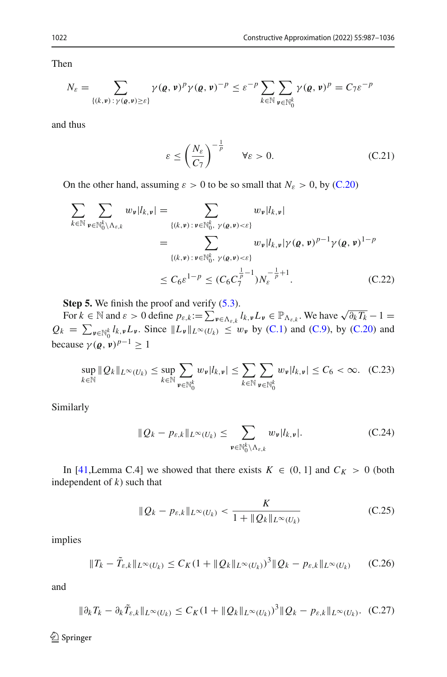Then

$$
N_{\varepsilon} = \sum_{\{(k,\mathbf{v}): \gamma(\mathbf{g},\mathbf{v}) \geq \varepsilon\}} \gamma(\mathbf{g},\mathbf{v})^p \gamma(\mathbf{g},\mathbf{v})^{-p} \leq \varepsilon^{-p} \sum_{k \in \mathbb{N}} \sum_{\mathbf{v} \in \mathbb{N}_0^k} \gamma(\mathbf{g},\mathbf{v})^p = C_7 \varepsilon^{-p}
$$

and thus

<span id="page-35-0"></span>
$$
\varepsilon \le \left(\frac{N_{\varepsilon}}{C_7}\right)^{-\frac{1}{p}} \qquad \forall \varepsilon > 0. \tag{C.21}
$$

On the other hand, assuming  $\varepsilon > 0$  to be so small that  $N_{\varepsilon} > 0$ , by [\(C.20\)](#page-34-1)

<span id="page-35-1"></span>
$$
\sum_{k \in \mathbb{N}} \sum_{\mathbf{v} \in \mathbb{N}_{0}^{k} \setminus \Lambda_{\varepsilon,k}} w_{\mathbf{v}} |l_{k,\mathbf{v}}| = \sum_{\{(k,\mathbf{v}): \mathbf{v} \in \mathbb{N}_{0}^{k}, \gamma(\mathbf{g},\mathbf{v}) < \varepsilon\}} w_{\mathbf{v}} |l_{k,\mathbf{v}}|
$$
\n
$$
= \sum_{\{(k,\mathbf{v}): \mathbf{v} \in \mathbb{N}_{0}^{k}, \gamma(\mathbf{g},\mathbf{v}) < \varepsilon\}} w_{\mathbf{v}} |l_{k,\mathbf{v}} |\gamma(\mathbf{g},\mathbf{v})^{p-1} \gamma(\mathbf{g},\mathbf{v})^{1-p}
$$
\n
$$
\leq C_{6} \varepsilon^{1-p} \leq (C_{6} C_{7}^{\frac{1}{p}-1}) N_{\varepsilon}^{-\frac{1}{p}+1}.
$$
\n(C.22)

**Step 5.** We finish the proof and verify  $(5.3)$ .

For  $k \in \mathbb{N}$  and  $\varepsilon > 0$  define  $p_{\varepsilon,k} := \sum_{\mathbf{\nu} \in \Lambda_{\varepsilon,k}} l_{k,\mathbf{\nu}} L_{\mathbf{\nu}} \in \mathbb{P}_{\Lambda_{\varepsilon,k}}$ . We have  $\sqrt{\partial_k T_k} - 1 =$  $Q_k = \sum_{\mathbf{v} \in \mathbb{N}_0^k} l_{k,\mathbf{v}} L_{\mathbf{v}}$ . Since  $||L_{\mathbf{v}}||_{L^{\infty}(U_k)} \leq w_{\mathbf{v}}$  by [\(C.1\)](#page-7-3) and [\(C.9\)](#page-31-3), by [\(C.20\)](#page-34-1) and because  $\gamma(\boldsymbol{\varrho}, \boldsymbol{\nu})^{p-1} \geq 1$ 

<span id="page-35-4"></span>
$$
\sup_{k \in \mathbb{N}} \|Q_k\|_{L^{\infty}(U_k)} \leq \sup_{k \in \mathbb{N}} \sum_{\nu \in \mathbb{N}_0^k} w_{\nu} |l_{k,\nu}| \leq \sum_{k \in \mathbb{N}} \sum_{\nu \in \mathbb{N}_0^k} w_{\nu} |l_{k,\nu}| \leq C_6 < \infty. \tag{C.23}
$$

Similarly

<span id="page-35-2"></span>
$$
||Q_k - p_{\varepsilon,k}||_{L^{\infty}(U_k)} \leq \sum_{\mathbf{v} \in \mathbb{N}_0^k \backslash \Lambda_{\varepsilon,k}} w_{\mathbf{v}} |l_{k,\mathbf{v}}|.
$$
 (C.24)

In [\[41](#page-49-1),Lemma C.4] we showed that there exists  $K \in (0, 1]$  and  $C_K > 0$  (both independent of *k*) such that

<span id="page-35-3"></span>
$$
\|Q_k - p_{\varepsilon,k}\|_{L^\infty(U_k)} < \frac{K}{1 + \|Q_k\|_{L^\infty(U_k)}}\tag{C.25}
$$

implies

<span id="page-35-5"></span>
$$
||T_k - \tilde{T}_{\varepsilon,k}||_{L^{\infty}(U_k)} \leq C_K (1 + ||Q_k||_{L^{\infty}(U_k)})^3 ||Q_k - p_{\varepsilon,k}||_{L^{\infty}(U_k)}
$$
 (C.26)

and

<span id="page-35-6"></span>
$$
\|\partial_k T_k - \partial_k \tilde{T}_{\varepsilon,k}\|_{L^\infty(U_k)} \le C_K (1 + \|Q_k\|_{L^\infty(U_k)})^3 \|Q_k - p_{\varepsilon,k}\|_{L^\infty(U_k)}. \tag{C.27}
$$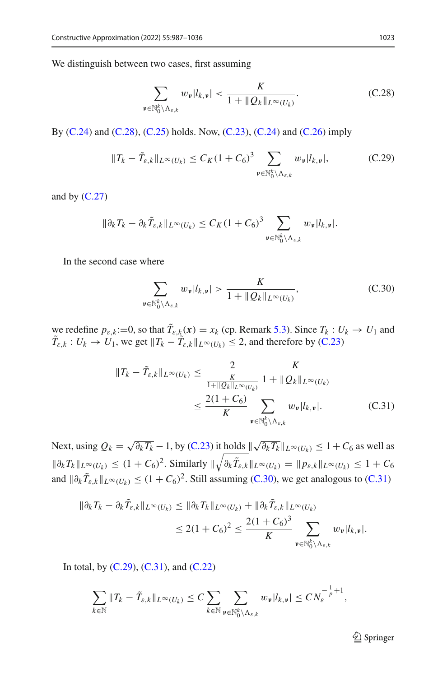We distinguish between two cases, first assuming

<span id="page-36-0"></span>
$$
\sum_{\mathbf{v}\in\mathbb{N}_0^k\setminus\Lambda_{\varepsilon,k}}w_{\mathbf{v}}|l_{k,\mathbf{v}}|<\frac{K}{1+\|Q_k\|_{L^\infty(U_k)}}.\tag{C.28}
$$

By [\(C.24\)](#page-35-2) and [\(C.28\)](#page-36-0), [\(C.25\)](#page-35-3) holds. Now, [\(C.23\)](#page-35-4), (C.24) and [\(C.26\)](#page-35-5) imply

<span id="page-36-3"></span>
$$
||T_k - \tilde{T}_{\varepsilon,k}||_{L^{\infty}(U_k)} \le C_K (1 + C_6)^3 \sum_{\mathfrak{v} \in \mathbb{N}_0^k \setminus \Lambda_{\varepsilon,k}} w_{\mathfrak{v}} |l_{k,\mathfrak{v}}|,
$$
 (C.29)

and by  $(C.27)$ 

$$
\|\partial_k T_k - \partial_k \tilde{T}_{\varepsilon,k}\|_{L^\infty(U_k)} \leq C_K (1+C_6)^3 \sum_{\mathfrak{v}\in\mathbb{N}_0^k\backslash\Lambda_{\varepsilon,k}} w_{\mathfrak{v}} |l_{k,\mathfrak{v}}|.
$$

In the second case where

<span id="page-36-1"></span>
$$
\sum_{\mathbf{v}\in\mathbb{N}_0^k\backslash\Lambda_{\varepsilon,k}} w_{\mathbf{v}}|l_{k,\mathbf{v}}| > \frac{K}{1 + \|Q_k\|_{L^\infty(U_k)}},\tag{C.30}
$$

we redefine  $p_{\varepsilon,k} := 0$ , so that  $T_{\varepsilon,k}(x) = x_k$  (cp. Remark [5.3\)](#page-13-4). Since  $T_k : U_k \to U_1$  and  $T_{\varepsilon,k}: U_k \to U_1$ , we get  $||T_k - T_{\varepsilon,k}||_{L^\infty(U_k)} \leq 2$ , and therefore by [\(C.23\)](#page-35-4)

<span id="page-36-2"></span>
$$
||T_{k} - \tilde{T}_{\varepsilon,k}||_{L^{\infty}(U_{k})} \le \frac{2}{\frac{K}{1 + ||Q_{k}||_{L^{\infty}(U_{k})}}}\frac{K}{1 + ||Q_{k}||_{L^{\infty}(U_{k})}}
$$

$$
\le \frac{2(1 + C_{6})}{K} \sum_{\nu \in \mathbb{N}_{0}^{k} \setminus \Lambda_{\varepsilon,k}} w_{\nu} |l_{k,\nu}|.
$$
 (C.31)

Next, using  $Q_k = \sqrt{\partial_k T_k} - 1$ , by [\(C.23\)](#page-35-4) it holds  $\sqrt{\partial_k T_k} ||_{L^\infty(U_k)} \leq 1 + C_6$  as well as  $\|\partial_k T_k\|_{L^{\infty}(U_k)} \leq (1+C_6)^2$ . Similarly  $\|\sqrt{\partial_k \tilde{T}_{\varepsilon,k}}\|_{L^{\infty}(U_k)} = \|p_{\varepsilon,k}\|_{L^{\infty}(U_k)} \leq 1+C_6$ and  $\|\partial_k \tilde{T}_{\varepsilon,k}\|_{L^\infty(U_k)} \le (1+C_6)^2$ . Still assuming [\(C.30\)](#page-36-1), we get analogous to [\(C.31\)](#page-36-2)

$$
\|\partial_k T_k - \partial_k \tilde{T}_{\varepsilon,k}\|_{L^\infty(U_k)} \le \|\partial_k T_k\|_{L^\infty(U_k)} + \|\partial_k \tilde{T}_{\varepsilon,k}\|_{L^\infty(U_k)}
$$
  

$$
\le 2(1+C_6)^2 \le \frac{2(1+C_6)^3}{K} \sum_{\mathbf{v}\in\mathbb{N}_0^k\backslash\Lambda_{\varepsilon,k}} w_{\mathbf{v}} |l_{k,\mathbf{v}}|.
$$

In total, by [\(C.29\)](#page-36-3), [\(C.31\)](#page-36-2), and [\(C.22\)](#page-35-1)

$$
\sum_{k\in\mathbb{N}}\|T_k-\tilde{T}_{\varepsilon,k}\|_{L^\infty(U_k)}\leq C\sum_{k\in\mathbb{N}}\sum_{\mathbf{\nu}\in\mathbb{N}_0^k\setminus\Lambda_{\varepsilon,k}}w_{\mathbf{\nu}}|l_{k,\mathbf{\nu}}|\leq CN_{\varepsilon}^{-\frac{1}{p}+1},
$$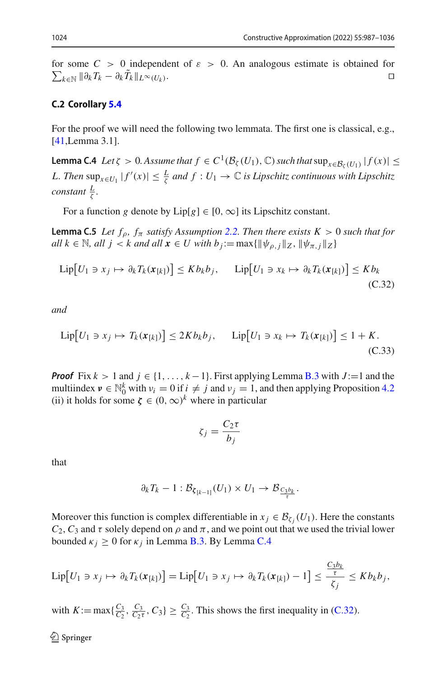for some  $C > 0$  independent of  $\varepsilon > 0$ . An analogous estimate is obtained for  $\sum_{k \in \mathbb{N}} ||\partial_k T_k - \partial_k T_k||_{L^\infty(U_k)}$ .

# **C.2 Corollary [5.4](#page-13-3)**

For the proof we will need the following two lemmata. The first one is classical, e.g., [\[41](#page-49-1),Lemma 3.1].

**Lemma C.4** *Let*  $\zeta > 0$ *. Assume that*  $f \in C^1(\mathcal{B}_{\zeta}(U_1), \mathbb{C})$  *such that*  $\sup_{x \in \mathcal{B}_{\zeta}(U_1)} |f(x)| \le$ *L. Then*  $\sup_{x \in U_1} |f'(x)| \leq \frac{L}{\zeta}$  *and*  $f: U_1 \to \mathbb{C}$  *is Lipschitz continuous with Lipschitz constant*  $\frac{L}{\zeta}$ *.* 

For a function *g* denote by  $Lip[g] \in [0, \infty]$  its Lipschitz constant.

**Lemma C.5** *Let*  $f_\rho$ *,*  $f_\pi$  *satisfy Assumption [2.2.](#page-5-1) Then there exists K > 0 such that for*  $all \ k \in \mathbb{N}, \ all \ j < k \ and \ all \ x \in U \ with \ b_j := \max\{\|\psi_{\rho,j}\|_Z, \|\psi_{\pi,j}\|_Z\}$ 

<span id="page-37-0"></span>
$$
\operatorname{Lip}[U_1 \ni x_j \mapsto \partial_k T_k(\boldsymbol{x}_{[k]})] \le K b_k b_j, \quad \operatorname{Lip}[U_1 \ni x_k \mapsto \partial_k T_k(\boldsymbol{x}_{[k]})] \le K b_k
$$
\n(C.32)

*and*

<span id="page-37-1"></span>
$$
\operatorname{Lip}[U_1 \ni x_j \mapsto T_k(\mathbf{x}_{[k]})] \le 2Kb_kb_j, \qquad \operatorname{Lip}[U_1 \ni x_k \mapsto T_k(\mathbf{x}_{[k]})] \le 1 + K. \tag{C.33}
$$

*Proof* Fix  $k > 1$  and  $j \in \{1, ..., k-1\}$ . First applying Lemma [B.3](#page-23-0) with  $J := 1$  and the multiindex  $v \in \mathbb{N}_0^k$  with  $v_i = 0$  if  $i \neq j$  and  $v_j = 1$ , and then applying Proposition [4.2](#page-10-0) (ii) it holds for some  $\zeta \in (0,\infty)^k$  where in particular

$$
\zeta_j = \frac{C_2 \tau}{b_j}
$$

that

$$
\partial_k T_k - 1 : \mathcal{B}_{\zeta_{[k-1]}}(U_1) \times U_1 \to \mathcal{B}_{\frac{C_3 b_k}{\tau}}.
$$

Moreover this function is complex differentiable in  $x_j \in \mathcal{B}_{\zeta_i}(U_1)$ . Here the constants  $C_2$ ,  $C_3$  and  $\tau$  solely depend on  $\rho$  and  $\pi$ , and we point out that we used the trivial lower bounded  $\kappa_i \geq 0$  for  $\kappa_i$  in Lemma [B.3.](#page-23-0) By Lemma [C.4](#page-24-0)

$$
\operatorname{Lip}[U_1 \ni x_j \mapsto \partial_k T_k(\boldsymbol{x}_{[k]})] = \operatorname{Lip}[U_1 \ni x_j \mapsto \partial_k T_k(\boldsymbol{x}_{[k]}) - 1] \le \frac{\frac{C_3 b_k}{\tau}}{\zeta_j} \le K b_k b_j,
$$

with  $K := \max\{\frac{C_3}{C_2}, \frac{C_3}{C_2\tau}, C_3\} \ge \frac{C_3}{C_2}$ . This shows the first inequality in [\(C.32\)](#page-37-0).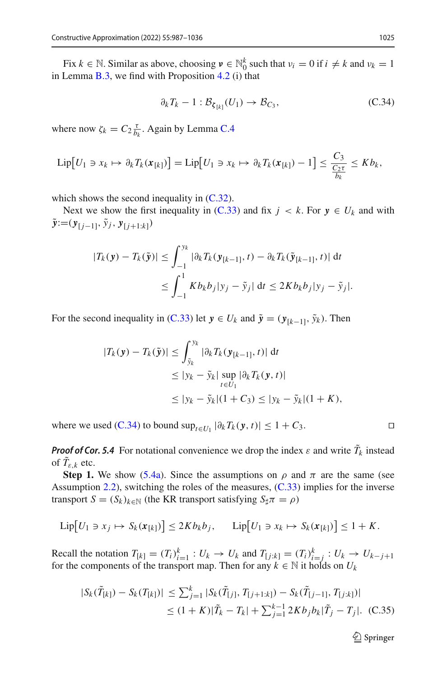Fix  $k \in \mathbb{N}$ . Similar as above, choosing  $v \in \mathbb{N}_0^k$  such that  $v_i = 0$  if  $i \neq k$  and  $v_k = 1$ in Lemma [B.3,](#page-23-0) we find with Proposition [4.2](#page-10-0) (i) that

<span id="page-38-0"></span>
$$
\partial_k T_k - 1 : \mathcal{B}_{\xi_{[k]}}(U_1) \to \mathcal{B}_{C_3},\tag{C.34}
$$

where now  $\zeta_k = C_2 \frac{\tau}{b_k}$ . Again by Lemma [C.4](#page-24-0)

$$
\operatorname{Lip}[U_1 \ni x_k \mapsto \partial_k T_k(\mathbf{x}_{[k]})] = \operatorname{Lip}[U_1 \ni x_k \mapsto \partial_k T_k(\mathbf{x}_{[k]}) - 1] \leq \frac{C_3}{\frac{C_2 \tau}{b_k}} \leq K b_k,
$$

which shows the second inequality in  $(C.32)$ .

Next we show the first inequality in [\(C.33\)](#page-37-1) and fix  $j \lt k$ . For  $y \in U_k$  and with  $\tilde{y}$ :=( $y_{[i-1]}, \tilde{y}_j, y_{[i+1:k]})$ 

$$
|T_k(\mathbf{y}) - T_k(\tilde{\mathbf{y}})| \le \int_{-1}^{y_k} |\partial_k T_k(\mathbf{y}_{[k-1]}, t) - \partial_k T_k(\tilde{\mathbf{y}}_{[k-1]}, t)| \, dt
$$
  

$$
\le \int_{-1}^1 K b_k b_j |y_j - \tilde{y}_j| \, dt \le 2K b_k b_j |y_j - \tilde{y}_j|.
$$

For the second inequality in [\(C.33\)](#page-37-1) let  $y \in U_k$  and  $\tilde{y} = (\mathbf{y}_{[k-1]}, \tilde{y}_k)$ . Then

$$
|T_k(\mathbf{y}) - T_k(\tilde{\mathbf{y}})| \le \int_{\tilde{y}_k}^{y_k} |\partial_k T_k(\mathbf{y}_{[k-1]}, t)| \, \mathrm{d}t
$$
  
\n
$$
\le |y_k - \tilde{y}_k| \sup_{t \in U_1} |\partial_k T_k(\mathbf{y}, t)|
$$
  
\n
$$
\le |y_k - \tilde{y}_k| (1 + C_3) \le |y_k - \tilde{y}_k| (1 + K),
$$

where we used [\(C.34\)](#page-38-0) to bound  $\sup_{t \in U_1} |\partial_k T_k(\mathbf{y}, t)| \leq 1 + C_3$ .

*Proof of Cor. 5.4* For notational convenience we drop the index  $\varepsilon$  and write  $\tilde{T}_k$  instead of  $T_{\varepsilon,k}$  etc.

**Step 1.** We show [\(5.4a\)](#page-14-2). Since the assumptions on  $\rho$  and  $\pi$  are the same (see Assumption [2.2\)](#page-5-1), switching the roles of the measures, [\(C.33\)](#page-37-1) implies for the inverse transport  $S = (S_k)_{k \in \mathbb{N}}$  (the KR transport satisfying  $S_{\sharp} \pi = \rho$ )

$$
\operatorname{Lip}[U_1 \ni x_j \mapsto S_k(\pmb{x}_{[k]})] \leq 2Kb_kb_j, \qquad \operatorname{Lip}[U_1 \ni x_k \mapsto S_k(\pmb{x}_{[k]})] \leq 1 + K.
$$

Recall the notation  $T_{[k]} = (T_i)_{i=1}^k : U_k \to U_k$  and  $T_{[j:k]} = (T_i)_{i=j}^k : U_k \to U_{k-j+1}$ for the components of the transport map. Then for any  $k \in \mathbb{N}$  it holds on  $U_k$ 

<span id="page-38-1"></span>
$$
|S_k(\tilde{T}_{[k]}) - S_k(T_{[k]})| \le \sum_{j=1}^k |S_k(\tilde{T}_{[j]}, T_{[j+1:k]}) - S_k(\tilde{T}_{[j-1]}, T_{[j:k]})|
$$
  

$$
\le (1 + K)|\tilde{T}_k - T_k| + \sum_{j=1}^{k-1} 2Kb_j b_k |\tilde{T}_j - T_j|. \quad (C.35)
$$

$$
\Box
$$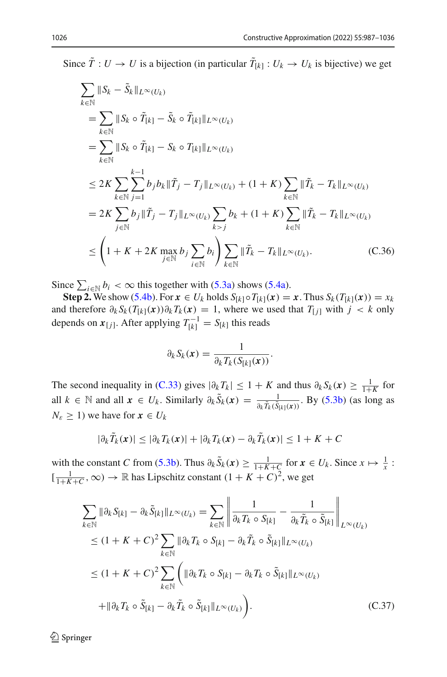Since  $T: U \to U$  is a bijection (in particular  $T_{[k]} : U_k \to U_k$  is bijective) we get

<span id="page-39-1"></span>
$$
\sum_{k \in \mathbb{N}} ||S_k - \tilde{S}_k||_{L^{\infty}(U_k)}\n= \sum_{k \in \mathbb{N}} ||S_k \circ \tilde{T}_{[k]} - \tilde{S}_k \circ \tilde{T}_{[k]}||_{L^{\infty}(U_k)}\n= \sum_{k \in \mathbb{N}} ||S_k \circ \tilde{T}_{[k]} - S_k \circ T_{[k]}||_{L^{\infty}(U_k)}\n\leq 2K \sum_{k \in \mathbb{N}} \sum_{j=1}^{k-1} b_j b_k ||\tilde{T}_j - T_j||_{L^{\infty}(U_k)} + (1 + K) \sum_{k \in \mathbb{N}} ||\tilde{T}_k - T_k||_{L^{\infty}(U_k)}\n= 2K \sum_{j \in \mathbb{N}} b_j ||\tilde{T}_j - T_j||_{L^{\infty}(U_k)} \sum_{k > j} b_k + (1 + K) \sum_{k \in \mathbb{N}} ||\tilde{T}_k - T_k||_{L^{\infty}(U_k)}\n\leq \left(1 + K + 2K \max_{j \in \mathbb{N}} b_j \sum_{i \in \mathbb{N}} b_i \right) \sum_{k \in \mathbb{N}} ||\tilde{T}_k - T_k||_{L^{\infty}(U_k)}.
$$
\n(C.36)

Since  $\sum_{i \in \mathbb{N}} b_i < \infty$  this together with [\(5.3a\)](#page-13-5) shows [\(5.4a\)](#page-14-2).

**Step 2.** We show [\(5.4b\)](#page-14-3). For  $x \in U_k$  holds  $S_{[k]} \circ T_{[k]}(x) = x$ . Thus  $S_k(T_{[k]}(x)) = x_k$ and therefore  $\partial_k S_k(T_{[k]}(x))\partial_k T_k(x) = 1$ , where we used that  $T_{[j]}$  with  $j < k$  only depends on  $x_{[j]}$ . After applying  $T_{[k]}^{-1} = S_{[k]}$  this reads

$$
\partial_k S_k(\boldsymbol{x}) = \frac{1}{\partial_k T_k(S_{[k]}(\boldsymbol{x}))}.
$$

The second inequality in [\(C.33\)](#page-37-1) gives  $|\partial_k T_k| \leq 1 + K$  and thus  $\partial_k S_k(x) \geq \frac{1}{1+K}$  for all *k* ∈ *N* and all  $x \in U_k$ . Similarly  $\partial_k \tilde{S}_k(x) = \frac{1}{\partial_k \tilde{T}_k(\tilde{S}_{k}(x))}$ . By [\(5.3b\)](#page-13-6) (as long as  $N_{\varepsilon} \geq 1$ ) we have for  $x \in U_k$ 

$$
|\partial_k \tilde{T}_k(\boldsymbol{x})| \leq |\partial_k T_k(\boldsymbol{x})| + |\partial_k T_k(\boldsymbol{x}) - \partial_k \tilde{T}_k(\boldsymbol{x})| \leq 1 + K + C
$$

with the constant *C* from [\(5.3b\)](#page-13-6). Thus  $\partial_k \tilde{S}_k(x) \ge \frac{1}{1+K+C}$  for  $x \in U_k$ . Since  $x \mapsto \frac{1}{x}$ :  $\left[\frac{1}{1+K+C}, \infty\right) \to \mathbb{R}$  has Lipschitz constant  $(1+K+C)^2$ , we get

<span id="page-39-0"></span>
$$
\sum_{k \in \mathbb{N}} \|\partial_k S_{[k]} - \partial_k \tilde{S}_{[k]} \|_{L^{\infty}(U_k)} = \sum_{k \in \mathbb{N}} \left\| \frac{1}{\partial_k T_k \circ S_{[k]}} - \frac{1}{\partial_k \tilde{T}_k \circ \tilde{S}_{[k]}} \right\|_{L^{\infty}(U_k)}
$$
\n
$$
\leq (1 + K + C)^2 \sum_{k \in \mathbb{N}} \|\partial_k T_k \circ S_{[k]} - \partial_k \tilde{T}_k \circ \tilde{S}_{[k]} \|_{L^{\infty}(U_k)}
$$
\n
$$
\leq (1 + K + C)^2 \sum_{k \in \mathbb{N}} \left( \|\partial_k T_k \circ S_{[k]} - \partial_k T_k \circ \tilde{S}_{[k]} \|_{L^{\infty}(U_k)} \right)
$$
\n
$$
+ \|\partial_k T_k \circ \tilde{S}_{[k]} - \partial_k \tilde{T}_k \circ \tilde{S}_{[k]} \|_{L^{\infty}(U_k)} \right). \tag{C.37}
$$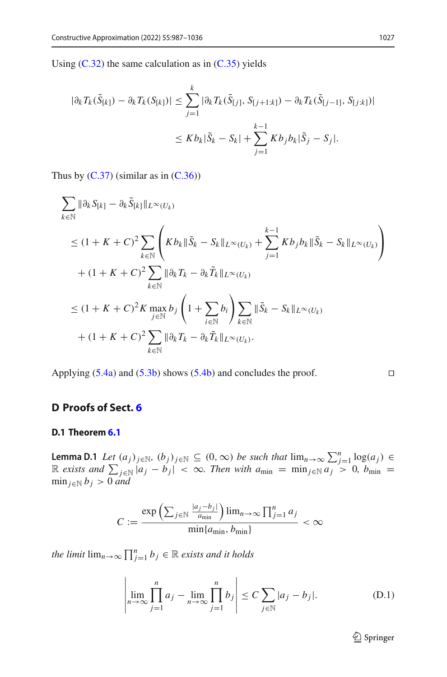Using  $(C.32)$  the same calculation as in  $(C.35)$  yields

$$
|\partial_k T_k(\tilde{S}_{[k]}) - \partial_k T_k(S_{[k]})| \le \sum_{j=1}^k |\partial_k T_k(\tilde{S}_{[j]}, S_{[j+1:k]}) - \partial_k T_k(\tilde{S}_{[j-1]}, S_{[j:k]})|
$$
  

$$
\le K b_k |\tilde{S}_k - S_k| + \sum_{j=1}^{k-1} K b_j b_k |\tilde{S}_j - S_j|.
$$

Thus by  $(C.37)$  (similar as in  $(C.36)$ )

$$
\sum_{k \in \mathbb{N}} \|\partial_k S_{[k]} - \partial_k \tilde{S}_{[k]} \|_{L^{\infty}(U_k)}
$$
\n
$$
\leq (1 + K + C)^2 \sum_{k \in \mathbb{N}} \left( K b_k \|\tilde{S}_k - S_k\|_{L^{\infty}(U_k)} + \sum_{j=1}^{k-1} K b_j b_k \|\tilde{S}_k - S_k\|_{L^{\infty}(U_k)} \right)
$$
\n
$$
+ (1 + K + C)^2 \sum_{k \in \mathbb{N}} \|\partial_k T_k - \partial_k \tilde{T}_k\|_{L^{\infty}(U_k)}
$$
\n
$$
\leq (1 + K + C)^2 K \max_{j \in \mathbb{N}} b_j \left( 1 + \sum_{i \in \mathbb{N}} b_i \right) \sum_{k \in \mathbb{N}} \|\tilde{S}_k - S_k\|_{L^{\infty}(U_k)}
$$
\n
$$
+ (1 + K + C)^2 \sum_{k \in \mathbb{N}} \|\partial_k T_k - \partial_k \tilde{T}_k\|_{L^{\infty}(U_k)}.
$$

Applying  $(5.4a)$  and  $(5.3b)$  shows  $(5.4b)$  and concludes the proof.

# **D Proofs of Sect. [6](#page-14-0)**

### **D.1 Theorem [6.1](#page-14-1)**

**Lemma D.1** Let  $(a_j)_{j \in \mathbb{N}}$ ,  $(b_j)_{j \in \mathbb{N}} \subseteq (0, \infty)$  be such that  $\lim_{n \to \infty} \sum_{j=1}^n \log(a_j) \in \mathbb{R}$  exists and  $\sum_{j \in \mathbb{N}} |a_j - b_j| < \infty$ . Then with  $a_{\min} = \min_{j \in \mathbb{N}} a_j > 0$ ,  $b_{\min} =$  $\min_{j \in \mathbb{N}} b_j > 0$  *and* 

$$
C := \frac{\exp\left(\sum_{j\in\mathbb{N}}\frac{|a_j-b_j|}{a_{\min}}\right)\lim_{n\to\infty}\prod_{j=1}^n a_j}{\min\{a_{\min},b_{\min}\}} < \infty
$$

*the limit*  $\lim_{n\to\infty} \prod_{j=1}^n b_j \in \mathbb{R}$  *exists and it holds* 

$$
\left| \lim_{n \to \infty} \prod_{j=1}^{n} a_j - \lim_{n \to \infty} \prod_{j=1}^{n} b_j \right| \le C \sum_{j \in \mathbb{N}} |a_j - b_j|.
$$
 (D.1)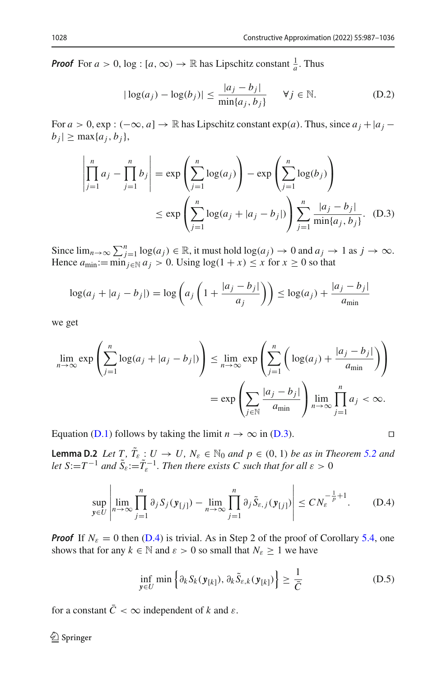*Proof* For  $a > 0$ ,  $\log : [a, \infty) \to \mathbb{R}$  has Lipschitz constant  $\frac{1}{a}$ . Thus

$$
|\log(a_j) - \log(b_j)| \le \frac{|a_j - b_j|}{\min\{a_j, b_j\}} \quad \forall j \in \mathbb{N}.
$$
 (D.2)

For  $a > 0$ , exp :  $(-\infty, a] \rightarrow \mathbb{R}$  has Lipschitz constant exp(*a*). Thus, since  $a_j + |a_j - a_j|$  $|b_j| \geq \max\{a_j, b_j\},\$ 

$$
\left| \prod_{j=1}^{n} a_j - \prod_{j=1}^{n} b_j \right| = \exp \left( \sum_{j=1}^{n} \log(a_j) \right) - \exp \left( \sum_{j=1}^{n} \log(b_j) \right)
$$
  

$$
\le \exp \left( \sum_{j=1}^{n} \log(a_j + |a_j - b_j|) \right) \sum_{j=1}^{n} \frac{|a_j - b_j|}{\min\{a_j, b_j\}}. (D.3)
$$

Since  $\lim_{n\to\infty} \sum_{j=1}^{n} \log(a_j) \in \mathbb{R}$ , it must hold  $\log(a_j) \to 0$  and  $a_j \to 1$  as  $j \to \infty$ . Hence  $a_{\text{min}} := \min_{j \in \mathbb{N}} a_j > 0$ . Using  $\log(1 + x) \leq x$  for  $x \geq 0$  so that

$$
\log(a_j + |a_j - b_j|) = \log\left(a_j\left(1 + \frac{|a_j - b_j|}{a_j}\right)\right) \le \log(a_j) + \frac{|a_j - b_j|}{a_{\min}}
$$

we get

$$
\lim_{n \to \infty} \exp\left(\sum_{j=1}^{n} \log(a_j + |a_j - b_j|) \right) \le \lim_{n \to \infty} \exp\left(\sum_{j=1}^{n} \left(\log(a_j) + \frac{|a_j - b_j|}{a_{\min}}\right) \right)
$$

$$
= \exp\left(\sum_{j \in \mathbb{N}} \frac{|a_j - b_j|}{a_{\min}}\right) \lim_{n \to \infty} \prod_{j=1}^{n} a_j < \infty.
$$

Equation [\(D.1\)](#page-10-3) follows by taking the limit  $n \to \infty$  in [\(D.3\)](#page-11-1).

**Lemma D.2** *Let*  $T, \tilde{T}_{\varepsilon} : U \to U$ ,  $N_{\varepsilon} \in \mathbb{N}_0$  *and*  $p \in (0, 1)$  *be as in Theorem* [5.2](#page-13-0) *and let*  $S:=T^{-1}$  *and*  $\tilde{S}_{\varepsilon}:=\tilde{T}_{\varepsilon}^{-1}$ *. Then there exists C such that for all*  $\varepsilon > 0$ 

$$
\sup_{\mathbf{y}\in U}\left|\lim_{n\to\infty}\prod_{j=1}^n\partial_jS_j(\mathbf{y}_{[j]})-\lim_{n\to\infty}\prod_{j=1}^n\partial_j\tilde{S}_{\varepsilon,j}(\mathbf{y}_{[j]})\right|\leq CN_{\varepsilon}^{-\frac{1}{p}+1}.\tag{D.4}
$$

*Proof* If  $N_{\varepsilon} = 0$  then [\(D.4\)](#page-11-0) is trivial. As in Step 2 of the proof of Corollary [5.4,](#page-13-3) one shows that for any  $k \in \mathbb{N}$  and  $\varepsilon > 0$  so small that  $N_{\varepsilon} \ge 1$  we have

$$
\inf_{\mathbf{y}\in U} \min \left\{ \partial_k S_k(\mathbf{y}_{[k]}), \partial_k \tilde{S}_{\varepsilon,k}(\mathbf{y}_{[k]}) \right\} \ge \frac{1}{\bar{C}} \tag{D.5}
$$

for a constant  $\overline{C} < \infty$  independent of *k* and  $\varepsilon$ .

$$
\Box
$$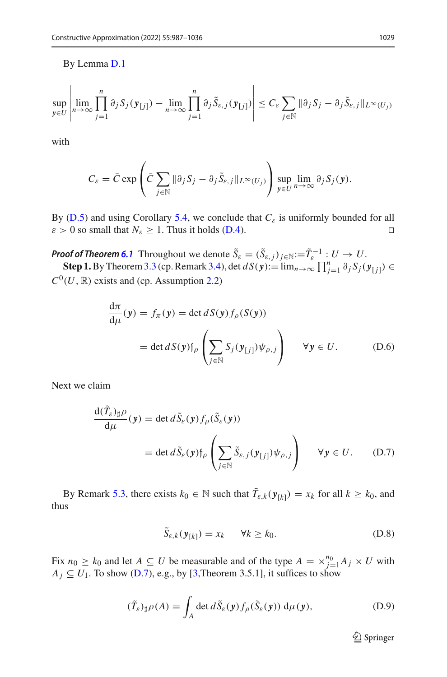# By Lemma [D.1](#page-18-0)

$$
\sup_{\mathbf{y}\in U}\left|\lim_{n\to\infty}\prod_{j=1}^n\partial_jS_j(\mathbf{y}_{[j]})-\lim_{n\to\infty}\prod_{j=1}^n\partial_j\tilde{S}_{\varepsilon,j}(\mathbf{y}_{[j]})\right|\leq C_{\varepsilon}\sum_{j\in\mathbb{N}}\|\partial_jS_j-\partial_j\tilde{S}_{\varepsilon,j}\|_{L^{\infty}(U_j)}
$$

with

$$
C_{\varepsilon} = \bar{C} \exp \left( \bar{C} \sum_{j \in \mathbb{N}} \| \partial_j S_j - \partial_j \tilde{S}_{\varepsilon,j} \|_{L^{\infty}(U_j)} \right) \sup_{\mathbf{y} \in U} \lim_{n \to \infty} \partial_j S_j(\mathbf{y}).
$$

By ( $D.5$ ) and using Corollary [5.4,](#page-13-3) we conclude that  $C_{\varepsilon}$  is uniformly bounded for all  $\varepsilon > 0$  so small that  $N_{\varepsilon} \ge 1$ . Thus it holds [\(D.4\)](#page-11-0).

*Proof of Theorem [6.1](#page-14-1)* Throughout we denote  $\tilde{S}_{\varepsilon} = (\tilde{S}_{\varepsilon,j})_{j \in \mathbb{N}} := \tilde{T}_{\varepsilon}^{-1} : U \to U$ . **Step 1.** By Theorem [3.3](#page-9-0) (cp. Remark [3.4\)](#page-9-4), det *d S*( $\mathbf{y}$ ):= lim<sub>*n*→∞</sub>  $\prod_{j=1}^{n} \partial_j S_j(\mathbf{y}_{[j]})$  ∈  $C^0(U, \mathbb{R})$  exists and (cp. Assumption [2.2\)](#page-5-1)

$$
\frac{d\pi}{d\mu}(y) = f_{\pi}(y) = \det dS(y) f_{\rho}(S(y))
$$
  
=  $\det dS(y) f_{\rho} \left( \sum_{j \in \mathbb{N}} S_j(y_{[j]}) \psi_{\rho,j} \right) \quad \forall y \in U.$  (D.6)

Next we claim

<span id="page-42-0"></span>
$$
\frac{d(T_{\varepsilon})_{\sharp}\rho}{d\mu}(\mathbf{y}) = \det d\tilde{S}_{\varepsilon}(\mathbf{y})f_{\rho}(\tilde{S}_{\varepsilon}(\mathbf{y}))
$$
  
= 
$$
\det d\tilde{S}_{\varepsilon}(\mathbf{y})f_{\rho}\left(\sum_{j\in\mathbb{N}}\tilde{S}_{\varepsilon,j}(\mathbf{y}_{[j]})\psi_{\rho,j}\right) \quad \forall \mathbf{y} \in U.
$$
 (D.7)

By Remark [5.3,](#page-13-4) there exists  $k_0 \in \mathbb{N}$  such that  $\tilde{T}_{\varepsilon,k}(\mathbf{y}_{[k]}) = x_k$  for all  $k \geq k_0$ , and thus

<span id="page-42-1"></span>
$$
\tilde{S}_{\varepsilon,k}(\mathbf{y}_{[k]}) = x_k \qquad \forall k \ge k_0. \tag{D.8}
$$

Fix  $n_0 \ge k_0$  and let  $A \subseteq U$  be measurable and of the type  $A = \times_{j=1}^{n_0} A_j \times U$  with  $A_j \subseteq U_1$ . To show [\(D.7\)](#page-42-0), e.g., by [\[3,](#page-47-3)Theorem 3.5.1], it suffices to show

<span id="page-42-2"></span>
$$
(\tilde{T}_{\varepsilon})_{\sharp}\rho(A) = \int_{A} \det d\tilde{S}_{\varepsilon}(\mathbf{y}) f_{\rho}(\tilde{S}_{\varepsilon}(\mathbf{y})) d\mu(\mathbf{y}), \tag{D.9}
$$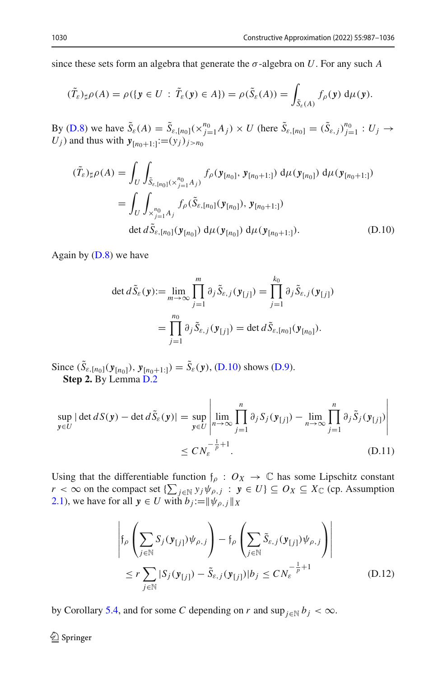since these sets form an algebra that generate the  $\sigma$ -algebra on *U*. For any such *A* 

$$
(\tilde{T}_{\varepsilon})_{\sharp}\rho(A)=\rho(\lbrace \mathbf{y}\in U: \tilde{T}_{\varepsilon}(\mathbf{y})\in A\rbrace)=\rho(\tilde{S}_{\varepsilon}(A))=\int_{\tilde{S}_{\varepsilon}(A)}f_{\rho}(\mathbf{y}) d\mu(\mathbf{y}).
$$

By [\(D.8\)](#page-42-1) we have  $\tilde{S}_{\varepsilon}(A) = \tilde{S}_{\varepsilon,[n_0]}(x_{j=1}^{n_0}A_j) \times U$  (here  $\tilde{S}_{\varepsilon,[n_0]} = (\tilde{S}_{\varepsilon,j})_{j=1}^{n_0} : U_j \to U$ ) and thus with  $v_j$  $U_j$ ) and thus with  $y_{[n_0+1:]} := (y_j)_{j \ge n_0}$ 

<span id="page-43-0"></span>
$$
(\tilde{T}_{\varepsilon})_{\sharp}\rho(A) = \int_{U} \int_{\tilde{S}_{\varepsilon,[n_0]}(\times_{j=1}^{n_0} A_j)} f_{\rho}(\mathbf{y}_{[n_0]}, \mathbf{y}_{[n_0+1:]}) d\mu(\mathbf{y}_{[n_0]}) d\mu(\mathbf{y}_{[n_0+1:]})
$$
  
\n
$$
= \int_{U} \int_{\times_{j=1}^{n_0} A_j} f_{\rho}(\tilde{S}_{\varepsilon,[n_0]}(\mathbf{y}_{[n_0]}), \mathbf{y}_{[n_0+1:]})
$$
  
\n
$$
\det d\tilde{S}_{\varepsilon,[n_0]}(\mathbf{y}_{[n_0]}) d\mu(\mathbf{y}_{[n_0]}) d\mu(\mathbf{y}_{[n_0+1:]}).
$$
\n(D.10)

Again by  $(D.8)$  we have

$$
\det d\tilde{S}_{\varepsilon}(\mathbf{y}) := \lim_{m \to \infty} \prod_{j=1}^{m} \partial_{j} \tilde{S}_{\varepsilon,j}(\mathbf{y}_{[j]}) = \prod_{j=1}^{k_{0}} \partial_{j} \tilde{S}_{\varepsilon,j}(\mathbf{y}_{[j]})
$$

$$
= \prod_{j=1}^{n_{0}} \partial_{j} \tilde{S}_{\varepsilon,j}(\mathbf{y}_{[j]}) = \det d\tilde{S}_{\varepsilon,[n_{0}]}(\mathbf{y}_{[n_{0}]}).
$$

Since  $(S_{\varepsilon,[n_0]}(\mathbf{y}_{[n_0]}), \mathbf{y}_{[n_0+1:]} ) = S_{\varepsilon}(\mathbf{y}),$  [\(D.10\)](#page-43-0) shows [\(D.9\)](#page-42-2). **Step 2.** By Lemma [D.2](#page-28-0)

<span id="page-43-1"></span>
$$
\sup_{\mathbf{y}\in U} |\det dS(\mathbf{y}) - \det d\tilde{S}_{\varepsilon}(\mathbf{y})| = \sup_{\mathbf{y}\in U} \left| \lim_{n\to\infty} \prod_{j=1}^{n} \partial_{j} S_{j}(\mathbf{y}_{[j]}) - \lim_{n\to\infty} \prod_{j=1}^{n} \partial_{j} \tilde{S}_{j}(\mathbf{y}_{[j]}) \right|
$$
  
 
$$
\leq C N_{\varepsilon}^{-\frac{1}{p}+1}.
$$
 (D.11)

Using that the differentiable function  $f_\rho$  :  $O_X \to \mathbb{C}$  has some Lipschitz constant *r* < ∞ on the compact set  $\{\sum_{j \in \mathbb{N}} y_j \psi_{\rho,j} : y \in U\} \subseteq O_X \subseteq X_{\mathbb{C}}$  (cp. Assumption [2.1\)](#page-4-0), we have for all  $y \in U$  with  $b_j := ||\psi_{\rho,j}||_X$ 

<span id="page-43-2"></span>
$$
\left| \mathfrak{f}_{\rho} \left( \sum_{j \in \mathbb{N}} S_j(\mathbf{y}_{[j]}) \psi_{\rho,j} \right) - \mathfrak{f}_{\rho} \left( \sum_{j \in \mathbb{N}} \tilde{S}_{\varepsilon,j}(\mathbf{y}_{[j]}) \psi_{\rho,j} \right) \right|
$$
  

$$
\leq r \sum_{j \in \mathbb{N}} |S_j(\mathbf{y}_{[j]}) - \tilde{S}_{\varepsilon,j}(\mathbf{y}_{[j]})| b_j \leq C N_{\varepsilon}^{-\frac{1}{p} + 1}
$$
 (D.12)

by Corollary [5.4,](#page-13-3) and for some *C* depending on *r* and  $\sup_{j \in \mathbb{N}} b_j < \infty$ .

 $\bigcirc$  Springer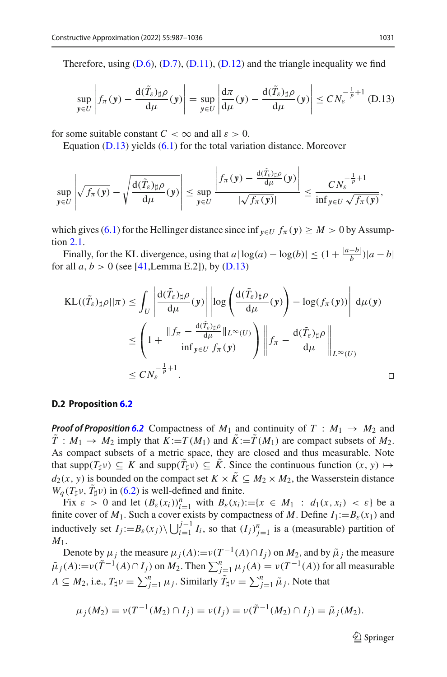Therefore, using  $(D.6)$ ,  $(D.7)$ ,  $(D.11)$ ,  $(D.12)$  and the triangle inequality we find

<span id="page-44-0"></span>
$$
\sup_{\mathbf{y}\in U}\left|f_{\pi}(\mathbf{y})-\frac{d(\tilde{T}_{\varepsilon})_{\sharp}\rho}{d\mu}(\mathbf{y})\right|=\sup_{\mathbf{y}\in U}\left|\frac{d\pi}{d\mu}(\mathbf{y})-\frac{d(\tilde{T}_{\varepsilon})_{\sharp}\rho}{d\mu}(\mathbf{y})\right|\leq CN_{\varepsilon}^{-\frac{1}{p}+1}
$$
(D.13)

for some suitable constant  $C < \infty$  and all  $\varepsilon > 0$ .

Equation [\(D.13\)](#page-44-0) yields [\(6.1\)](#page-14-4) for the total variation distance. Moreover

$$
\sup_{\mathbf{y}\in U}\left|\sqrt{f_{\pi}(\mathbf{y})}-\sqrt{\frac{d(\tilde{T}_{\varepsilon})_{\sharp}\rho}{d\mu}(\mathbf{y})}\right|\leq \sup_{\mathbf{y}\in U}\frac{\left|f_{\pi}(\mathbf{y})-\frac{d(\tilde{T}_{\varepsilon})_{\sharp}\rho}{d\mu}(\mathbf{y})\right|}{|\sqrt{f_{\pi}(\mathbf{y})}|}\leq \frac{CN_{\varepsilon}^{-\frac{1}{p}+1}}{\inf_{\mathbf{y}\in U}\sqrt{f_{\pi}(\mathbf{y})}},
$$

which gives [\(6.1\)](#page-14-4) for the Hellinger distance since inf  $\mathbf{v}_{\in U}$   $f_{\pi}(\mathbf{y}) \geq M > 0$  by Assumption [2.1.](#page-4-0)

Finally, for the KL divergence, using that  $a \mid \log(a) - \log(b) \mid \leq (1 + \frac{|a-b|}{b}) |a-b|$ for all  $a, b > 0$  (see [\[41,](#page-49-1) Lemma E.2]), by [\(D.13\)](#page-44-0)

$$
\begin{split} \text{KL}((\tilde{T}_{\varepsilon})_{\sharp}\rho||\pi) &\leq \int_{U} \left| \frac{d(\tilde{T}_{\varepsilon})_{\sharp}\rho}{d\mu}(y) \right| \left| \log\left(\frac{d(\tilde{T}_{\varepsilon})_{\sharp}\rho}{d\mu}(y)\right) - \log(f_{\pi}(y)) \right| d\mu(y) \\ &\leq \left(1 + \frac{\|f_{\pi} - \frac{d(\tilde{T}_{\varepsilon})_{\sharp}\rho}{d\mu}\|_{L^{\infty}(U)}}{\inf_{y\in U} f_{\pi}(y)}\right) \left\|f_{\pi} - \frac{d(\tilde{T}_{\varepsilon})_{\sharp}\rho}{d\mu}\right\|_{L^{\infty}(U)} \\ &\leq CN_{\varepsilon}^{-\frac{1}{p}+1}. \end{split}
$$

### **D.2 Proposition [6.2](#page-15-0)**

*Proof of Proposition* [6.2](#page-15-0) Compactness of  $M_1$  and continuity of  $T : M_1 \rightarrow M_2$  and  $\tilde{T}: M_1 \to M_2$  imply that  $K := T(M_1)$  and  $\tilde{K} := \tilde{T}(M_1)$  are compact subsets of  $M_2$ . As compact subsets of a metric space, they are closed and thus measurable. Note that supp $(T_\sharp \nu) \subseteq K$  and supp $(T_\sharp \nu) \subseteq K$ . Since the continuous function  $(x, y) \mapsto$  $d_2(x, y)$  is bounded on the compact set  $K \times \tilde{K} \subseteq M_2 \times M_2$ , the Wasserstein distance  $W_q(T_\sharp \nu, T_\sharp \nu)$  in [\(6.2\)](#page-15-5) is well-defined and finite.

Fix  $\varepsilon > 0$  and let  $(B_{\varepsilon}(x_i))_{i=1}^n$  with  $B_{\varepsilon}(x_i) := \{x \in M_1 : d_1(x, x_i) < \varepsilon\}$  be a finite cover of  $M_1$ . Such a cover exists by compactness of M. Define  $I_1:=B_{\varepsilon}(x_1)$  and inductively set  $I_j := B_\varepsilon(x_j) \setminus \bigcup_{i=1}^{j-1} I_i$ , so that  $(I_j)_{j=1}^n$  is a (measurable) partition of *M*1.

Denote by  $\mu_j$  the measure  $\mu_j(A) := \nu(T^{-1}(A) \cap I_j)$  on  $M_2$ , and by  $\tilde{\mu}_j$  the measure  $\tilde{\mu}_j(A) := \nu(\tilde{T}^{-1}(A) \cap I_j)$  on  $M_2$ . Then  $\sum_{j=1}^n \mu_j(A) = \nu(T^{-1}(A))$  for all measurable  $A \subseteq M_2$ , i.e.,  $T_{\sharp} \nu = \sum_{j=1}^n \mu_j$ . Similarly  $\tilde{T}_{\sharp} \nu = \sum_{j=1}^n \tilde{\mu}_j$ . Note that

$$
\mu_j(M_2) = \nu(T^{-1}(M_2) \cap I_j) = \nu(I_j) = \nu(\tilde{T}^{-1}(M_2) \cap I_j) = \tilde{\mu}_j(M_2).
$$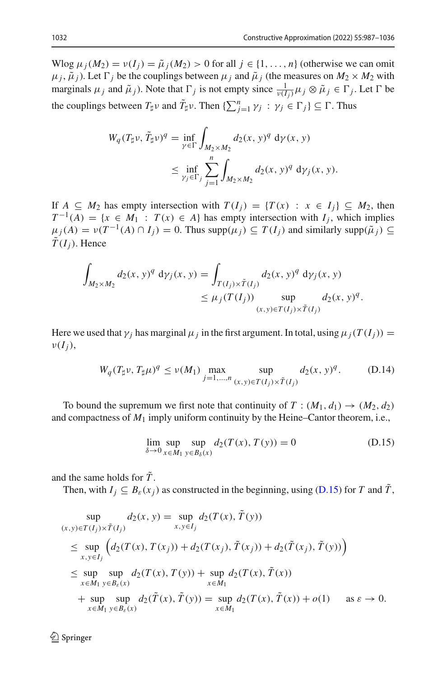Wlog  $\mu_j(M_2) = v(I_j) = \tilde{\mu}_j(M_2) > 0$  for all  $j \in \{1, \ldots, n\}$  (otherwise we can omit  $\mu_j$ ,  $\tilde{\mu}_j$ ). Let  $\Gamma_j$  be the couplings between  $\mu_j$  and  $\tilde{\mu}_j$  (the measures on  $M_2 \times M_2$  with marginals  $\mu_j$  and  $\tilde{\mu}_j$ ). Note that  $\Gamma_j$  is not empty since  $\frac{1}{\nu(I_j)}\mu_j \otimes \tilde{\mu}_j \in \Gamma_j$ . Let  $\Gamma$  be the couplings between  $T_{\sharp}\nu$  and  $\tilde{T}_{\sharp}\nu$ . Then  $\{\sum_{j=1}^{n} \gamma_j : \gamma_j \in \Gamma_j\} \subseteq \Gamma$ . Thus

$$
W_q(T_{\sharp}\nu, \tilde{T}_{\sharp}\nu)^q = \inf_{\gamma \in \Gamma} \int_{M_2 \times M_2} d_2(x, y)^q \, d\gamma(x, y)
$$
  
 
$$
\leq \inf_{\gamma_j \in \Gamma_j} \sum_{j=1}^n \int_{M_2 \times M_2} d_2(x, y)^q \, d\gamma_j(x, y).
$$

If  $A \subseteq M_2$  has empty intersection with  $T(I_i) = {T(x) : x \in I_i} \subseteq M_2$ , then  $T^{-1}(A) = \{x \in M_1 : T(x) \in A\}$  has empty intersection with  $I_i$ , which implies  $\mu_i(A) = \nu(T^{-1}(A) \cap I_i) = 0$ . Thus supp $(\mu_i) \subseteq T(I_i)$  and similarly supp $(\tilde{\mu}_i) \subseteq$  $\tilde{T}(I_i)$ . Hence

$$
\int_{M_2 \times M_2} d_2(x, y)^q \, \mathrm{d}y_j(x, y) = \int_{T(I_j) \times \tilde{T}(I_j)} d_2(x, y)^q \, \mathrm{d}y_j(x, y) \\
 \leq \mu_j(T(I_j)) \sup_{(x, y) \in T(I_j) \times \tilde{T}(I_j)} d_2(x, y)^q.
$$

Here we used that  $\gamma_j$  has marginal  $\mu_j$  in the first argument. In total, using  $\mu_j(T(I_i)) =$  $\nu(I_i)$ ,

<span id="page-45-1"></span>
$$
W_q(T_{\sharp}\nu, T_{\sharp}\mu)^q \le \nu(M_1) \max_{j=1,\dots,n} \sup_{(x,y)\in T(I_j)\times \tilde{T}(I_j)} d_2(x,y)^q.
$$
 (D.14)

To bound the supremum we first note that continuity of  $T : (M_1, d_1) \rightarrow (M_2, d_2)$ and compactness of  $M_1$  imply uniform continuity by the Heine–Cantor theorem, i.e.,

<span id="page-45-0"></span>
$$
\lim_{\delta \to 0} \sup_{x \in M_1} \sup_{y \in B_\delta(x)} d_2(T(x), T(y)) = 0
$$
\n(D.15)

and the same holds for  $\tilde{T}$ .

Then, with  $I_j \subseteq B_\varepsilon(x_j)$  as constructed in the beginning, using [\(D.15\)](#page-45-0) for *T* and  $\tilde{T}$ ,

$$
\sup_{(x,y)\in T(I_j)\times \tilde{T}(I_j)} d_2(x, y) = \sup_{x,y\in I_j} d_2(T(x), \tilde{T}(y))
$$
\n
$$
\leq \sup_{x,y\in I_j} \left( d_2(T(x), T(x_j)) + d_2(T(x_j), \tilde{T}(x_j)) + d_2(\tilde{T}(x_j), \tilde{T}(y)) \right)
$$
\n
$$
\leq \sup_{x\in M_1} \sup_{y\in B_{\varepsilon}(x)} d_2(T(x), T(y)) + \sup_{x\in M_1} d_2(T(x), \tilde{T}(x))
$$
\n
$$
+ \sup_{x\in M_1} \sup_{y\in B_{\varepsilon}(x)} d_2(\tilde{T}(x), \tilde{T}(y)) = \sup_{x\in M_1} d_2(T(x), \tilde{T}(x)) + o(1) \quad \text{as } \varepsilon \to 0.
$$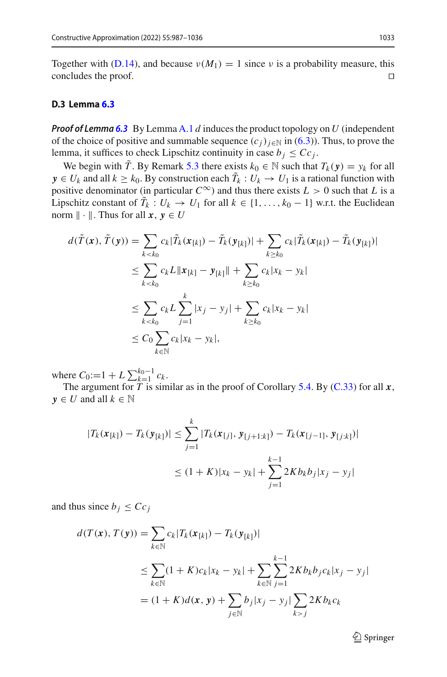Together with [\(D.14\)](#page-45-1), and because  $\nu(M_1) = 1$  since  $\nu$  is a probability measure, this concludes the proof. concludes the proof.

## **D.3 Lemma [6.3](#page-15-4)**

*Proof of Lemma [6.3](#page-15-4)* By Lemma [A.1](#page-18-0) *d* induces the product topology on *U* (independent of the choice of positive and summable sequence  $(c_i)_{i \in \mathbb{N}}$  in [\(6.3\)](#page-15-2)). Thus, to prove the lemma, it suffices to check Lipschitz continuity in case  $b_j \leq Cc_j$ .

We begin with  $\tilde{T}$ . By Remark [5.3](#page-13-4) there exists  $k_0 \in \mathbb{N}$  such that  $T_k(y) = y_k$  for all *y*  $\in U_k$  and all  $k \geq k_0$ . By construction each  $T_k : U_k \to U_1$  is a rational function with positive denominator (in particular  $C^{\infty}$ ) and thus there exists  $L > 0$  such that *L* is a Lipschitz constant of  $T_k : U_k \to U_1$  for all  $k \in \{1, ..., k_0 - 1\}$  w.r.t. the Euclidean norm  $\|\cdot\|$ . Thus for all  $x, y \in U$ 

$$
d(\tilde{T}(\mathbf{x}), \tilde{T}(\mathbf{y})) = \sum_{k < k_0} c_k |\tilde{T}_k(\mathbf{x}_{[k]}) - \tilde{T}_k(\mathbf{y}_{[k]})| + \sum_{k \ge k_0} c_k |\tilde{T}_k(\mathbf{x}_{[k]}) - \tilde{T}_k(\mathbf{y}_{[k]})|
$$
\n
$$
\le \sum_{k < k_0} c_k L \| \mathbf{x}_{[k]} - \mathbf{y}_{[k]} \| + \sum_{k \ge k_0} c_k |x_k - y_k|
$$
\n
$$
\le \sum_{k < k_0} c_k L \sum_{j=1}^k |x_j - y_j| + \sum_{k \ge k_0} c_k |x_k - y_k|
$$
\n
$$
\le C_0 \sum_{k \in \mathbb{N}} c_k |x_k - y_k|,
$$

where  $C_0:=1 + L \sum_{k=1}^{k_0-1} c_k$ .

The argument for *T* is similar as in the proof of Corollary [5.4.](#page-13-3) By [\(C.33\)](#page-37-1) for all *x*,  $y \in U$  and all  $k \in \mathbb{N}$ 

$$
|T_k(\mathbf{x}_{[k]}) - T_k(\mathbf{y}_{[k]})| \le \sum_{j=1}^k |T_k(\mathbf{x}_{[j]}, \mathbf{y}_{[j+1:k]}) - T_k(\mathbf{x}_{[j-1]}, \mathbf{y}_{[j:k]})|
$$
  

$$
\le (1 + K)|x_k - y_k| + \sum_{j=1}^{k-1} 2K b_k b_j |x_j - y_j|
$$

and thus since  $b_i \leq Cc_i$ 

$$
d(T(\mathbf{x}), T(\mathbf{y})) = \sum_{k \in \mathbb{N}} c_k |T_k(\mathbf{x}_{[k]}) - T_k(\mathbf{y}_{[k]})|
$$
  
\n
$$
\leq \sum_{k \in \mathbb{N}} (1 + K) c_k |x_k - y_k| + \sum_{k \in \mathbb{N}} \sum_{j=1}^{k-1} 2K b_k b_j c_k |x_j - y_j|
$$
  
\n
$$
= (1 + K) d(\mathbf{x}, \mathbf{y}) + \sum_{j \in \mathbb{N}} b_j |x_j - y_j| \sum_{k > j} 2K b_k c_k
$$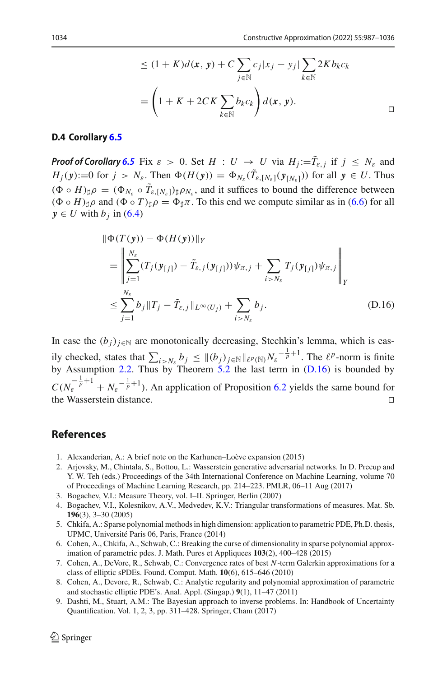$$
\leq (1 + K)d(\mathbf{x}, \mathbf{y}) + C \sum_{j \in \mathbb{N}} c_j |x_j - y_j| \sum_{k \in \mathbb{N}} 2Kb_k c_k
$$

$$
= \left(1 + K + 2CK \sum_{k \in \mathbb{N}} b_k c_k\right) d(\mathbf{x}, \mathbf{y}).
$$

#### **D.4 Corollary [6.5](#page-17-0)**

*Proof of Corollary* [6.5](#page-17-0) Fix  $\varepsilon > 0$ . Set  $H : U \to U$  via  $H_j := \tilde{T}_{\varepsilon,j}$  if  $j \leq N_{\varepsilon}$  and *H<sub>j</sub>*(  $\mathbf{y}$ ):=0 for  $j > N_{\varepsilon}$ . Then  $\Phi(H(\mathbf{y})) = \Phi_{N_{\varepsilon}}(T_{\varepsilon,[N_{\varepsilon}]}(\mathbf{y}_{[N_{\varepsilon}]}))$  for all  $\mathbf{y} \in U$ . Thus  $((\Phi \circ H)_{\sharp} \rho = (\Phi_{N_{\varepsilon}} \circ T_{\varepsilon, [N_{\varepsilon}]}_{\sharp} \rho_{N_{\varepsilon}},$  and it suffices to bound the difference between  $(\Phi \circ H)_{\sharp} \rho$  and  $(\Phi \circ T)_{\sharp} \rho = \Phi_{\sharp} \pi$ . To this end we compute similar as in [\(6.6\)](#page-16-3) for all  $y \in U$  with  $b_i$  in [\(6.4\)](#page-15-3)

<span id="page-47-9"></span>
$$
\|\Phi(T(\mathbf{y})) - \Phi(H(\mathbf{y}))\|_{Y} \n= \left\|\sum_{j=1}^{N_{\varepsilon}} (T_{j}(\mathbf{y}_{[j]}) - \tilde{T}_{\varepsilon,j}(\mathbf{y}_{[j]}))\psi_{\pi,j} + \sum_{i>N_{\varepsilon}} T_{j}(\mathbf{y}_{[j]})\psi_{\pi,j}\right\|_{Y} \n\leq \sum_{j=1}^{N_{\varepsilon}} b_{j} \|T_{j} - \tilde{T}_{\varepsilon,j}\|_{L^{\infty}(U_{j})} + \sum_{i>N_{\varepsilon}} b_{j}.
$$
\n(D.16)

In case the  $(b_i)_{i \in \mathbb{N}}$  are monotonically decreasing, Stechkin's lemma, which is easily checked, states that  $\sum_{i > N_{\varepsilon}} b_j \leq ||(b_j)_{j \in \mathbb{N}}||_{\ell^p(\mathbb{N})} N_{\varepsilon}^{-\frac{1}{p}+1}$ . The  $\ell^p$ -norm is finite by Assumption [2.2.](#page-5-1) Thus by Theorem [5.2](#page-13-0) the last term in [\(D.16\)](#page-47-9) is bounded by  $C(N_{\varepsilon}^{-\frac{1}{p}+1} + N_{\varepsilon}^{-\frac{1}{p}+1})$ . An application of Proposition [6.2](#page-15-0) yields the same bound for the Wasserstein distance.

# **References**

- <span id="page-47-1"></span>1. Alexanderian, A.: A brief note on the Karhunen–Loève expansion (2015)
- <span id="page-47-6"></span>2. Arjovsky, M., Chintala, S., Bottou, L.: Wasserstein generative adversarial networks. In D. Precup and Y. W. Teh (eds.) Proceedings of the 34th International Conference on Machine Learning, volume 70 of Proceedings of Machine Learning Research, pp. 214–223. PMLR, 06–11 Aug (2017)
- <span id="page-47-3"></span>3. Bogachev, V.I.: Measure Theory, vol. I–II. Springer, Berlin (2007)
- <span id="page-47-2"></span>4. Bogachev, V.I., Kolesnikov, A.V., Medvedev, K.V.: Triangular transformations of measures. Mat. Sb. **196**(3), 3–30 (2005)
- <span id="page-47-8"></span>5. Chkifa, A.: Sparse polynomial methods in high dimension: application to parametric PDE, Ph.D. thesis, UPMC, Université Paris 06, Paris, France (2014)
- <span id="page-47-4"></span>6. Cohen, A., Chkifa, A., Schwab, C.: Breaking the curse of dimensionality in sparse polynomial approximation of parametric pdes. J. Math. Pures et Appliquees **103**(2), 400–428 (2015)
- <span id="page-47-7"></span>7. Cohen, A., DeVore, R., Schwab, C.: Convergence rates of best *N*-term Galerkin approximations for a class of elliptic sPDEs. Found. Comput. Math. **10**(6), 615–646 (2010)
- <span id="page-47-5"></span>8. Cohen, A., Devore, R., Schwab, C.: Analytic regularity and polynomial approximation of parametric and stochastic elliptic PDE's. Anal. Appl. (Singap.) **9**(1), 11–47 (2011)
- <span id="page-47-0"></span>9. Dashti, M., Stuart, A.M.: The Bayesian approach to inverse problems. In: Handbook of Uncertainty Quantification. Vol. 1, 2, 3, pp. 311–428. Springer, Cham (2017)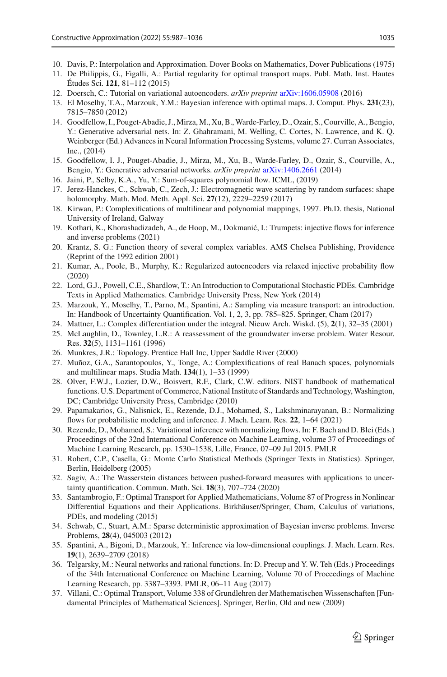- <span id="page-48-27"></span>10. Davis, P.: Interpolation and Approximation. Dover Books on Mathematics, Dover Publications (1975)
- <span id="page-48-10"></span>11. De Philippis, G., Figalli, A.: Partial regularity for optimal transport maps. Publ. Math. Inst. Hautes Études Sci. **121**, 81–112 (2015)
- <span id="page-48-9"></span>12. Doersch, C.: Tutorial on variational autoencoders. *arXiv preprint* [arXiv:1606.05908](http://arxiv.org/abs/1606.05908) (2016)
- <span id="page-48-5"></span>13. El Moselhy, T.A., Marzouk, Y.M.: Bayesian inference with optimal maps. J. Comput. Phys. **231**(23), 7815–7850 (2012)
- <span id="page-48-21"></span>14. Goodfellow, I., Pouget-Abadie, J., Mirza, M., Xu, B.,Warde-Farley, D., Ozair, S., Courville, A., Bengio, Y.: Generative adversarial nets. In: Z. Ghahramani, M. Welling, C. Cortes, N. Lawrence, and K. Q. Weinberger (Ed.) Advances in Neural Information Processing Systems, volume 27. Curran Associates, Inc., (2014)
- <span id="page-48-8"></span>15. Goodfellow, I. J., Pouget-Abadie, J., Mirza, M., Xu, B., Warde-Farley, D., Ozair, S., Courville, A., Bengio, Y.: Generative adversarial networks. *arXiv preprint* [arXiv:1406.2661](http://arxiv.org/abs/1406.2661) (2014)
- <span id="page-48-6"></span>16. Jaini, P., Selby, K.A., Yu, Y.: Sum-of-squares polynomial flow. ICML, (2019)
- <span id="page-48-1"></span>17. Jerez-Hanckes, C., Schwab, C., Zech, J.: Electromagnetic wave scattering by random surfaces: shape holomorphy. Math. Mod. Meth. Appl. Sci. **27**(12), 2229–2259 (2017)
- <span id="page-48-13"></span>18. Kirwan, P.: Complexifications of multilinear and polynomial mappings, 1997. Ph.D. thesis, National University of Ireland, Galway
- <span id="page-48-22"></span>19. Kothari, K., Khorashadizadeh, A., de Hoop, M., Dokmanić, I.: Trumpets: injective flows for inference and inverse problems (2021)
- <span id="page-48-25"></span>20. Krantz, S. G.: Function theory of several complex variables. AMS Chelsea Publishing, Providence (Reprint of the 1992 edition 2001)
- <span id="page-48-23"></span>21. Kumar, A., Poole, B., Murphy, K.: Regularized autoencoders via relaxed injective probability flow (2020)
- <span id="page-48-2"></span>22. Lord, G.J., Powell, C.E., Shardlow, T.: An Introduction to Computational Stochastic PDEs. Cambridge Texts in Applied Mathematics. Cambridge University Press, New York (2014)
- <span id="page-48-4"></span>23. Marzouk, Y., Moselhy, T., Parno, M., Spantini, A.: Sampling via measure transport: an introduction. In: Handbook of Uncertainty Quantification. Vol. 1, 2, 3, pp. 785–825. Springer, Cham (2017)
- <span id="page-48-24"></span>24. Mattner, L.: Complex differentiation under the integral. Nieuw Arch. Wiskd. (5), **2**(1), 32–35 (2001)
- <span id="page-48-0"></span>25. McLaughlin, D., Townley, L.R.: A reassessment of the groundwater inverse problem. Water Resour. Res. **32**(5), 1131–1161 (1996)
- <span id="page-48-17"></span>26. Munkres, J.R.: Topology. Prentice Hall Inc, Upper Saddle River (2000)
- <span id="page-48-14"></span>27. Muñoz, G.A., Sarantopoulos, Y., Tonge, A.: Complexifications of real Banach spaces, polynomials and multilinear maps. Studia Math. **134**(1), 1–33 (1999)
- <span id="page-48-26"></span>28. Olver, F.W.J., Lozier, D.W., Boisvert, R.F., Clark, C.W. editors. NIST handbook of mathematical functions. U.S. Department of Commerce, National Institute of Standards and Technology, Washington, DC; Cambridge University Press, Cambridge (2010)
- <span id="page-48-19"></span>29. Papamakarios, G., Nalisnick, E., Rezende, D.J., Mohamed, S., Lakshminarayanan, B.: Normalizing flows for probabilistic modeling and inference. J. Mach. Learn. Res. **22**, 1–64 (2021)
- <span id="page-48-20"></span>30. Rezende, D., Mohamed, S.: Variational inference with normalizing flows. In: F. Bach and D. Blei (Eds.) Proceedings of the 32nd International Conference on Machine Learning, volume 37 of Proceedings of Machine Learning Research, pp. 1530–1538, Lille, France, 07–09 Jul 2015. PMLR
- <span id="page-48-3"></span>31. Robert, C.P., Casella, G.: Monte Carlo Statistical Methods (Springer Texts in Statistics). Springer, Berlin, Heidelberg (2005)
- <span id="page-48-12"></span>32. Sagiv, A.: The Wasserstein distances between pushed-forward measures with applications to uncertainty quantification. Commun. Math. Sci. **18**(3), 707–724 (2020)
- <span id="page-48-11"></span>33. Santambrogio, F.: Optimal Transport for Applied Mathematicians, Volume 87 of Progress in Nonlinear Differential Equations and their Applications. Birkhäuser/Springer, Cham, Calculus of variations, PDEs, and modeling (2015)
- <span id="page-48-15"></span>34. Schwab, C., Stuart, A.M.: Sparse deterministic approximation of Bayesian inverse problems. Inverse Problems, **28**(4), 045003 (2012)
- <span id="page-48-7"></span>35. Spantini, A., Bigoni, D., Marzouk, Y.: Inference via low-dimensional couplings. J. Mach. Learn. Res. **19**(1), 2639–2709 (2018)
- <span id="page-48-18"></span>36. Telgarsky, M.: Neural networks and rational functions. In: D. Precup and Y. W. Teh (Eds.) Proceedings of the 34th International Conference on Machine Learning, Volume 70 of Proceedings of Machine Learning Research, pp. 3387–3393. PMLR, 06–11 Aug (2017)
- <span id="page-48-16"></span>37. Villani, C.: Optimal Transport, Volume 338 of Grundlehren der Mathematischen Wissenschaften [Fundamental Principles of Mathematical Sciences]. Springer, Berlin, Old and new (2009)